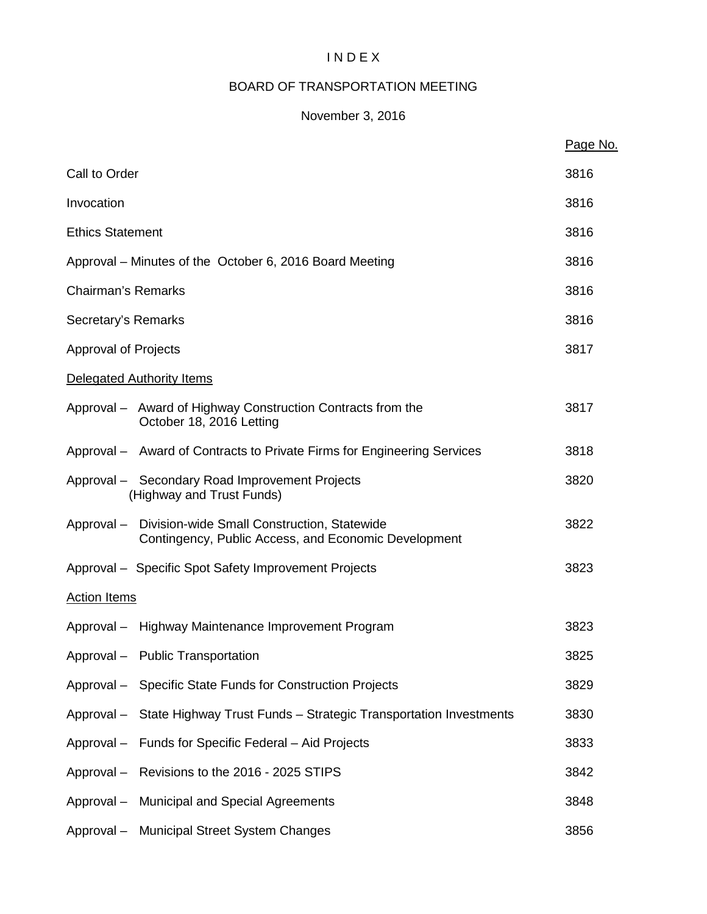# I N D E X

# BOARD OF TRANSPORTATION MEETING

# November 3, 2016

|                                                                                                                | Page No. |
|----------------------------------------------------------------------------------------------------------------|----------|
| Call to Order                                                                                                  | 3816     |
| Invocation                                                                                                     | 3816     |
| <b>Ethics Statement</b>                                                                                        | 3816     |
| Approval – Minutes of the October 6, 2016 Board Meeting                                                        | 3816     |
| <b>Chairman's Remarks</b>                                                                                      | 3816     |
| Secretary's Remarks                                                                                            | 3816     |
| Approval of Projects                                                                                           | 3817     |
| Delegated Authority Items                                                                                      |          |
| Approval – Award of Highway Construction Contracts from the<br>October 18, 2016 Letting                        | 3817     |
| Approval - Award of Contracts to Private Firms for Engineering Services                                        | 3818     |
| Approval - Secondary Road Improvement Projects<br>(Highway and Trust Funds)                                    | 3820     |
| Approval - Division-wide Small Construction, Statewide<br>Contingency, Public Access, and Economic Development | 3822     |
| Approval - Specific Spot Safety Improvement Projects                                                           | 3823     |
| <b>Action Items</b>                                                                                            |          |
| Approval - Highway Maintenance Improvement Program                                                             | 3823     |
| Approval - Public Transportation                                                                               | 3825     |
| Approval - Specific State Funds for Construction Projects                                                      | 3829     |
| Approval - State Highway Trust Funds - Strategic Transportation Investments                                    | 3830     |
| Approval - Funds for Specific Federal - Aid Projects                                                           | 3833     |
| Approval - Revisions to the 2016 - 2025 STIPS                                                                  | 3842     |
| Approval - Municipal and Special Agreements                                                                    | 3848     |
| Approval - Municipal Street System Changes                                                                     | 3856     |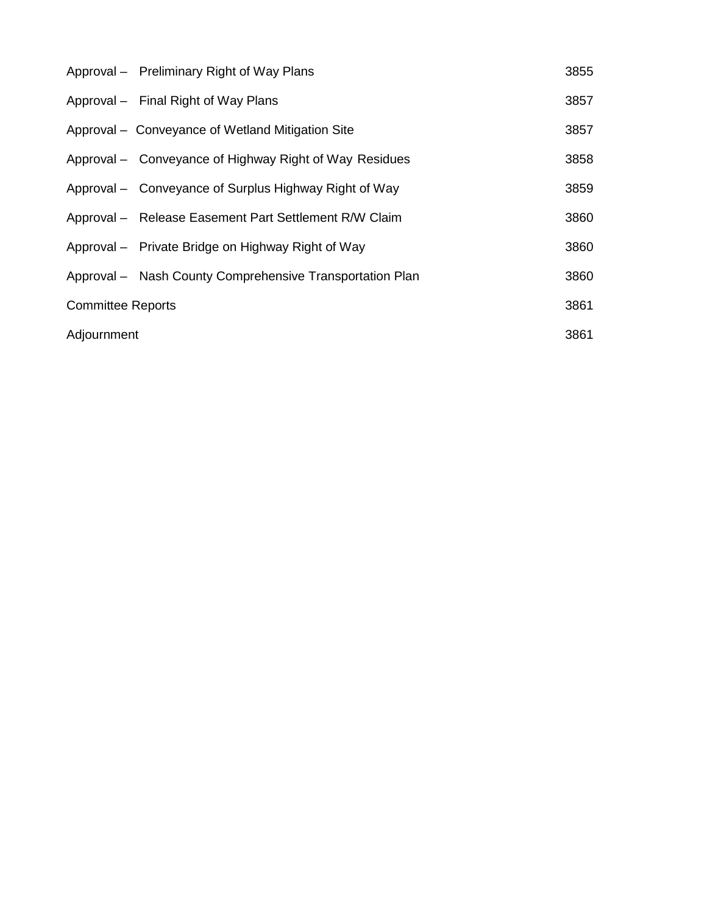|                          | Approval – Preliminary Right of Way Plans                | 3855 |
|--------------------------|----------------------------------------------------------|------|
|                          | Approval - Final Right of Way Plans                      | 3857 |
|                          | Approval - Conveyance of Wetland Mitigation Site         | 3857 |
|                          | Approval – Conveyance of Highway Right of Way Residues   | 3858 |
|                          | Approval – Conveyance of Surplus Highway Right of Way    | 3859 |
|                          | Approval - Release Easement Part Settlement R/W Claim    | 3860 |
|                          | Approval - Private Bridge on Highway Right of Way        | 3860 |
|                          | Approval - Nash County Comprehensive Transportation Plan | 3860 |
| <b>Committee Reports</b> |                                                          | 3861 |
| Adjournment              |                                                          | 3861 |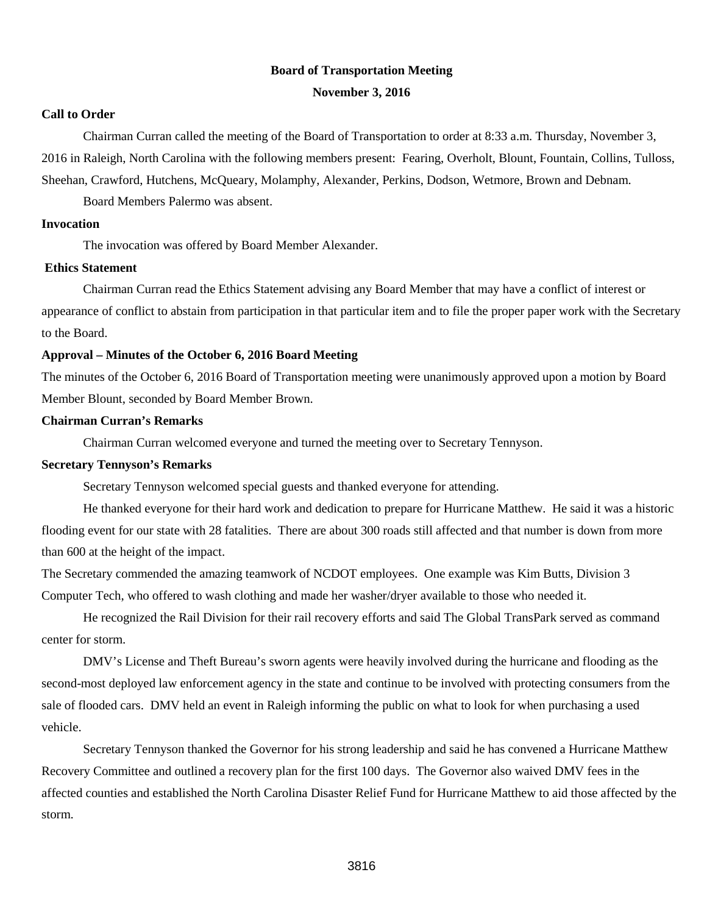#### **Board of Transportation Meeting**

#### **November 3, 2016**

#### **Call to Order**

Chairman Curran called the meeting of the Board of Transportation to order at 8:33 a.m. Thursday, November 3, 2016 in Raleigh, North Carolina with the following members present: Fearing, Overholt, Blount, Fountain, Collins, Tulloss, Sheehan, Crawford, Hutchens, McQueary, Molamphy, Alexander, Perkins, Dodson, Wetmore, Brown and Debnam.

Board Members Palermo was absent.

#### **Invocation**

The invocation was offered by Board Member Alexander.

#### **Ethics Statement**

Chairman Curran read the Ethics Statement advising any Board Member that may have a conflict of interest or appearance of conflict to abstain from participation in that particular item and to file the proper paper work with the Secretary to the Board.

## **Approval – Minutes of the October 6, 2016 Board Meeting**

The minutes of the October 6, 2016 Board of Transportation meeting were unanimously approved upon a motion by Board Member Blount, seconded by Board Member Brown.

## **Chairman Curran's Remarks**

Chairman Curran welcomed everyone and turned the meeting over to Secretary Tennyson.

#### **Secretary Tennyson's Remarks**

Secretary Tennyson welcomed special guests and thanked everyone for attending.

He thanked everyone for their hard work and dedication to prepare for Hurricane Matthew. He said it was a historic flooding event for our state with 28 fatalities. There are about 300 roads still affected and that number is down from more than 600 at the height of the impact.

The Secretary commended the amazing teamwork of NCDOT employees. One example was Kim Butts, Division 3 Computer Tech, who offered to wash clothing and made her washer/dryer available to those who needed it.

He recognized the Rail Division for their rail recovery efforts and said The Global TransPark served as command center for storm.

DMV's License and Theft Bureau's sworn agents were heavily involved during the hurricane and flooding as the second-most deployed law enforcement agency in the state and continue to be involved with protecting consumers from the sale of flooded cars. DMV held an event in Raleigh informing the public on what to look for when purchasing a used vehicle.

Secretary Tennyson thanked the Governor for his strong leadership and said he has convened a Hurricane Matthew Recovery Committee and outlined a recovery plan for the first 100 days. The Governor also waived DMV fees in the affected counties and established the North Carolina Disaster Relief Fund for Hurricane Matthew to aid those affected by the storm.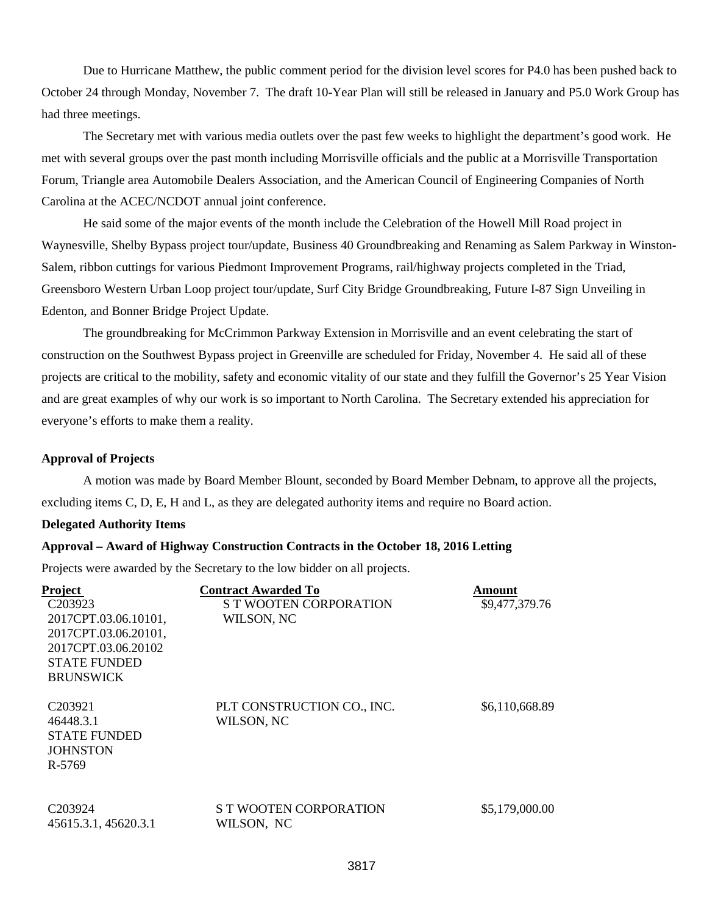Due to Hurricane Matthew, the public comment period for the division level scores for P4.0 has been pushed back to October 24 through Monday, November 7. The draft 10-Year Plan will still be released in January and P5.0 Work Group has had three meetings.

The Secretary met with various media outlets over the past few weeks to highlight the department's good work. He met with several groups over the past month including Morrisville officials and the public at a Morrisville Transportation Forum, Triangle area Automobile Dealers Association, and the American Council of Engineering Companies of North Carolina at the ACEC/NCDOT annual joint conference.

He said some of the major events of the month include the Celebration of the Howell Mill Road project in Waynesville, Shelby Bypass project tour/update, Business 40 Groundbreaking and Renaming as Salem Parkway in Winston-Salem, ribbon cuttings for various Piedmont Improvement Programs, rail/highway projects completed in the Triad, Greensboro Western Urban Loop project tour/update, Surf City Bridge Groundbreaking, Future I-87 Sign Unveiling in Edenton, and Bonner Bridge Project Update.

The groundbreaking for McCrimmon Parkway Extension in Morrisville and an event celebrating the start of construction on the Southwest Bypass project in Greenville are scheduled for Friday, November 4. He said all of these projects are critical to the mobility, safety and economic vitality of our state and they fulfill the Governor's 25 Year Vision and are great examples of why our work is so important to North Carolina. The Secretary extended his appreciation for everyone's efforts to make them a reality.

#### **Approval of Projects**

A motion was made by Board Member Blount, seconded by Board Member Debnam, to approve all the projects, excluding items C, D, E, H and L, as they are delegated authority items and require no Board action.

#### **Delegated Authority Items**

## **Approval – Award of Highway Construction Contracts in the October 18, 2016 Letting**

Projects were awarded by the Secretary to the low bidder on all projects.

| Project              | <b>Contract Awarded To</b> | Amount         |
|----------------------|----------------------------|----------------|
| C <sub>20</sub> 3923 | S T WOOTEN CORPORATION     | \$9,477,379.76 |
| 2017CPT.03.06.10101, | WILSON, NC                 |                |
| 2017CPT.03.06.20101, |                            |                |
| 2017CPT.03.06.20102  |                            |                |
| <b>STATE FUNDED</b>  |                            |                |
| <b>BRUNSWICK</b>     |                            |                |
|                      |                            |                |
| C <sub>20</sub> 3921 | PLT CONSTRUCTION CO., INC. | \$6,110,668.89 |
| 46448.3.1            | WILSON, NC                 |                |
| <b>STATE FUNDED</b>  |                            |                |
| <b>JOHNSTON</b>      |                            |                |
| R-5769               |                            |                |
|                      |                            |                |
|                      |                            |                |
| C <sub>20</sub> 3924 | S T WOOTEN CORPORATION     | \$5,179,000.00 |
| 45615.3.1, 45620.3.1 | WILSON, NC                 |                |
|                      |                            |                |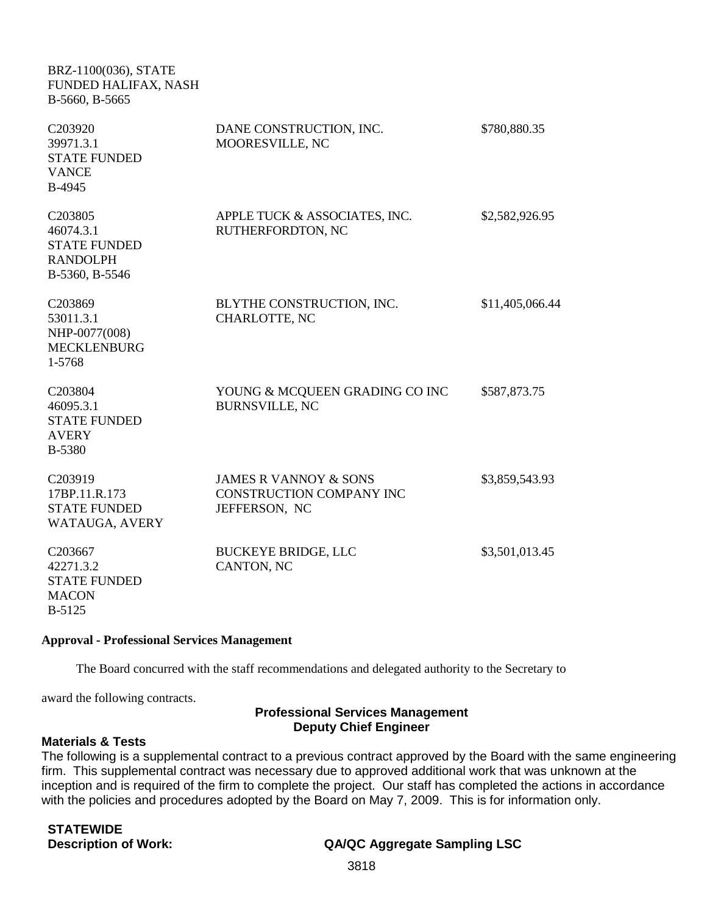| BRZ-1100(036), STATE<br>FUNDED HALIFAX, NASH<br>B-5660, B-5665                   |                                                                                      |                 |
|----------------------------------------------------------------------------------|--------------------------------------------------------------------------------------|-----------------|
| C203920<br>39971.3.1<br><b>STATE FUNDED</b><br><b>VANCE</b><br>B-4945            | DANE CONSTRUCTION, INC.<br>MOORESVILLE, NC                                           | \$780,880.35    |
| C203805<br>46074.3.1<br><b>STATE FUNDED</b><br><b>RANDOLPH</b><br>B-5360, B-5546 | APPLE TUCK & ASSOCIATES, INC.<br>RUTHERFORDTON, NC                                   | \$2,582,926.95  |
| C203869<br>53011.3.1<br>NHP-0077(008)<br><b>MECKLENBURG</b><br>1-5768            | BLYTHE CONSTRUCTION, INC.<br><b>CHARLOTTE, NC</b>                                    | \$11,405,066.44 |
| C203804<br>46095.3.1<br><b>STATE FUNDED</b><br><b>AVERY</b><br>B-5380            | YOUNG & MCQUEEN GRADING CO INC<br><b>BURNSVILLE, NC</b>                              | \$587,873.75    |
| C203919<br>17BP.11.R.173<br><b>STATE FUNDED</b><br>WATAUGA, AVERY                | <b>JAMES R VANNOY &amp; SONS</b><br><b>CONSTRUCTION COMPANY INC</b><br>JEFFERSON, NC | \$3,859,543.93  |
| C203667<br>42271.3.2<br><b>STATE FUNDED</b><br><b>MACON</b><br>B-5125            | <b>BUCKEYE BRIDGE, LLC</b><br>CANTON, NC                                             | \$3,501,013.45  |

#### **Approval - Professional Services Management**

The Board concurred with the staff recommendations and delegated authority to the Secretary to

award the following contracts.

## **Professional Services Management Deputy Chief Engineer**

## **Materials & Tests**

The following is a supplemental contract to a previous contract approved by the Board with the same engineering firm. This supplemental contract was necessary due to approved additional work that was unknown at the inception and is required of the firm to complete the project. Our staff has completed the actions in accordance with the policies and procedures adopted by the Board on May 7, 2009. This is for information only.

| <b>STATEWIDE</b>            |  |
|-----------------------------|--|
| <b>Description of Work:</b> |  |

# **Description of Work: QA/QC Aggregate Sampling LSC**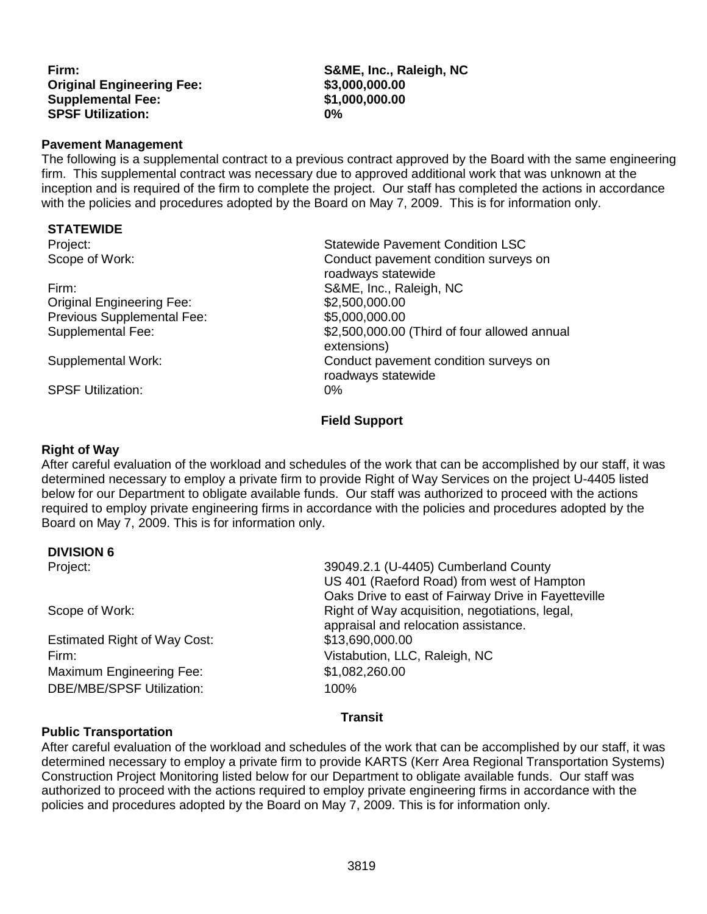**Firm: S&ME, Inc., Raleigh, NC Original Engineering Fee: \$3,000,000.00 Supplemental Fee: SPSF Utilization: 0%**

## **Pavement Management**

The following is a supplemental contract to a previous contract approved by the Board with the same engineering firm. This supplemental contract was necessary due to approved additional work that was unknown at the inception and is required of the firm to complete the project. Our staff has completed the actions in accordance with the policies and procedures adopted by the Board on May 7, 2009. This is for information only.

#### **STATEWIDE**

Firm: S&ME, Inc., Raleigh, NC Original Engineering Fee: \$2,500,000.00 Previous Supplemental Fee:  $$5,000,000.00$ <br>Supplemental Fee:  $$2,500,000.00$ 

SPSF Utilization: 0%

Project: Statewide Pavement Condition LSC Scope of Work: Conduct pavement condition surveys on roadways statewide \$2,500,000.00 (Third of four allowed annual extensions) Supplemental Work: Conduct pavement condition surveys on roadways statewide

## **Field Support**

## **Right of Way**

After careful evaluation of the workload and schedules of the work that can be accomplished by our staff, it was determined necessary to employ a private firm to provide Right of Way Services on the project U-4405 listed below for our Department to obligate available funds. Our staff was authorized to proceed with the actions required to employ private engineering firms in accordance with the policies and procedures adopted by the Board on May 7, 2009. This is for information only.

## **DIVISION 6**

| Project:                            | 39049.2.1 (U-4405) Cumberland County<br>US 401 (Raeford Road) from west of Hampton<br>Oaks Drive to east of Fairway Drive in Fayetteville |
|-------------------------------------|-------------------------------------------------------------------------------------------------------------------------------------------|
| Scope of Work:                      | Right of Way acquisition, negotiations, legal,<br>appraisal and relocation assistance.                                                    |
| <b>Estimated Right of Way Cost:</b> | \$13,690,000.00                                                                                                                           |
| Firm:                               | Vistabution, LLC, Raleigh, NC                                                                                                             |
| Maximum Engineering Fee:            | \$1,082,260.00                                                                                                                            |
| <b>DBE/MBE/SPSF Utilization:</b>    | 100%                                                                                                                                      |

# **Transit**

## **Public Transportation**

After careful evaluation of the workload and schedules of the work that can be accomplished by our staff, it was determined necessary to employ a private firm to provide KARTS (Kerr Area Regional Transportation Systems) Construction Project Monitoring listed below for our Department to obligate available funds. Our staff was authorized to proceed with the actions required to employ private engineering firms in accordance with the policies and procedures adopted by the Board on May 7, 2009. This is for information only.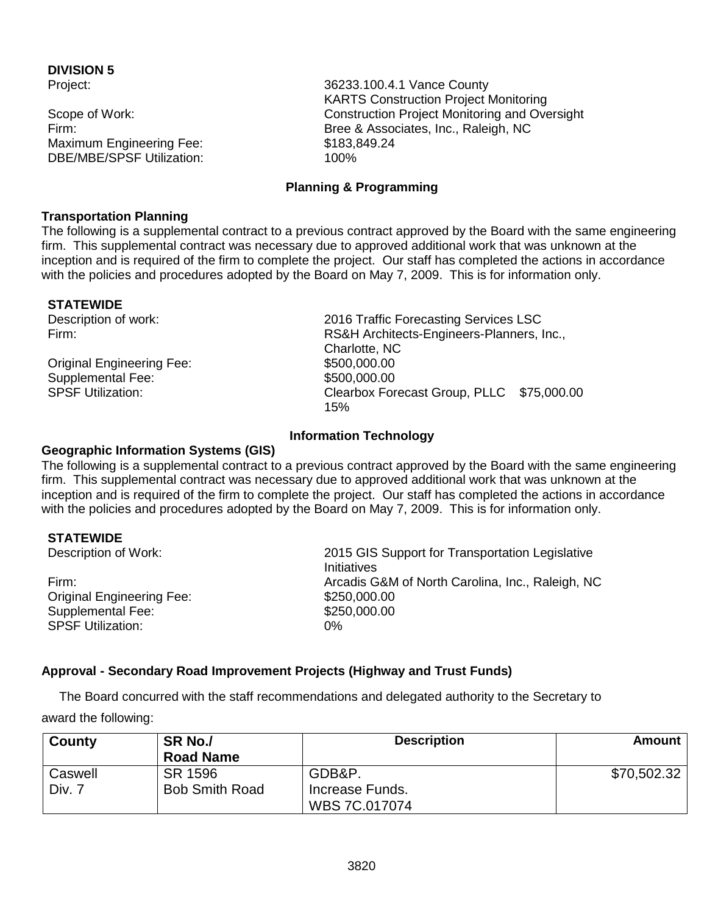# **DIVISION 5**

Maximum Engineering Fee: \$183,849.24 DBE/MBE/SPSF Utilization: 100%

Project: 36233.100.4.1 Vance County KARTS Construction Project Monitoring Scope of Work: Construction Project Monitoring and Oversight Firm: Bree & Associates, Inc., Raleigh, NC

# **Planning & Programming**

# **Transportation Planning**

The following is a supplemental contract to a previous contract approved by the Board with the same engineering firm. This supplemental contract was necessary due to approved additional work that was unknown at the inception and is required of the firm to complete the project. Our staff has completed the actions in accordance with the policies and procedures adopted by the Board on May 7, 2009. This is for information only.

**STATEWIDE**<br>Description of work:

Original Engineering Fee: \$500,000.00 Supplemental Fee: \$500,000.00<br>SPSF Utilization: \$600,000.000 SPSF Utilization:

2016 Traffic Forecasting Services LSC Firm: RS&H Architects-Engineers-Planners, Inc., Charlotte, NC Clearbox Forecast Group, PLLC \$75,000.00 15%

# **Information Technology**

# **Geographic Information Systems (GIS)**

The following is a supplemental contract to a previous contract approved by the Board with the same engineering firm. This supplemental contract was necessary due to approved additional work that was unknown at the inception and is required of the firm to complete the project. Our staff has completed the actions in accordance with the policies and procedures adopted by the Board on May 7, 2009. This is for information only.

**STATEWIDE**<br>Description of Work:

Original Engineering Fee: \$250,000.00 Supplemental Fee: \$250,000.00 SPSF Utilization: 0%

2015 GIS Support for Transportation Legislative **Initiatives** Firm: Arcadis G&M of North Carolina, Inc., Raleigh, NC

# **Approval - Secondary Road Improvement Projects (Highway and Trust Funds)**

The Board concurred with the staff recommendations and delegated authority to the Secretary to

award the following:

| County  | SR No./<br><b>Road Name</b> | <b>Description</b> | Amount      |
|---------|-----------------------------|--------------------|-------------|
| Caswell | SR 1596                     | GDB&P.             | \$70,502.32 |
| Div. 7  | <b>Bob Smith Road</b>       | Increase Funds.    |             |
|         |                             | WBS 7C.017074      |             |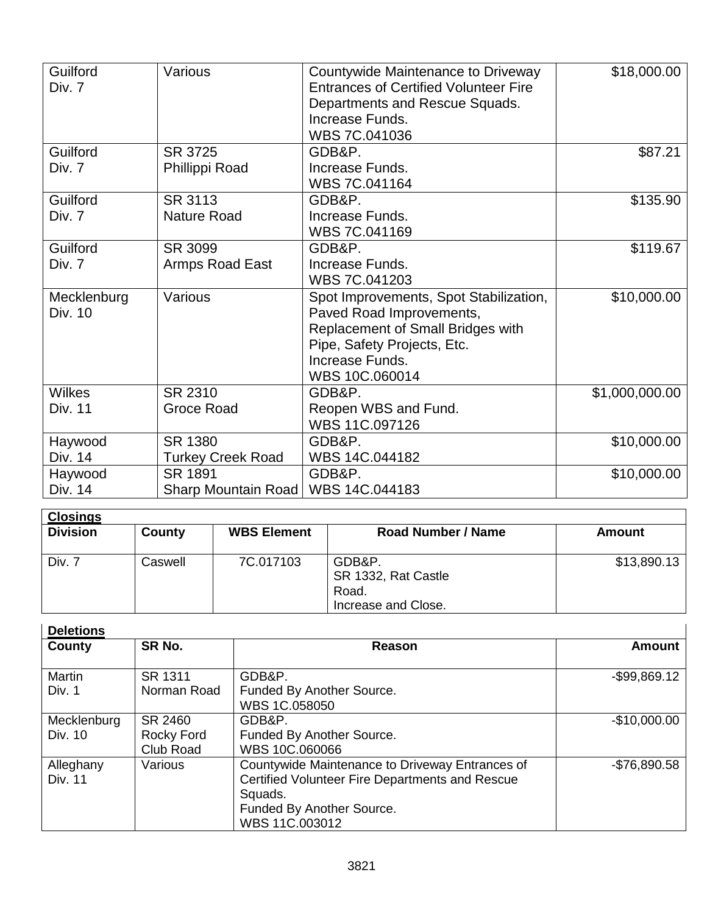| Guilford    | Various                  | Countywide Maintenance to Driveway           | \$18,000.00    |
|-------------|--------------------------|----------------------------------------------|----------------|
| Div. 7      |                          | <b>Entrances of Certified Volunteer Fire</b> |                |
|             |                          | Departments and Rescue Squads.               |                |
|             |                          | Increase Funds.                              |                |
|             |                          | WBS 7C.041036                                |                |
| Guilford    | SR 3725                  | GDB&P.                                       | \$87.21        |
| Div. 7      | Phillippi Road           | Increase Funds.                              |                |
|             |                          | WBS 7C.041164                                |                |
| Guilford    | SR 3113                  | GDB&P.                                       | \$135.90       |
| Div. 7      | <b>Nature Road</b>       | Increase Funds.                              |                |
|             |                          | WBS 7C.041169                                |                |
| Guilford    | SR 3099                  | GDB&P.                                       | \$119.67       |
| Div. 7      | Armps Road East          | Increase Funds.                              |                |
|             |                          | WBS 7C.041203                                |                |
| Mecklenburg | Various                  | Spot Improvements, Spot Stabilization,       | \$10,000.00    |
| Div. 10     |                          | Paved Road Improvements,                     |                |
|             |                          | Replacement of Small Bridges with            |                |
|             |                          | Pipe, Safety Projects, Etc.                  |                |
|             |                          | Increase Funds.                              |                |
|             |                          | WBS 10C.060014                               |                |
| Wilkes      | SR 2310                  | GDB&P.                                       | \$1,000,000.00 |
| Div. 11     | Groce Road               | Reopen WBS and Fund.                         |                |
|             |                          | WBS 11C.097126                               |                |
| Haywood     | SR 1380                  | GDB&P.                                       | \$10,000.00    |
| Div. 14     | <b>Turkey Creek Road</b> | WBS 14C.044182                               |                |
| Haywood     | SR 1891                  | GDB&P.                                       | \$10,000.00    |
| Div. 14     | Sharp Mountain Road      | WBS 14C.044183                               |                |

| <b>Closings</b> |         |                    |                     |             |
|-----------------|---------|--------------------|---------------------|-------------|
| <b>Division</b> | County  | <b>WBS Element</b> | Road Number / Name  | Amount      |
|                 |         |                    |                     |             |
| Div. 7          | Caswell | 7C.017103          | GDB&P.              | \$13,890.13 |
|                 |         |                    | SR 1332, Rat Castle |             |
|                 |         |                    | Road.               |             |
|                 |         |                    | Increase and Close. |             |

| <b>Deletions</b>       |                                    |                                                                                                                                                              |                 |
|------------------------|------------------------------------|--------------------------------------------------------------------------------------------------------------------------------------------------------------|-----------------|
| County                 | SR No.                             | Reason                                                                                                                                                       | <b>Amount</b>   |
| Martin<br>Div. 1       | SR 1311<br>Norman Road             | GDB&P.<br>Funded By Another Source.<br>WBS 1C.058050                                                                                                         | $-$ \$99,869.12 |
| Mecklenburg<br>Div. 10 | SR 2460<br>Rocky Ford<br>Club Road | GDB&P.<br>Funded By Another Source.<br>WBS 10C.060066                                                                                                        | $-$10,000.00$   |
| Alleghany<br>Div. 11   | Various                            | Countywide Maintenance to Driveway Entrances of<br>Certified Volunteer Fire Departments and Rescue<br>Squads.<br>Funded By Another Source.<br>WBS 11C.003012 | $-$76,890.58$   |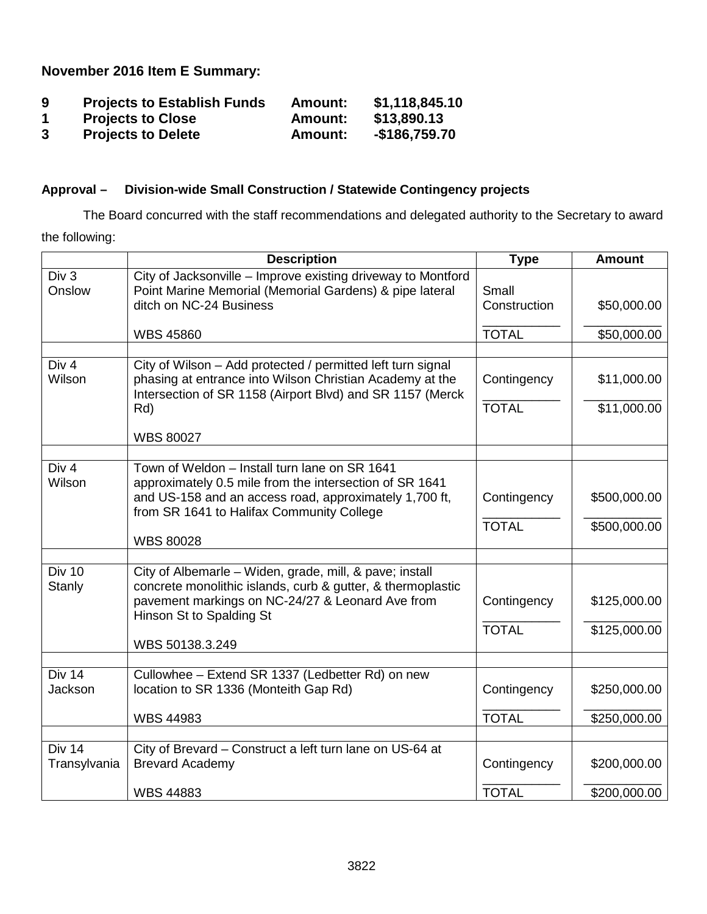**November 2016 Item E Summary:**

| 9  | <b>Projects to Establish Funds</b> | <b>Amount:</b> | \$1,118,845.10 |
|----|------------------------------------|----------------|----------------|
| -1 | <b>Projects to Close</b>           | <b>Amount:</b> | \$13,890.13    |
| 3  | <b>Projects to Delete</b>          | <b>Amount:</b> | $-$186,759.70$ |

# **Approval – Division-wide Small Construction / Statewide Contingency projects**

The Board concurred with the staff recommendations and delegated authority to the Secretary to award the following:

|                               | <b>Description</b>                                                                                                                                                                                     | <b>Type</b>           | <b>Amount</b> |
|-------------------------------|--------------------------------------------------------------------------------------------------------------------------------------------------------------------------------------------------------|-----------------------|---------------|
| Div 3<br>Onslow               | City of Jacksonville - Improve existing driveway to Montford<br>Point Marine Memorial (Memorial Gardens) & pipe lateral<br>ditch on NC-24 Business                                                     | Small<br>Construction | \$50,000.00   |
|                               | <b>WBS 45860</b>                                                                                                                                                                                       | <b>TOTAL</b>          | \$50,000.00   |
|                               |                                                                                                                                                                                                        |                       |               |
| Div 4<br>Wilson               | City of Wilson - Add protected / permitted left turn signal<br>phasing at entrance into Wilson Christian Academy at the<br>Intersection of SR 1158 (Airport Blvd) and SR 1157 (Merck                   | Contingency           | \$11,000.00   |
|                               | Rd)                                                                                                                                                                                                    | <b>TOTAL</b>          | \$11,000.00   |
|                               | <b>WBS 80027</b>                                                                                                                                                                                       |                       |               |
| Div <sub>4</sub>              | Town of Weldon - Install turn lane on SR 1641                                                                                                                                                          |                       |               |
| Wilson                        | approximately 0.5 mile from the intersection of SR 1641<br>and US-158 and an access road, approximately 1,700 ft,<br>from SR 1641 to Halifax Community College                                         | Contingency           | \$500,000.00  |
|                               | <b>WBS 80028</b>                                                                                                                                                                                       | <b>TOTAL</b>          | \$500,000.00  |
|                               |                                                                                                                                                                                                        |                       |               |
| Div 10<br>Stanly              | City of Albemarle - Widen, grade, mill, & pave; install<br>concrete monolithic islands, curb & gutter, & thermoplastic<br>pavement markings on NC-24/27 & Leonard Ave from<br>Hinson St to Spalding St | Contingency           | \$125,000.00  |
|                               | WBS 50138.3.249                                                                                                                                                                                        | <b>TOTAL</b>          | \$125,000.00  |
|                               |                                                                                                                                                                                                        |                       |               |
| Div 14<br>Jackson             | Cullowhee - Extend SR 1337 (Ledbetter Rd) on new<br>location to SR 1336 (Monteith Gap Rd)                                                                                                              | Contingency           | \$250,000.00  |
|                               | <b>WBS 44983</b>                                                                                                                                                                                       | <b>TOTAL</b>          | \$250,000.00  |
|                               |                                                                                                                                                                                                        |                       |               |
| <b>Div 14</b><br>Transylvania | City of Brevard - Construct a left turn lane on US-64 at<br><b>Brevard Academy</b>                                                                                                                     | Contingency           | \$200,000.00  |
|                               | <b>WBS 44883</b>                                                                                                                                                                                       | <b>TOTAL</b>          | \$200,000.00  |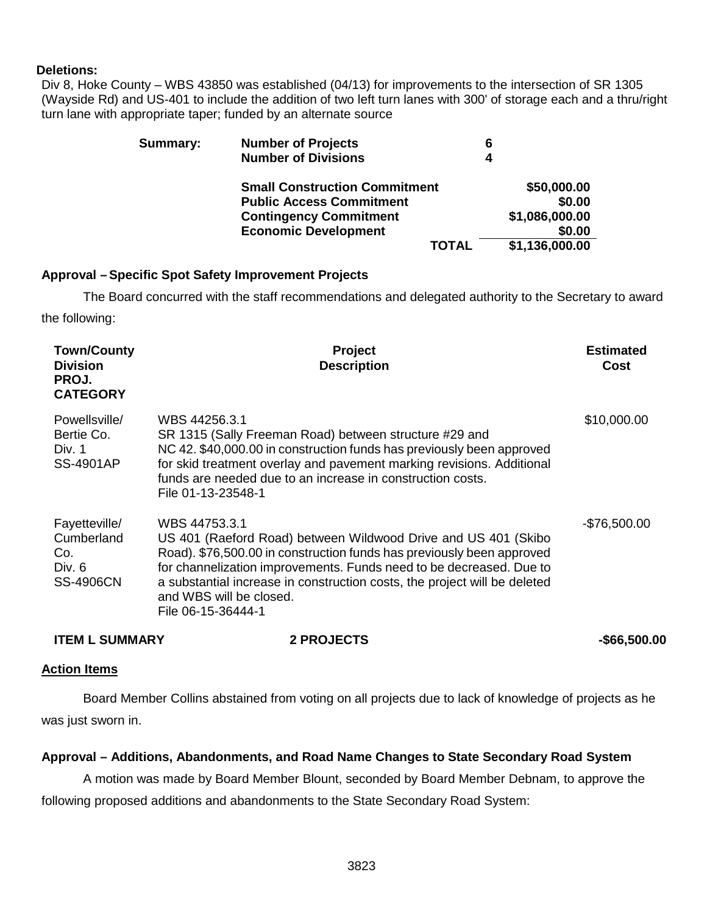## **Deletions:**

Div 8, Hoke County – WBS 43850 was established (04/13) for improvements to the intersection of SR 1305 (Wayside Rd) and US-401 to include the addition of two left turn lanes with 300' of storage each and a thru/right turn lane with appropriate taper; funded by an alternate source

| Summary: | <b>Number of Projects</b>            | 6              |
|----------|--------------------------------------|----------------|
|          | <b>Number of Divisions</b>           |                |
|          | <b>Small Construction Commitment</b> | \$50,000.00    |
|          | <b>Public Access Commitment</b>      | \$0.00         |
|          | <b>Contingency Commitment</b>        | \$1,086,000.00 |
|          | <b>Economic Development</b>          | \$0.00         |
|          | <b>TOTAL</b>                         | \$1,136,000.00 |

# **Approval –Specific Spot Safety Improvement Projects**

The Board concurred with the staff recommendations and delegated authority to the Secretary to award the following:

| <b>Town/County</b><br><b>Division</b><br>PROJ.<br><b>CATEGORY</b> | <b>Project</b><br><b>Description</b>                                                                                                                                                                                                                                                                                                                          | <b>Estimated</b><br>Cost |
|-------------------------------------------------------------------|---------------------------------------------------------------------------------------------------------------------------------------------------------------------------------------------------------------------------------------------------------------------------------------------------------------------------------------------------------------|--------------------------|
| Powellsville/<br>Bertie Co.<br>Div. 1<br>SS-4901AP                | WBS 44256.3.1<br>SR 1315 (Sally Freeman Road) between structure #29 and<br>NC 42. \$40,000.00 in construction funds has previously been approved<br>for skid treatment overlay and pavement marking revisions. Additional<br>funds are needed due to an increase in construction costs.<br>File 01-13-23548-1                                                 | \$10,000.00              |
| Fayetteville/<br>Cumberland<br>Co.<br>Div. 6<br><b>SS-4906CN</b>  | WBS 44753.3.1<br>US 401 (Raeford Road) between Wildwood Drive and US 401 (Skibo<br>Road). \$76,500.00 in construction funds has previously been approved<br>for channelization improvements. Funds need to be decreased. Due to<br>a substantial increase in construction costs, the project will be deleted<br>and WBS will be closed.<br>File 06-15-36444-1 | -\$76,500.00             |

**ITEM L SUMMARY 2 PROJECTS -\$66,500.00**

## **Action Items**

Board Member Collins abstained from voting on all projects due to lack of knowledge of projects as he was just sworn in.

## **Approval – Additions, Abandonments, and Road Name Changes to State Secondary Road System**

A motion was made by Board Member Blount, seconded by Board Member Debnam, to approve the following proposed additions and abandonments to the State Secondary Road System: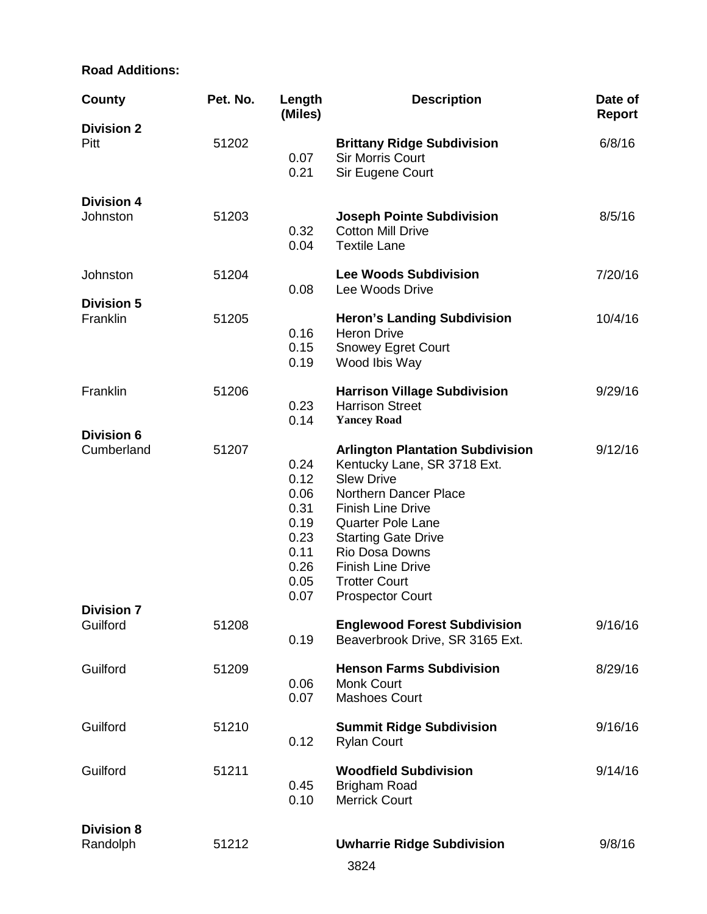# **Road Additions:**

| <b>County</b>                   | Pet. No. | Length<br>(Miles)                                                            | <b>Description</b>                                                                                                                                                                                                                                                                                          | Date of<br><b>Report</b> |
|---------------------------------|----------|------------------------------------------------------------------------------|-------------------------------------------------------------------------------------------------------------------------------------------------------------------------------------------------------------------------------------------------------------------------------------------------------------|--------------------------|
| <b>Division 2</b><br>Pitt       | 51202    | 0.07<br>0.21                                                                 | <b>Brittany Ridge Subdivision</b><br><b>Sir Morris Court</b><br>Sir Eugene Court                                                                                                                                                                                                                            | 6/8/16                   |
| <b>Division 4</b><br>Johnston   | 51203    | 0.32<br>0.04                                                                 | <b>Joseph Pointe Subdivision</b><br><b>Cotton Mill Drive</b><br><b>Textile Lane</b>                                                                                                                                                                                                                         | 8/5/16                   |
| Johnston                        | 51204    | 0.08                                                                         | <b>Lee Woods Subdivision</b><br>Lee Woods Drive                                                                                                                                                                                                                                                             | 7/20/16                  |
| <b>Division 5</b><br>Franklin   | 51205    | 0.16<br>0.15<br>0.19                                                         | <b>Heron's Landing Subdivision</b><br><b>Heron Drive</b><br><b>Snowey Egret Court</b><br>Wood Ibis Way                                                                                                                                                                                                      | 10/4/16                  |
| Franklin                        | 51206    | 0.23<br>0.14                                                                 | <b>Harrison Village Subdivision</b><br><b>Harrison Street</b><br><b>Yancey Road</b>                                                                                                                                                                                                                         | 9/29/16                  |
| <b>Division 6</b><br>Cumberland | 51207    | 0.24<br>0.12<br>0.06<br>0.31<br>0.19<br>0.23<br>0.11<br>0.26<br>0.05<br>0.07 | <b>Arlington Plantation Subdivision</b><br>Kentucky Lane, SR 3718 Ext.<br><b>Slew Drive</b><br>Northern Dancer Place<br><b>Finish Line Drive</b><br><b>Quarter Pole Lane</b><br><b>Starting Gate Drive</b><br>Rio Dosa Downs<br><b>Finish Line Drive</b><br><b>Trotter Court</b><br><b>Prospector Court</b> | 9/12/16                  |
| <b>Division 7</b><br>Guilford   | 51208    | 0.19                                                                         | <b>Englewood Forest Subdivision</b><br>Beaverbrook Drive, SR 3165 Ext.                                                                                                                                                                                                                                      | 9/16/16                  |
| Guilford                        | 51209    | 0.06<br>0.07                                                                 | <b>Henson Farms Subdivision</b><br><b>Monk Court</b><br><b>Mashoes Court</b>                                                                                                                                                                                                                                | 8/29/16                  |
| Guilford                        | 51210    | 0.12                                                                         | <b>Summit Ridge Subdivision</b><br><b>Rylan Court</b>                                                                                                                                                                                                                                                       | 9/16/16                  |
| Guilford                        | 51211    | 0.45<br>0.10                                                                 | <b>Woodfield Subdivision</b><br><b>Brigham Road</b><br><b>Merrick Court</b>                                                                                                                                                                                                                                 | 9/14/16                  |
| <b>Division 8</b><br>Randolph   | 51212    |                                                                              | <b>Uwharrie Ridge Subdivision</b>                                                                                                                                                                                                                                                                           | 9/8/16                   |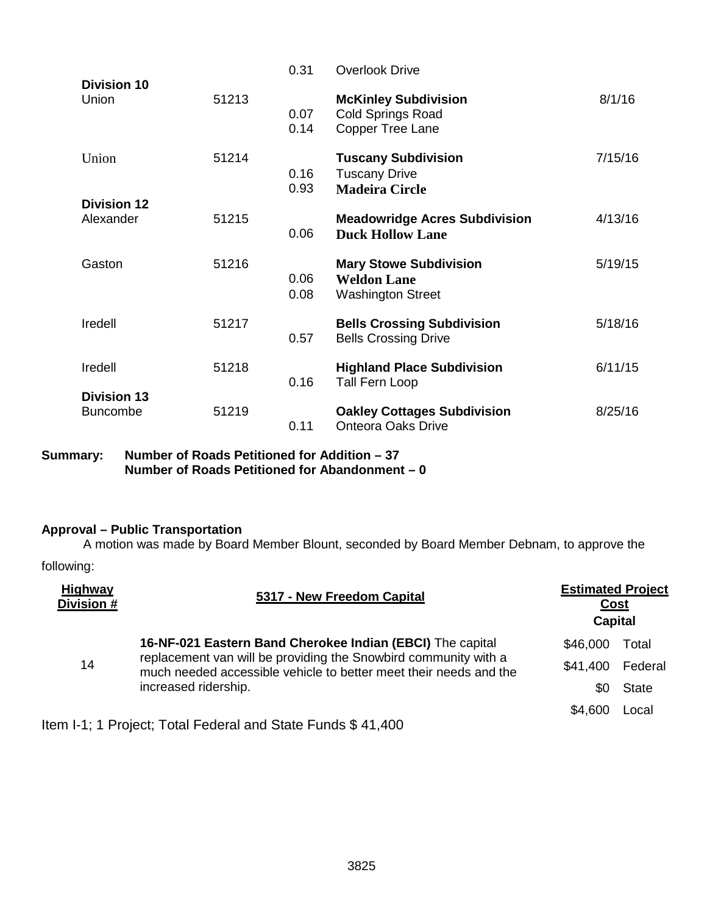| <b>Division 10</b>                    |       | 0.31         | <b>Overlook Drive</b>                                                              |         |
|---------------------------------------|-------|--------------|------------------------------------------------------------------------------------|---------|
| Union                                 | 51213 | 0.07<br>0.14 | <b>McKinley Subdivision</b><br><b>Cold Springs Road</b><br><b>Copper Tree Lane</b> | 8/1/16  |
| Union                                 | 51214 | 0.16<br>0.93 | <b>Tuscany Subdivision</b><br><b>Tuscany Drive</b><br><b>Madeira Circle</b>        | 7/15/16 |
| <b>Division 12</b>                    |       |              |                                                                                    |         |
| Alexander                             | 51215 | 0.06         | <b>Meadowridge Acres Subdivision</b><br><b>Duck Hollow Lane</b>                    | 4/13/16 |
| Gaston                                | 51216 | 0.06<br>0.08 | <b>Mary Stowe Subdivision</b><br><b>Weldon Lane</b><br><b>Washington Street</b>    | 5/19/15 |
| Iredell                               | 51217 | 0.57         | <b>Bells Crossing Subdivision</b><br><b>Bells Crossing Drive</b>                   | 5/18/16 |
| Iredell                               | 51218 | 0.16         | <b>Highland Place Subdivision</b><br>Tall Fern Loop                                | 6/11/15 |
| <b>Division 13</b><br><b>Buncombe</b> | 51219 | 0.11         | <b>Oakley Cottages Subdivision</b><br><b>Onteora Oaks Drive</b>                    | 8/25/16 |

**Summary: Number of Roads Petitioned for Addition – 37 Number of Roads Petitioned for Abandonment – 0**

# **Approval – Public Transportation**

A motion was made by Board Member Blount, seconded by Board Member Debnam, to approve the following:

| <b>Highway</b><br>Division # | 5317 - New Freedom Capital                                                                                                           | <b>Estimated Project</b><br><b>Capital</b> | Cost         |
|------------------------------|--------------------------------------------------------------------------------------------------------------------------------------|--------------------------------------------|--------------|
|                              | 16-NF-021 Eastern Band Cherokee Indian (EBCI) The capital                                                                            | \$46,000                                   | Total        |
| 14                           | replacement van will be providing the Snowbird community with a<br>much needed accessible vehicle to better meet their needs and the | \$41,400                                   | Federal      |
|                              | increased ridership.                                                                                                                 | \$0                                        | <b>State</b> |
|                              |                                                                                                                                      | \$4,600                                    | Local        |

Item I-1; 1 Project; Total Federal and State Funds \$ 41,400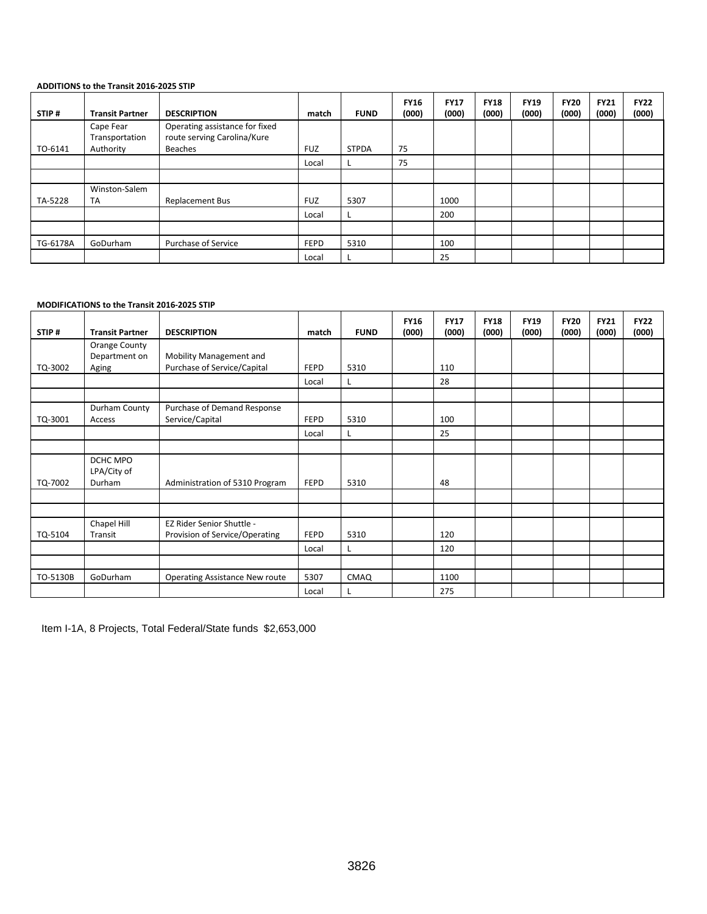#### **ADDITIONS to the Transit 2016-2025 STIP**

| STIP#    | <b>Transit Partner</b>      | <b>DESCRIPTION</b>                                            | match       | <b>FUND</b>  | <b>FY16</b><br>(000) | <b>FY17</b><br>(000) | <b>FY18</b><br>(000) | <b>FY19</b><br>(000) | <b>FY20</b><br>(000) | <b>FY21</b><br>(000) | <b>FY22</b><br>(000) |
|----------|-----------------------------|---------------------------------------------------------------|-------------|--------------|----------------------|----------------------|----------------------|----------------------|----------------------|----------------------|----------------------|
|          | Cape Fear<br>Transportation | Operating assistance for fixed<br>route serving Carolina/Kure |             |              |                      |                      |                      |                      |                      |                      |                      |
| TO-6141  | Authority                   | Beaches                                                       | <b>FUZ</b>  | <b>STPDA</b> | 75                   |                      |                      |                      |                      |                      |                      |
|          |                             |                                                               | Local       |              | 75                   |                      |                      |                      |                      |                      |                      |
|          |                             |                                                               |             |              |                      |                      |                      |                      |                      |                      |                      |
| TA-5228  | Winston-Salem<br><b>TA</b>  | <b>Replacement Bus</b>                                        | <b>FUZ</b>  | 5307         |                      | 1000                 |                      |                      |                      |                      |                      |
|          |                             |                                                               | Local       | ъ.           |                      | 200                  |                      |                      |                      |                      |                      |
|          |                             |                                                               |             |              |                      |                      |                      |                      |                      |                      |                      |
| TG-6178A | GoDurham                    | Purchase of Service                                           | <b>FEPD</b> | 5310         |                      | 100                  |                      |                      |                      |                      |                      |
|          |                             |                                                               | Local       |              |                      | 25                   |                      |                      |                      |                      |                      |

#### **MODIFICATIONS to the Transit 2016-2025 STIP**

| STIP#    | <b>Transit Partner</b> | <b>DESCRIPTION</b>             | match       | <b>FUND</b> | <b>FY16</b><br>(000) | <b>FY17</b><br>(000) | <b>FY18</b><br>(000) | <b>FY19</b><br>(000) | <b>FY20</b><br>(000) | <b>FY21</b><br>(000) | <b>FY22</b><br>(000) |
|----------|------------------------|--------------------------------|-------------|-------------|----------------------|----------------------|----------------------|----------------------|----------------------|----------------------|----------------------|
|          | Orange County          |                                |             |             |                      |                      |                      |                      |                      |                      |                      |
|          | Department on          | Mobility Management and        |             |             |                      |                      |                      |                      |                      |                      |                      |
| TQ-3002  | Aging                  | Purchase of Service/Capital    | <b>FEPD</b> | 5310        |                      | 110                  |                      |                      |                      |                      |                      |
|          |                        |                                | Local       | L           |                      | 28                   |                      |                      |                      |                      |                      |
|          |                        |                                |             |             |                      |                      |                      |                      |                      |                      |                      |
|          | Durham County          | Purchase of Demand Response    |             |             |                      |                      |                      |                      |                      |                      |                      |
| TQ-3001  | Access                 | Service/Capital                | <b>FEPD</b> | 5310        |                      | 100                  |                      |                      |                      |                      |                      |
|          |                        |                                | Local       | L           |                      | 25                   |                      |                      |                      |                      |                      |
|          |                        |                                |             |             |                      |                      |                      |                      |                      |                      |                      |
|          | DCHC MPO               |                                |             |             |                      |                      |                      |                      |                      |                      |                      |
|          | LPA/City of            |                                |             |             |                      |                      |                      |                      |                      |                      |                      |
| TQ-7002  | Durham                 | Administration of 5310 Program | <b>FEPD</b> | 5310        |                      | 48                   |                      |                      |                      |                      |                      |
|          |                        |                                |             |             |                      |                      |                      |                      |                      |                      |                      |
|          |                        |                                |             |             |                      |                      |                      |                      |                      |                      |                      |
|          | Chapel Hill            | EZ Rider Senior Shuttle -      |             |             |                      |                      |                      |                      |                      |                      |                      |
| TQ-5104  | Transit                | Provision of Service/Operating | <b>FEPD</b> | 5310        |                      | 120                  |                      |                      |                      |                      |                      |
|          |                        |                                | Local       | L           |                      | 120                  |                      |                      |                      |                      |                      |
|          |                        |                                |             |             |                      |                      |                      |                      |                      |                      |                      |
| TO-5130B | GoDurham               | Operating Assistance New route | 5307        | <b>CMAQ</b> |                      | 1100                 |                      |                      |                      |                      |                      |
|          |                        |                                | Local       |             |                      | 275                  |                      |                      |                      |                      |                      |

Item I-1A, 8 Projects, Total Federal/State funds \$2,653,000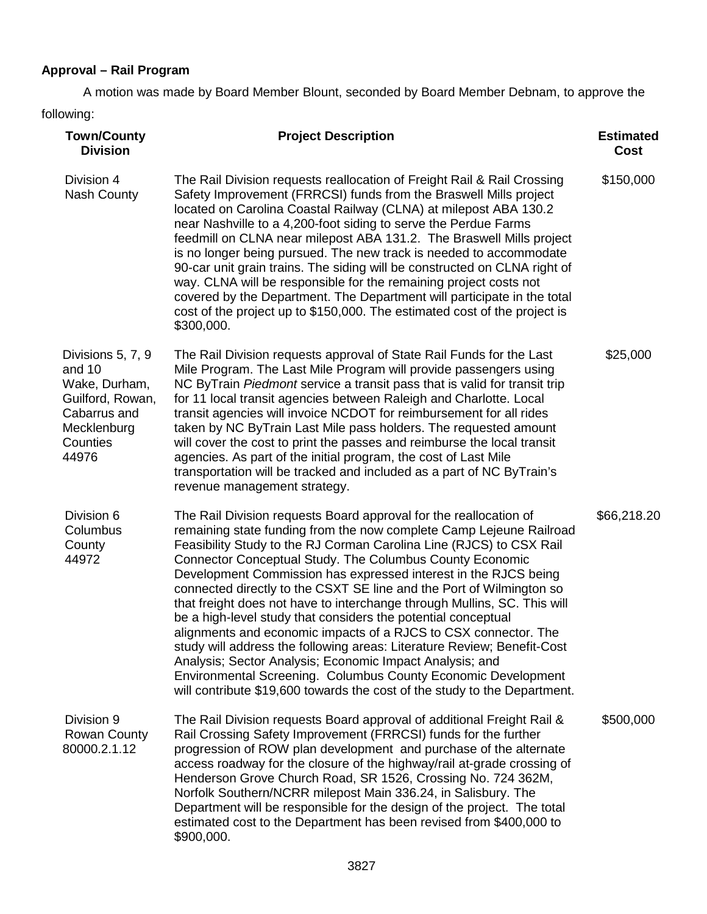# **Approval – Rail Program**

A motion was made by Board Member Blount, seconded by Board Member Debnam, to approve the following:

| <b>Town/County</b><br><b>Division</b>                                                                                | <b>Project Description</b>                                                                                                                                                                                                                                                                                                                                                                                                                                                                                                                                                                                                                                                                                                                                                                                                                                                                                                         | <b>Estimated</b><br>Cost |
|----------------------------------------------------------------------------------------------------------------------|------------------------------------------------------------------------------------------------------------------------------------------------------------------------------------------------------------------------------------------------------------------------------------------------------------------------------------------------------------------------------------------------------------------------------------------------------------------------------------------------------------------------------------------------------------------------------------------------------------------------------------------------------------------------------------------------------------------------------------------------------------------------------------------------------------------------------------------------------------------------------------------------------------------------------------|--------------------------|
| Division 4<br><b>Nash County</b>                                                                                     | The Rail Division requests reallocation of Freight Rail & Rail Crossing<br>Safety Improvement (FRRCSI) funds from the Braswell Mills project<br>located on Carolina Coastal Railway (CLNA) at milepost ABA 130.2<br>near Nashville to a 4,200-foot siding to serve the Perdue Farms<br>feedmill on CLNA near milepost ABA 131.2. The Braswell Mills project<br>is no longer being pursued. The new track is needed to accommodate<br>90-car unit grain trains. The siding will be constructed on CLNA right of<br>way. CLNA will be responsible for the remaining project costs not<br>covered by the Department. The Department will participate in the total<br>cost of the project up to \$150,000. The estimated cost of the project is<br>\$300,000.                                                                                                                                                                          | \$150,000                |
| Divisions 5, 7, 9<br>and 10<br>Wake, Durham,<br>Guilford, Rowan,<br>Cabarrus and<br>Mecklenburg<br>Counties<br>44976 | The Rail Division requests approval of State Rail Funds for the Last<br>Mile Program. The Last Mile Program will provide passengers using<br>NC ByTrain Piedmont service a transit pass that is valid for transit trip<br>for 11 local transit agencies between Raleigh and Charlotte. Local<br>transit agencies will invoice NCDOT for reimbursement for all rides<br>taken by NC ByTrain Last Mile pass holders. The requested amount<br>will cover the cost to print the passes and reimburse the local transit<br>agencies. As part of the initial program, the cost of Last Mile<br>transportation will be tracked and included as a part of NC ByTrain's<br>revenue management strategy.                                                                                                                                                                                                                                     | \$25,000                 |
| Division 6<br>Columbus<br>County<br>44972                                                                            | The Rail Division requests Board approval for the reallocation of<br>remaining state funding from the now complete Camp Lejeune Railroad<br>Feasibility Study to the RJ Corman Carolina Line (RJCS) to CSX Rail<br><b>Connector Conceptual Study. The Columbus County Economic</b><br>Development Commission has expressed interest in the RJCS being<br>connected directly to the CSXT SE line and the Port of Wilmington so<br>that freight does not have to interchange through Mullins, SC. This will<br>be a high-level study that considers the potential conceptual<br>alignments and economic impacts of a RJCS to CSX connector. The<br>study will address the following areas: Literature Review; Benefit-Cost<br>Analysis; Sector Analysis; Economic Impact Analysis; and<br>Environmental Screening. Columbus County Economic Development<br>will contribute \$19,600 towards the cost of the study to the Department. | \$66,218.20              |
| Division 9<br>Rowan County<br>80000.2.1.12                                                                           | The Rail Division requests Board approval of additional Freight Rail &<br>Rail Crossing Safety Improvement (FRRCSI) funds for the further<br>progression of ROW plan development and purchase of the alternate<br>access roadway for the closure of the highway/rail at-grade crossing of<br>Henderson Grove Church Road, SR 1526, Crossing No. 724 362M,<br>Norfolk Southern/NCRR milepost Main 336.24, in Salisbury. The<br>Department will be responsible for the design of the project. The total<br>estimated cost to the Department has been revised from \$400,000 to<br>\$900,000.                                                                                                                                                                                                                                                                                                                                         | \$500,000                |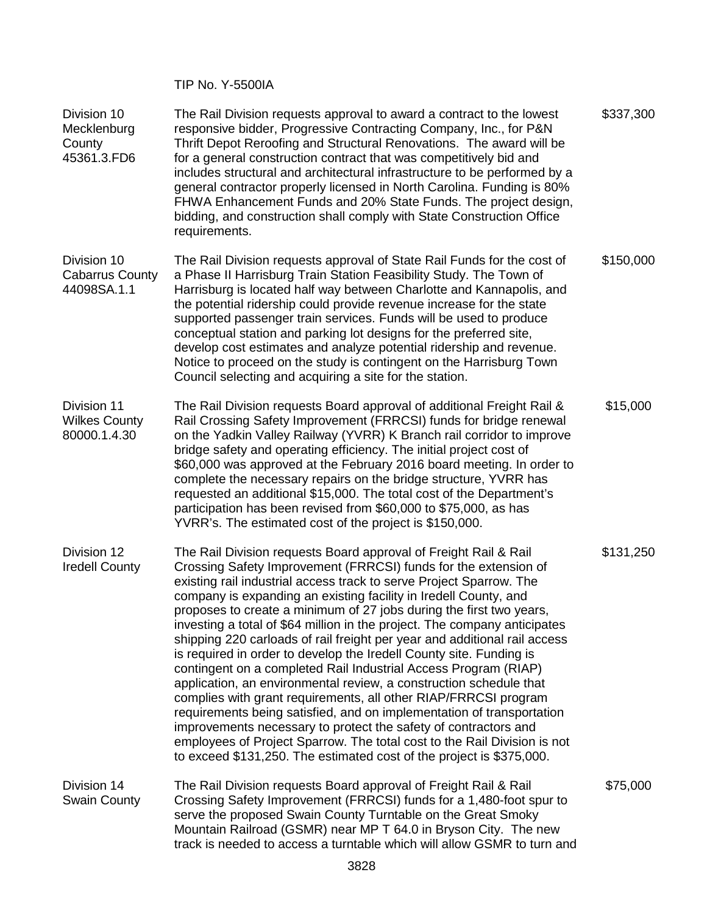TIP No. Y-5500IA

| Division 10<br>Mecklenburg<br>County<br>45361.3.FD6  | The Rail Division requests approval to award a contract to the lowest<br>responsive bidder, Progressive Contracting Company, Inc., for P&N<br>Thrift Depot Reroofing and Structural Renovations. The award will be<br>for a general construction contract that was competitively bid and<br>includes structural and architectural infrastructure to be performed by a<br>general contractor properly licensed in North Carolina. Funding is 80%<br>FHWA Enhancement Funds and 20% State Funds. The project design,<br>bidding, and construction shall comply with State Construction Office<br>requirements.                                                                                                                                                                                                                                                                                                                                                                                                                                                                                       | \$337,300 |
|------------------------------------------------------|----------------------------------------------------------------------------------------------------------------------------------------------------------------------------------------------------------------------------------------------------------------------------------------------------------------------------------------------------------------------------------------------------------------------------------------------------------------------------------------------------------------------------------------------------------------------------------------------------------------------------------------------------------------------------------------------------------------------------------------------------------------------------------------------------------------------------------------------------------------------------------------------------------------------------------------------------------------------------------------------------------------------------------------------------------------------------------------------------|-----------|
| Division 10<br><b>Cabarrus County</b><br>44098SA.1.1 | The Rail Division requests approval of State Rail Funds for the cost of<br>a Phase II Harrisburg Train Station Feasibility Study. The Town of<br>Harrisburg is located half way between Charlotte and Kannapolis, and<br>the potential ridership could provide revenue increase for the state<br>supported passenger train services. Funds will be used to produce<br>conceptual station and parking lot designs for the preferred site,<br>develop cost estimates and analyze potential ridership and revenue.<br>Notice to proceed on the study is contingent on the Harrisburg Town<br>Council selecting and acquiring a site for the station.                                                                                                                                                                                                                                                                                                                                                                                                                                                  | \$150,000 |
| Division 11<br><b>Wilkes County</b><br>80000.1.4.30  | The Rail Division requests Board approval of additional Freight Rail &<br>Rail Crossing Safety Improvement (FRRCSI) funds for bridge renewal<br>on the Yadkin Valley Railway (YVRR) K Branch rail corridor to improve<br>bridge safety and operating efficiency. The initial project cost of<br>\$60,000 was approved at the February 2016 board meeting. In order to<br>complete the necessary repairs on the bridge structure, YVRR has<br>requested an additional \$15,000. The total cost of the Department's<br>participation has been revised from \$60,000 to \$75,000, as has<br>YVRR's. The estimated cost of the project is \$150,000.                                                                                                                                                                                                                                                                                                                                                                                                                                                   | \$15,000  |
| Division 12<br><b>Iredell County</b>                 | The Rail Division requests Board approval of Freight Rail & Rail<br>Crossing Safety Improvement (FRRCSI) funds for the extension of<br>existing rail industrial access track to serve Project Sparrow. The<br>company is expanding an existing facility in Iredell County, and<br>proposes to create a minimum of 27 jobs during the first two years,<br>investing a total of \$64 million in the project. The company anticipates<br>shipping 220 carloads of rail freight per year and additional rail access<br>is required in order to develop the Iredell County site. Funding is<br>contingent on a completed Rail Industrial Access Program (RIAP)<br>application, an environmental review, a construction schedule that<br>complies with grant requirements, all other RIAP/FRRCSI program<br>requirements being satisfied, and on implementation of transportation<br>improvements necessary to protect the safety of contractors and<br>employees of Project Sparrow. The total cost to the Rail Division is not<br>to exceed \$131,250. The estimated cost of the project is \$375,000. | \$131,250 |
| Division 14<br><b>Swain County</b>                   | The Rail Division requests Board approval of Freight Rail & Rail<br>Crossing Safety Improvement (FRRCSI) funds for a 1,480-foot spur to<br>serve the proposed Swain County Turntable on the Great Smoky<br>Mountain Railroad (GSMR) near MP T 64.0 in Bryson City. The new<br>track is needed to access a turntable which will allow GSMR to turn and                                                                                                                                                                                                                                                                                                                                                                                                                                                                                                                                                                                                                                                                                                                                              | \$75,000  |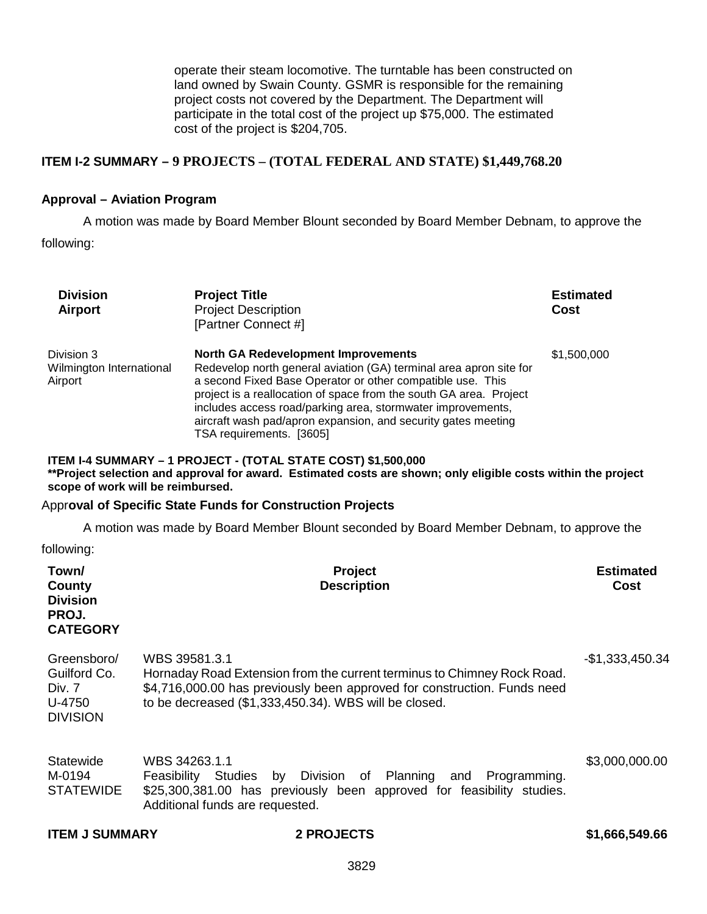operate their steam locomotive. The turntable has been constructed on land owned by Swain County. GSMR is responsible for the remaining project costs not covered by the Department. The Department will participate in the total cost of the project up \$75,000. The estimated cost of the project is \$204,705.

# **ITEM I-2 SUMMARY – 9 PROJECTS – (TOTAL FEDERAL AND STATE) \$1,449,768.20**

## **Approval – Aviation Program**

A motion was made by Board Member Blount seconded by Board Member Debnam, to approve the following:

| <b>Division</b><br><b>Airport</b>                                  | <b>Project Title</b><br><b>Project Description</b><br>[Partner Connect #]                                                                                                                                                                                                                                                                                                                                        | <b>Estimated</b><br><b>Cost</b> |
|--------------------------------------------------------------------|------------------------------------------------------------------------------------------------------------------------------------------------------------------------------------------------------------------------------------------------------------------------------------------------------------------------------------------------------------------------------------------------------------------|---------------------------------|
| Division 3<br>Wilmington International<br>Airport                  | <b>North GA Redevelopment Improvements</b><br>Redevelop north general aviation (GA) terminal area apron site for<br>a second Fixed Base Operator or other compatible use. This<br>project is a reallocation of space from the south GA area. Project<br>includes access road/parking area, stormwater improvements,<br>aircraft wash pad/apron expansion, and security gates meeting<br>TSA requirements. [3605] | \$1,500,000                     |
| scope of work will be reimbursed.                                  | ITEM I-4 SUMMARY - 1 PROJECT - (TOTAL STATE COST) \$1,500,000<br>**Project selection and approval for award. Estimated costs are shown; only eligible costs within the project                                                                                                                                                                                                                                   |                                 |
|                                                                    | <b>Approval of Specific State Funds for Construction Projects</b>                                                                                                                                                                                                                                                                                                                                                |                                 |
|                                                                    | A motion was made by Board Member Blount seconded by Board Member Debnam, to approve the                                                                                                                                                                                                                                                                                                                         |                                 |
| following:                                                         |                                                                                                                                                                                                                                                                                                                                                                                                                  |                                 |
| Town/<br>County<br><b>Division</b><br>PROJ.<br><b>CATEGORY</b>     | Project<br><b>Description</b>                                                                                                                                                                                                                                                                                                                                                                                    | <b>Estimated</b><br>Cost        |
| Greensboro/<br>Guilford Co.<br>Div. 7<br>U-4750<br><b>DIVISION</b> | WBS 39581.3.1<br>Hornaday Road Extension from the current terminus to Chimney Rock Road.<br>\$4,716,000.00 has previously been approved for construction. Funds need<br>to be decreased (\$1,333,450.34). WBS will be closed.                                                                                                                                                                                    | $-$1,333,450.34$                |
| Statewide<br>M-0194<br><b>STATEWIDE</b>                            | WBS 34263.1.1<br>Feasibility Studies<br>by Division<br>of Planning<br>Programming.<br>and<br>\$25,300,381.00 has previously been approved for feasibility studies.<br>Additional funds are requested.                                                                                                                                                                                                            | \$3,000,000.00                  |
| <b>ITEM J SUMMARY</b>                                              | <b>2 PROJECTS</b>                                                                                                                                                                                                                                                                                                                                                                                                | \$1,666,549.66                  |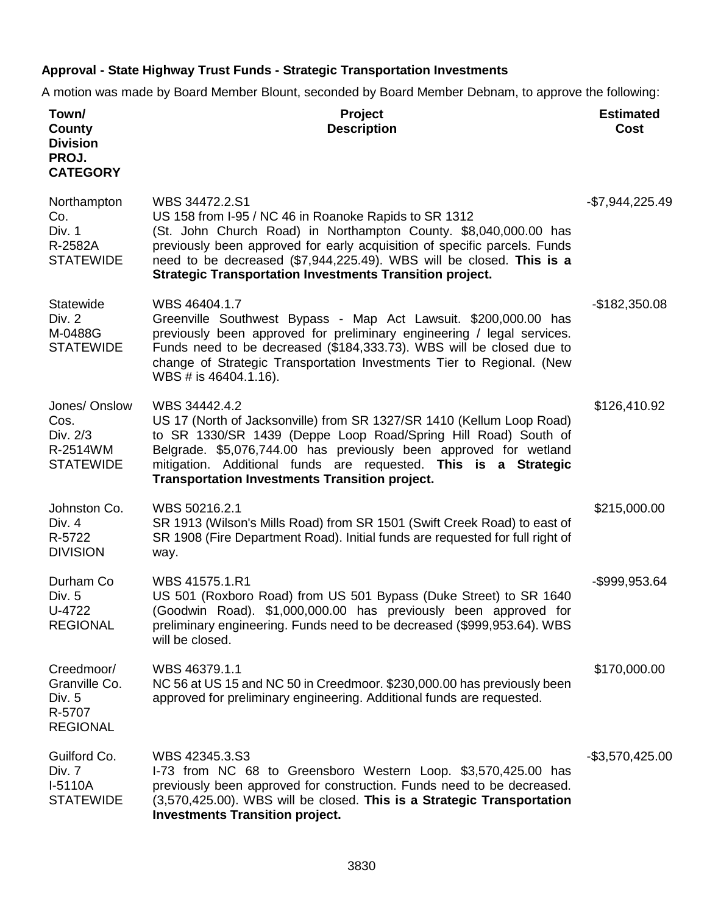# **Approval - State Highway Trust Funds - Strategic Transportation Investments**

A motion was made by Board Member Blount, seconded by Board Member Debnam, to approve the following:

| Town/<br>County<br><b>Division</b><br>PROJ.<br><b>CATEGORY</b>     | Project<br><b>Description</b>                                                                                                                                                                                                                                                                                                                                       | <b>Estimated</b><br>Cost |
|--------------------------------------------------------------------|---------------------------------------------------------------------------------------------------------------------------------------------------------------------------------------------------------------------------------------------------------------------------------------------------------------------------------------------------------------------|--------------------------|
| Northampton<br>Co.<br>Div. 1<br>R-2582A<br><b>STATEWIDE</b>        | WBS 34472.2.S1<br>US 158 from I-95 / NC 46 in Roanoke Rapids to SR 1312<br>(St. John Church Road) in Northampton County. \$8,040,000.00 has<br>previously been approved for early acquisition of specific parcels. Funds<br>need to be decreased (\$7,944,225.49). WBS will be closed. This is a<br><b>Strategic Transportation Investments Transition project.</b> | -\$7,944,225.49          |
| Statewide<br>Div. 2<br>M-0488G<br><b>STATEWIDE</b>                 | WBS 46404.1.7<br>Greenville Southwest Bypass - Map Act Lawsuit. \$200,000.00 has<br>previously been approved for preliminary engineering / legal services.<br>Funds need to be decreased (\$184,333.73). WBS will be closed due to<br>change of Strategic Transportation Investments Tier to Regional. (New<br>WBS # is 46404.1.16).                                | $-$182,350.08$           |
| Jones/ Onslow<br>Cos.<br>Div. 2/3<br>R-2514WM<br><b>STATEWIDE</b>  | WBS 34442.4.2<br>US 17 (North of Jacksonville) from SR 1327/SR 1410 (Kellum Loop Road)<br>to SR 1330/SR 1439 (Deppe Loop Road/Spring Hill Road) South of<br>Belgrade. \$5,076,744.00 has previously been approved for wetland<br>mitigation. Additional funds are requested. This is a Strategic<br><b>Transportation Investments Transition project.</b>           | \$126,410.92             |
| Johnston Co.<br>Div. 4<br>R-5722<br><b>DIVISION</b>                | WBS 50216.2.1<br>SR 1913 (Wilson's Mills Road) from SR 1501 (Swift Creek Road) to east of<br>SR 1908 (Fire Department Road). Initial funds are requested for full right of<br>way.                                                                                                                                                                                  | \$215,000.00             |
| Durham Co<br>Div. 5<br>U-4722<br><b>REGIONAL</b>                   | WBS 41575.1.R1<br>US 501 (Roxboro Road) from US 501 Bypass (Duke Street) to SR 1640<br>(Goodwin Road). \$1,000,000.00 has previously been approved for<br>preliminary engineering. Funds need to be decreased (\$999,953.64). WBS<br>will be closed.                                                                                                                | -\$999,953.64            |
| Creedmoor/<br>Granville Co.<br>Div. 5<br>R-5707<br><b>REGIONAL</b> | WBS 46379.1.1<br>NC 56 at US 15 and NC 50 in Creedmoor. \$230,000.00 has previously been<br>approved for preliminary engineering. Additional funds are requested.                                                                                                                                                                                                   | \$170,000.00             |
| Guilford Co.<br>Div. 7<br>I-5110A<br><b>STATEWIDE</b>              | WBS 42345.3.S3<br>I-73 from NC 68 to Greensboro Western Loop. \$3,570,425.00 has<br>previously been approved for construction. Funds need to be decreased.<br>(3,570,425.00). WBS will be closed. This is a Strategic Transportation<br><b>Investments Transition project.</b>                                                                                      | $-$ \$3,570,425.00       |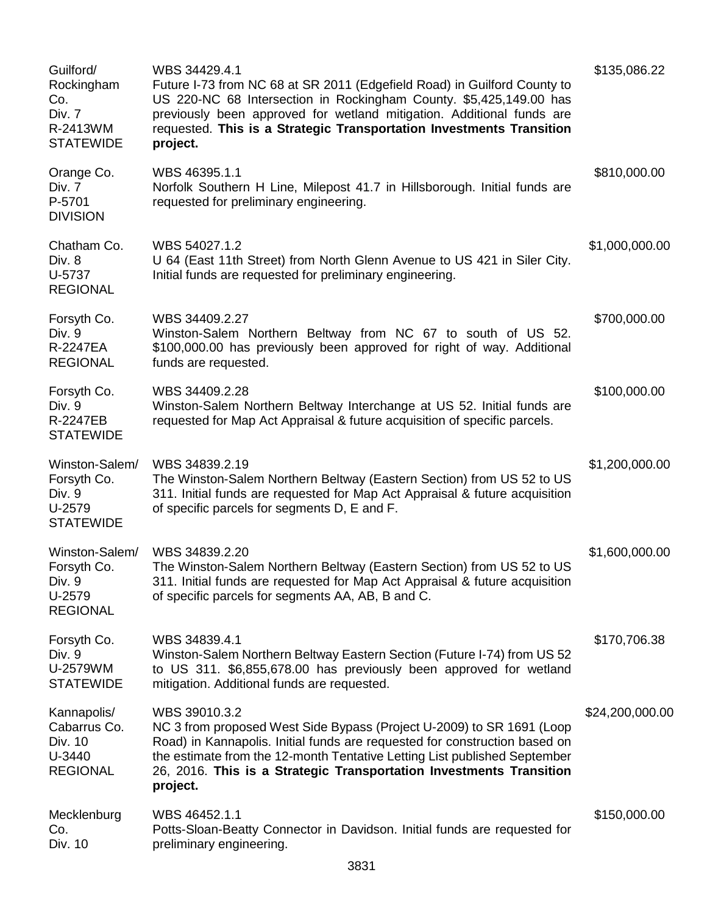| Guilford/<br>Rockingham<br>Co.<br>Div. 7<br>R-2413WM<br><b>STATEWIDE</b> | WBS 34429.4.1<br>Future I-73 from NC 68 at SR 2011 (Edgefield Road) in Guilford County to<br>US 220-NC 68 Intersection in Rockingham County. \$5,425,149.00 has<br>previously been approved for wetland mitigation. Additional funds are<br>requested. This is a Strategic Transportation Investments Transition<br>project.         | \$135,086.22    |
|--------------------------------------------------------------------------|--------------------------------------------------------------------------------------------------------------------------------------------------------------------------------------------------------------------------------------------------------------------------------------------------------------------------------------|-----------------|
| Orange Co.<br>Div. 7<br>P-5701<br><b>DIVISION</b>                        | WBS 46395.1.1<br>Norfolk Southern H Line, Milepost 41.7 in Hillsborough. Initial funds are<br>requested for preliminary engineering.                                                                                                                                                                                                 | \$810,000.00    |
| Chatham Co.<br>Div. 8<br>U-5737<br><b>REGIONAL</b>                       | WBS 54027.1.2<br>U 64 (East 11th Street) from North Glenn Avenue to US 421 in Siler City.<br>Initial funds are requested for preliminary engineering.                                                                                                                                                                                | \$1,000,000.00  |
| Forsyth Co.<br>Div. 9<br>R-2247EA<br><b>REGIONAL</b>                     | WBS 34409.2.27<br>Winston-Salem Northern Beltway from NC 67 to south of US 52.<br>\$100,000.00 has previously been approved for right of way. Additional<br>funds are requested.                                                                                                                                                     | \$700,000.00    |
| Forsyth Co.<br>Div. 9<br><b>R-2247EB</b><br><b>STATEWIDE</b>             | WBS 34409.2.28<br>Winston-Salem Northern Beltway Interchange at US 52. Initial funds are<br>requested for Map Act Appraisal & future acquisition of specific parcels.                                                                                                                                                                | \$100,000.00    |
| Winston-Salem/<br>Forsyth Co.<br>Div. 9<br>U-2579<br><b>STATEWIDE</b>    | WBS 34839.2.19<br>The Winston-Salem Northern Beltway (Eastern Section) from US 52 to US<br>311. Initial funds are requested for Map Act Appraisal & future acquisition<br>of specific parcels for segments D, E and F.                                                                                                               | \$1,200,000.00  |
| Winston-Salem/<br>Forsyth Co.<br>Div. 9<br>U-2579<br><b>REGIONAL</b>     | WBS 34839.2.20<br>The Winston-Salem Northern Beltway (Eastern Section) from US 52 to US<br>311. Initial funds are requested for Map Act Appraisal & future acquisition<br>of specific parcels for segments AA, AB, B and C.                                                                                                          | \$1,600,000.00  |
| Forsyth Co.<br>Div. 9<br>U-2579WM<br><b>STATEWIDE</b>                    | WBS 34839.4.1<br>Winston-Salem Northern Beltway Eastern Section (Future I-74) from US 52<br>to US 311. \$6,855,678.00 has previously been approved for wetland<br>mitigation. Additional funds are requested.                                                                                                                        | \$170,706.38    |
| Kannapolis/<br>Cabarrus Co.<br>Div. 10<br>U-3440<br><b>REGIONAL</b>      | WBS 39010.3.2<br>NC 3 from proposed West Side Bypass (Project U-2009) to SR 1691 (Loop<br>Road) in Kannapolis. Initial funds are requested for construction based on<br>the estimate from the 12-month Tentative Letting List published September<br>26, 2016. This is a Strategic Transportation Investments Transition<br>project. | \$24,200,000.00 |
| Mecklenburg<br>Co.<br>Div. 10                                            | WBS 46452.1.1<br>Potts-Sloan-Beatty Connector in Davidson. Initial funds are requested for<br>preliminary engineering.                                                                                                                                                                                                               | \$150,000.00    |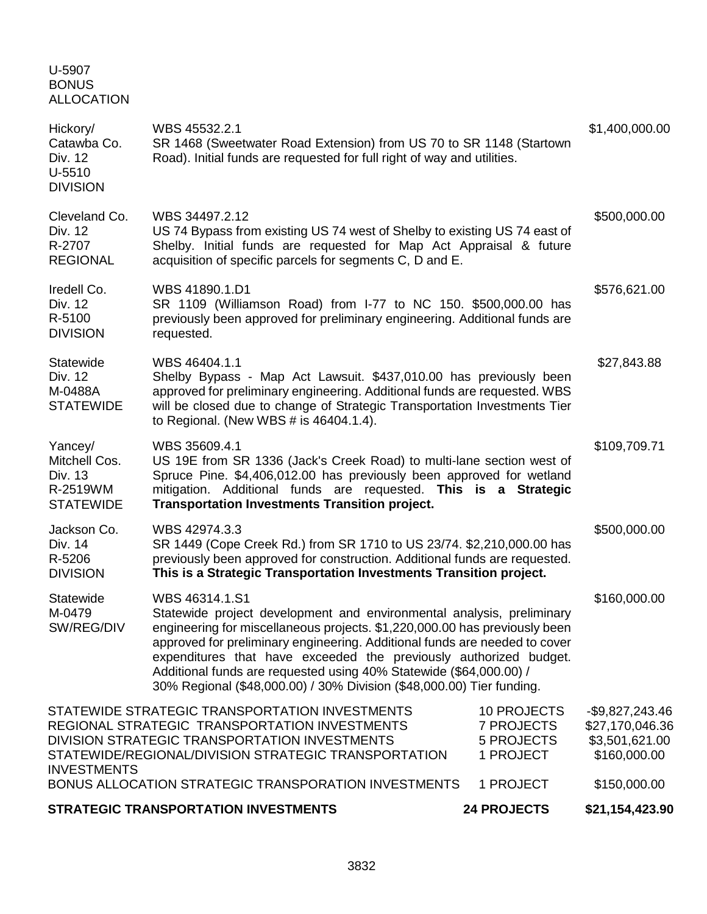U-5907 BONUS ALLOCATION

| Hickory/<br>Catawba Co.<br>Div. 12<br>$U-5510$<br><b>DIVISION</b>   | WBS 45532.2.1<br>SR 1468 (Sweetwater Road Extension) from US 70 to SR 1148 (Startown<br>Road). Initial funds are requested for full right of way and utilities.                                                                                                                                                                                                                                                                                                         |                                                                           | \$1,400,000.00                                                        |
|---------------------------------------------------------------------|-------------------------------------------------------------------------------------------------------------------------------------------------------------------------------------------------------------------------------------------------------------------------------------------------------------------------------------------------------------------------------------------------------------------------------------------------------------------------|---------------------------------------------------------------------------|-----------------------------------------------------------------------|
| Cleveland Co.<br>Div. 12<br>R-2707<br><b>REGIONAL</b>               | WBS 34497.2.12<br>US 74 Bypass from existing US 74 west of Shelby to existing US 74 east of<br>Shelby. Initial funds are requested for Map Act Appraisal & future<br>acquisition of specific parcels for segments C, D and E.                                                                                                                                                                                                                                           |                                                                           | \$500,000.00                                                          |
| Iredell Co.<br>Div. 12<br>R-5100<br><b>DIVISION</b>                 | WBS 41890.1.D1<br>SR 1109 (Williamson Road) from I-77 to NC 150. \$500,000.00 has<br>previously been approved for preliminary engineering. Additional funds are<br>requested.                                                                                                                                                                                                                                                                                           |                                                                           | \$576,621.00                                                          |
| <b>Statewide</b><br>Div. 12<br>M-0488A<br><b>STATEWIDE</b>          | WBS 46404.1.1<br>Shelby Bypass - Map Act Lawsuit. \$437,010.00 has previously been<br>approved for preliminary engineering. Additional funds are requested. WBS<br>will be closed due to change of Strategic Transportation Investments Tier<br>to Regional. (New WBS # is 46404.1.4).                                                                                                                                                                                  |                                                                           | \$27,843.88                                                           |
| Yancey/<br>Mitchell Cos.<br>Div. 13<br>R-2519WM<br><b>STATEWIDE</b> | WBS 35609.4.1<br>US 19E from SR 1336 (Jack's Creek Road) to multi-lane section west of<br>Spruce Pine. \$4,406,012.00 has previously been approved for wetland<br>mitigation. Additional funds are requested. This is a Strategic<br><b>Transportation Investments Transition project.</b>                                                                                                                                                                              |                                                                           | \$109,709.71                                                          |
| Jackson Co.<br>Div. 14<br>R-5206<br><b>DIVISION</b>                 | WBS 42974.3.3<br>SR 1449 (Cope Creek Rd.) from SR 1710 to US 23/74. \$2,210,000.00 has<br>previously been approved for construction. Additional funds are requested.<br>This is a Strategic Transportation Investments Transition project.                                                                                                                                                                                                                              |                                                                           | \$500,000.00                                                          |
| Statewide<br>M-0479<br>SW/REG/DIV                                   | WBS 46314.1.S1<br>Statewide project development and environmental analysis, preliminary<br>engineering for miscellaneous projects. \$1,220,000.00 has previously been<br>approved for preliminary engineering. Additional funds are needed to cover<br>expenditures that have exceeded the previously authorized budget.<br>Additional funds are requested using 40% Statewide (\$64,000.00) /<br>30% Regional (\$48,000.00) / 30% Division (\$48,000.00) Tier funding. |                                                                           | \$160,000.00                                                          |
| <b>INVESTMENTS</b>                                                  | STATEWIDE STRATEGIC TRANSPORTATION INVESTMENTS<br>REGIONAL STRATEGIC TRANSPORTATION INVESTMENTS<br>DIVISION STRATEGIC TRANSPORTATION INVESTMENTS<br>STATEWIDE/REGIONAL/DIVISION STRATEGIC TRANSPORTATION                                                                                                                                                                                                                                                                | <b>10 PROJECTS</b><br><b>7 PROJECTS</b><br><b>5 PROJECTS</b><br>1 PROJECT | $-$9,827,243.46$<br>\$27,170,046.36<br>\$3,501,621.00<br>\$160,000.00 |
|                                                                     | BONUS ALLOCATION STRATEGIC TRANSPORATION INVESTMENTS                                                                                                                                                                                                                                                                                                                                                                                                                    | 1 PROJECT                                                                 | \$150,000.00                                                          |
|                                                                     | <b>STRATEGIC TRANSPORTATION INVESTMENTS</b>                                                                                                                                                                                                                                                                                                                                                                                                                             | <b>24 PROJECTS</b>                                                        | \$21,154,423.90                                                       |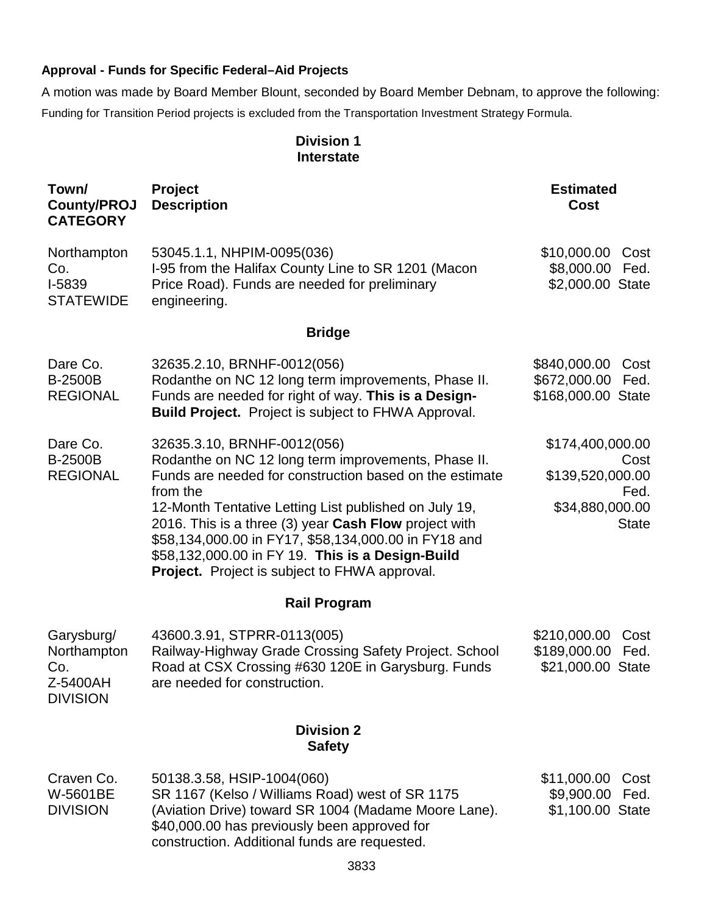# **Approval - Funds for Specific Federal–Aid Projects**

A motion was made by Board Member Blount, seconded by Board Member Debnam, to approve the following: Funding for Transition Period projects is excluded from the Transportation Investment Strategy Formula.

# **Division 1 Interstate**

| Town/<br><b>County/PROJ</b><br><b>CATEGORY</b>                  | Project<br><b>Description</b>                                                                                                                                                                                                                                                                                                                                                                                                                   | <b>Estimated</b><br><b>Cost</b>                                                         |
|-----------------------------------------------------------------|-------------------------------------------------------------------------------------------------------------------------------------------------------------------------------------------------------------------------------------------------------------------------------------------------------------------------------------------------------------------------------------------------------------------------------------------------|-----------------------------------------------------------------------------------------|
| Northampton<br>Co.<br>I-5839<br><b>STATEWIDE</b>                | 53045.1.1, NHPIM-0095(036)<br>I-95 from the Halifax County Line to SR 1201 (Macon<br>Price Road). Funds are needed for preliminary<br>engineering.                                                                                                                                                                                                                                                                                              | \$10,000.00<br>Cost<br>\$8,000.00<br>Fed.<br>\$2,000.00 State                           |
|                                                                 | <b>Bridge</b>                                                                                                                                                                                                                                                                                                                                                                                                                                   |                                                                                         |
| Dare Co.<br><b>B-2500B</b><br><b>REGIONAL</b>                   | 32635.2.10, BRNHF-0012(056)<br>Rodanthe on NC 12 long term improvements, Phase II.<br>Funds are needed for right of way. This is a Design-<br><b>Build Project.</b> Project is subject to FHWA Approval.                                                                                                                                                                                                                                        | \$840,000.00<br>Cost<br>\$672,000.00<br>Fed.<br>\$168,000.00 State                      |
| Dare Co.<br><b>B-2500B</b><br><b>REGIONAL</b>                   | 32635.3.10, BRNHF-0012(056)<br>Rodanthe on NC 12 long term improvements, Phase II.<br>Funds are needed for construction based on the estimate<br>from the<br>12-Month Tentative Letting List published on July 19,<br>2016. This is a three (3) year Cash Flow project with<br>\$58,134,000.00 in FY17, \$58,134,000.00 in FY18 and<br>\$58,132,000.00 in FY 19. This is a Design-Build<br><b>Project.</b> Project is subject to FHWA approval. | \$174,400,000.00<br>Cost<br>\$139,520,000.00<br>Fed.<br>\$34,880,000.00<br><b>State</b> |
|                                                                 | <b>Rail Program</b>                                                                                                                                                                                                                                                                                                                                                                                                                             |                                                                                         |
| Garysburg/<br>Northampton<br>Co.<br>Z-5400AH<br><b>DIVISION</b> | 43600.3.91, STPRR-0113(005)<br>Railway-Highway Grade Crossing Safety Project. School<br>Road at CSX Crossing #630 120E in Garysburg. Funds<br>are needed for construction.                                                                                                                                                                                                                                                                      | \$210,000.00<br>Cost<br>\$189,000.00<br>Fed.<br>\$21,000.00 State                       |
|                                                                 | <b>Division 2</b><br><b>Safety</b>                                                                                                                                                                                                                                                                                                                                                                                                              |                                                                                         |
| Craven Co.<br>W-5601BE<br><b>DIVISION</b>                       | 50138.3.58, HSIP-1004(060)<br>SR 1167 (Kelso / Williams Road) west of SR 1175<br>(Aviation Drive) toward SR 1004 (Madame Moore Lane).<br>\$40,000.00 has previously been approved for<br>construction. Additional funds are requested.                                                                                                                                                                                                          | \$11,000.00<br>Cost<br>\$9,900.00<br>Fed.<br>\$1,100.00 State                           |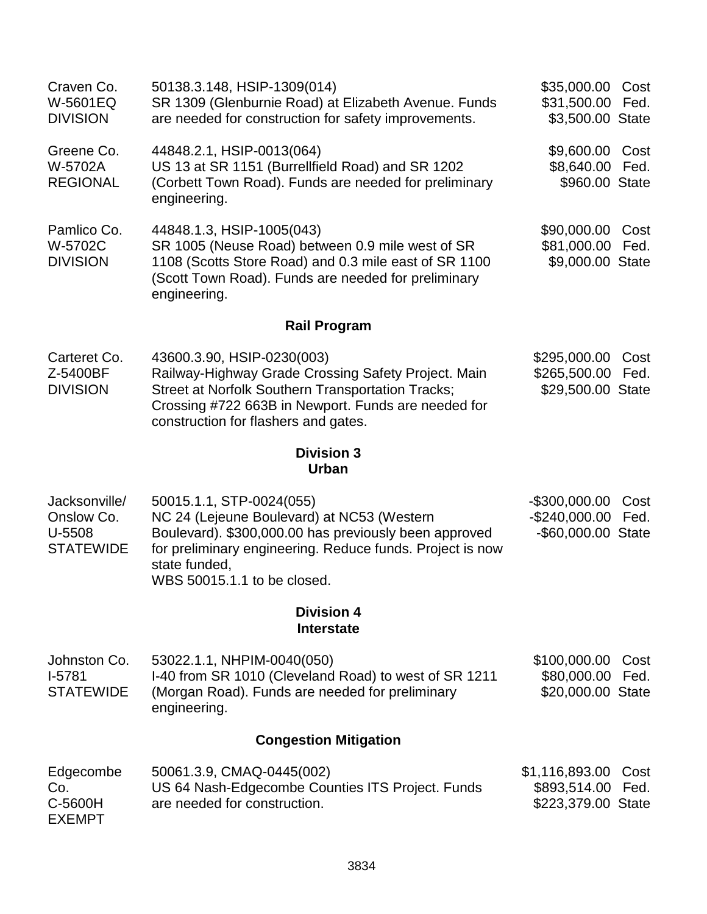| Craven Co.<br>W-5601EQ<br><b>DIVISION</b> | 50138.3.148, HSIP-1309(014)<br>SR 1309 (Glenburnie Road) at Elizabeth Avenue. Funds<br>are needed for construction for safety improvements.                                                                   | \$35,000.00 Cost<br>\$31,500.00 Fed.<br>\$3,500.00 State |  |
|-------------------------------------------|---------------------------------------------------------------------------------------------------------------------------------------------------------------------------------------------------------------|----------------------------------------------------------|--|
| Greene Co.<br>W-5702A<br><b>REGIONAL</b>  | 44848.2.1, HSIP-0013(064)<br>US 13 at SR 1151 (Burrellfield Road) and SR 1202<br>(Corbett Town Road). Funds are needed for preliminary<br>engineering.                                                        | \$9,600.00 Cost<br>\$8,640.00 Fed.<br>\$960.00 State     |  |
| Pamlico Co.<br>W-5702C<br><b>DIVISION</b> | 44848.1.3, HSIP-1005(043)<br>SR 1005 (Neuse Road) between 0.9 mile west of SR<br>1108 (Scotts Store Road) and 0.3 mile east of SR 1100<br>(Scott Town Road). Funds are needed for preliminary<br>engineering. | \$90,000.00 Cost<br>\$81,000.00 Fed.<br>\$9,000.00 State |  |

# **Rail Program**

| Carteret Co.    | 43600.3.90, HSIP-0230(003)                          | \$295,000.00 Cost |  |
|-----------------|-----------------------------------------------------|-------------------|--|
| Z-5400BF        | Railway-Highway Grade Crossing Safety Project. Main | \$265,500.00 Fed. |  |
| <b>DIVISION</b> | Street at Norfolk Southern Transportation Tracks;   | \$29,500.00 State |  |
|                 | Crossing #722 663B in Newport. Funds are needed for |                   |  |
|                 | construction for flashers and gates.                |                   |  |

## **Division 3 Urban**

Jacksonville/ Onslow Co. U-5508 **STATEWIDE** 50015.1.1, STP-0024(055) NC 24 (Lejeune Boulevard) at NC53 (Western Boulevard). \$300,000.00 has previously been approved for preliminary engineering. Reduce funds. Project is now state funded, WBS 50015.1.1 to be closed. -\$300,000.00 Cost -\$240,000.00 Fed. -\$60,000.00 State

# **Division 4 Interstate**

| Johnston Co.     | 53022.1.1, NHPIM-0040(050)                            | \$100,000.00 Cost |  |
|------------------|-------------------------------------------------------|-------------------|--|
| 1-5781           | I-40 from SR 1010 (Cleveland Road) to west of SR 1211 | \$80,000.00 Fed.  |  |
| <b>STATEWIDE</b> | (Morgan Road). Funds are needed for preliminary       | \$20,000.00 State |  |
|                  | engineering.                                          |                   |  |

# **Congestion Mitigation**

| Edgecombe     | 50061.3.9, CMAQ-0445(002)                        | \$1,116,893.00 Cost |  |
|---------------|--------------------------------------------------|---------------------|--|
| Co.           | US 64 Nash-Edgecombe Counties ITS Project. Funds | \$893,514.00 Fed.   |  |
| C-5600H       | are needed for construction.                     | \$223,379.00 State  |  |
| <b>EXEMPT</b> |                                                  |                     |  |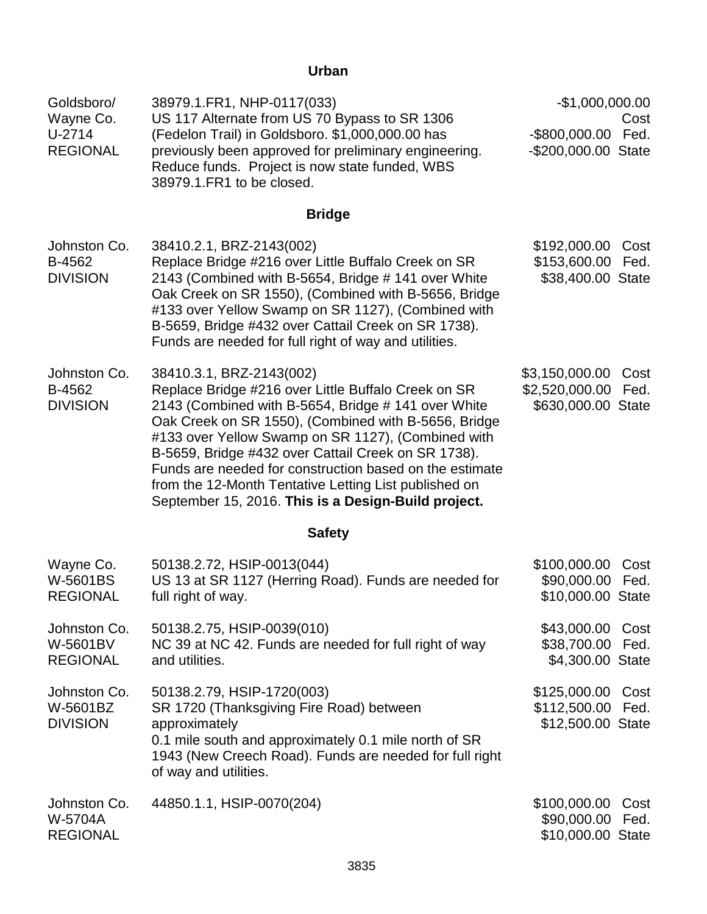# **Urban**

| Goldsboro/<br>Wayne Co.<br>$U-2714$<br><b>REGIONAL</b> | 38979.1.FR1, NHP-0117(033)<br>US 117 Alternate from US 70 Bypass to SR 1306<br>(Fedelon Trail) in Goldsboro. \$1,000,000.00 has<br>previously been approved for preliminary engineering.<br>Reduce funds. Project is now state funded, WBS<br>38979.1. FR1 to be closed.                                                                                                                                                                                                               | $-$1,000,000.00$<br>$-$ \$800,000.00<br>-\$200,000.00 State | Cost<br>Fed. |
|--------------------------------------------------------|----------------------------------------------------------------------------------------------------------------------------------------------------------------------------------------------------------------------------------------------------------------------------------------------------------------------------------------------------------------------------------------------------------------------------------------------------------------------------------------|-------------------------------------------------------------|--------------|
|                                                        | <b>Bridge</b>                                                                                                                                                                                                                                                                                                                                                                                                                                                                          |                                                             |              |
| Johnston Co.<br>B-4562<br><b>DIVISION</b>              | 38410.2.1, BRZ-2143(002)<br>Replace Bridge #216 over Little Buffalo Creek on SR<br>2143 (Combined with B-5654, Bridge #141 over White<br>Oak Creek on SR 1550), (Combined with B-5656, Bridge<br>#133 over Yellow Swamp on SR 1127), (Combined with<br>B-5659, Bridge #432 over Cattail Creek on SR 1738).<br>Funds are needed for full right of way and utilities.                                                                                                                    | \$192,000.00<br>\$153,600.00<br>\$38,400.00 State           | Cost<br>Fed. |
| Johnston Co.<br>B-4562<br><b>DIVISION</b>              | 38410.3.1, BRZ-2143(002)<br>Replace Bridge #216 over Little Buffalo Creek on SR<br>2143 (Combined with B-5654, Bridge # 141 over White<br>Oak Creek on SR 1550), (Combined with B-5656, Bridge<br>#133 over Yellow Swamp on SR 1127), (Combined with<br>B-5659, Bridge #432 over Cattail Creek on SR 1738).<br>Funds are needed for construction based on the estimate<br>from the 12-Month Tentative Letting List published on<br>September 15, 2016. This is a Design-Build project. | \$3,150,000.00<br>\$2,520,000.00<br>\$630,000.00 State      | Cost<br>Fed. |
|                                                        | <b>Safety</b>                                                                                                                                                                                                                                                                                                                                                                                                                                                                          |                                                             |              |
| Wayne Co.<br>W-5601BS<br><b>REGIONAL</b>               | 50138.2.72, HSIP-0013(044)<br>US 13 at SR 1127 (Herring Road). Funds are needed for<br>full right of way.                                                                                                                                                                                                                                                                                                                                                                              | \$100,000.00<br>\$90,000.00<br>\$10,000.00 State            | Cost<br>Fed. |
| Johnston Co.<br>W-5601BV<br><b>REGIONAL</b>            | 50138.2.75, HSIP-0039(010)<br>NC 39 at NC 42. Funds are needed for full right of way<br>and utilities.                                                                                                                                                                                                                                                                                                                                                                                 | \$43,000.00<br>\$38,700.00<br>\$4,300.00 State              | Cost<br>Fed. |
| Johnston Co.<br>W-5601BZ<br><b>DIVISION</b>            | 50138.2.79, HSIP-1720(003)<br>SR 1720 (Thanksgiving Fire Road) between<br>approximately<br>0.1 mile south and approximately 0.1 mile north of SR<br>1943 (New Creech Road). Funds are needed for full right<br>of way and utilities.                                                                                                                                                                                                                                                   | \$125,000.00 Cost<br>\$112,500.00<br>\$12,500.00 State      | Fed.         |
| Johnston Co.<br>W-5704A<br><b>REGIONAL</b>             | 44850.1.1, HSIP-0070(204)                                                                                                                                                                                                                                                                                                                                                                                                                                                              | \$100,000.00<br>\$90,000.00<br>\$10,000.00 State            | Cost<br>Fed. |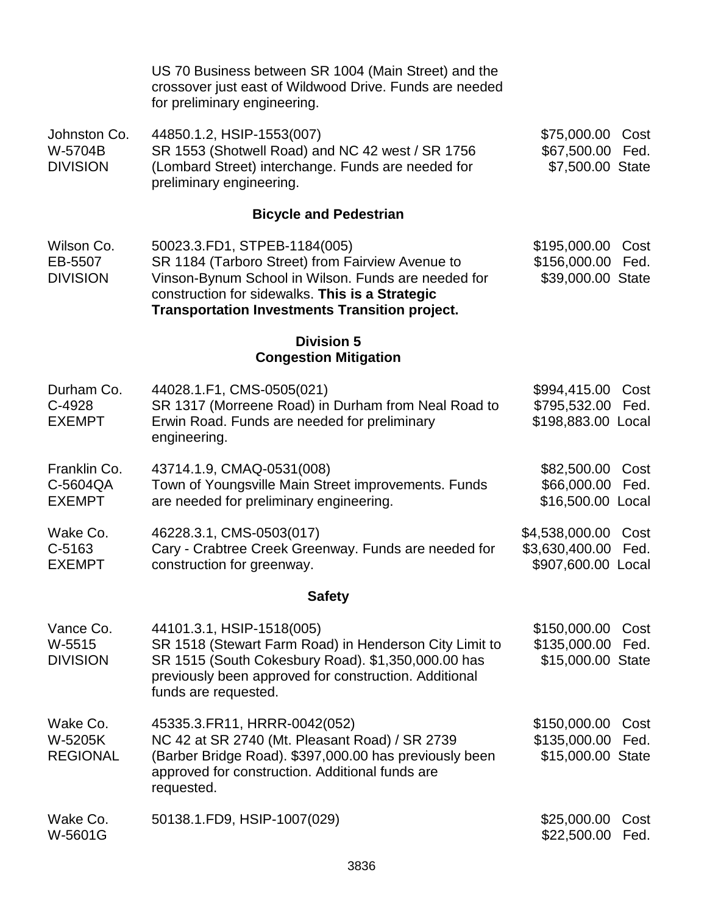|                                            | US 70 Business between SR 1004 (Main Street) and the<br>crossover just east of Wildwood Drive. Funds are needed<br>for preliminary engineering.                                                                                                     |                                                        |              |
|--------------------------------------------|-----------------------------------------------------------------------------------------------------------------------------------------------------------------------------------------------------------------------------------------------------|--------------------------------------------------------|--------------|
| Johnston Co.<br>W-5704B<br><b>DIVISION</b> | 44850.1.2, HSIP-1553(007)<br>SR 1553 (Shotwell Road) and NC 42 west / SR 1756<br>(Lombard Street) interchange. Funds are needed for<br>preliminary engineering.                                                                                     | \$75,000.00<br>\$67,500.00<br>\$7,500.00 State         | Cost<br>Fed. |
|                                            | <b>Bicycle and Pedestrian</b>                                                                                                                                                                                                                       |                                                        |              |
| Wilson Co.<br>EB-5507<br><b>DIVISION</b>   | 50023.3.FD1, STPEB-1184(005)<br>SR 1184 (Tarboro Street) from Fairview Avenue to<br>Vinson-Bynum School in Wilson. Funds are needed for<br>construction for sidewalks. This is a Strategic<br><b>Transportation Investments Transition project.</b> | \$195,000.00<br>\$156,000.00<br>\$39,000.00 State      | Cost<br>Fed. |
|                                            | <b>Division 5</b><br><b>Congestion Mitigation</b>                                                                                                                                                                                                   |                                                        |              |
| Durham Co.<br>C-4928<br><b>EXEMPT</b>      | 44028.1.F1, CMS-0505(021)<br>SR 1317 (Morreene Road) in Durham from Neal Road to<br>Erwin Road. Funds are needed for preliminary<br>engineering.                                                                                                    | \$994,415.00<br>\$795,532.00<br>\$198,883.00 Local     | Cost<br>Fed. |
| Franklin Co.<br>C-5604QA<br><b>EXEMPT</b>  | 43714.1.9, CMAQ-0531(008)<br>Town of Youngsville Main Street improvements. Funds<br>are needed for preliminary engineering.                                                                                                                         | \$82,500.00<br>\$66,000.00<br>\$16,500.00 Local        | Cost<br>Fed. |
| Wake Co.<br>C-5163<br><b>EXEMPT</b>        | 46228.3.1, CMS-0503(017)<br>Cary - Crabtree Creek Greenway. Funds are needed for<br>construction for greenway.                                                                                                                                      | \$4,538,000.00<br>\$3,630,400.00<br>\$907,600.00 Local | Cost<br>Fed. |
|                                            | <b>Safety</b>                                                                                                                                                                                                                                       |                                                        |              |
| Vance Co.<br>W-5515<br><b>DIVISION</b>     | 44101.3.1, HSIP-1518(005)<br>SR 1518 (Stewart Farm Road) in Henderson City Limit to<br>SR 1515 (South Cokesbury Road). \$1,350,000.00 has<br>previously been approved for construction. Additional<br>funds are requested.                          | \$150,000.00<br>\$135,000.00<br>\$15,000.00 State      | Cost<br>Fed. |
| Wake Co.<br>W-5205K<br><b>REGIONAL</b>     | 45335.3. FR11, HRRR-0042(052)<br>NC 42 at SR 2740 (Mt. Pleasant Road) / SR 2739<br>(Barber Bridge Road). \$397,000.00 has previously been<br>approved for construction. Additional funds are<br>requested.                                          | \$150,000.00<br>\$135,000.00<br>\$15,000.00 State      | Cost<br>Fed. |
| Wake Co.<br>W-5601G                        | 50138.1.FD9, HSIP-1007(029)                                                                                                                                                                                                                         | \$25,000.00<br>\$22,500.00                             | Cost<br>Fed. |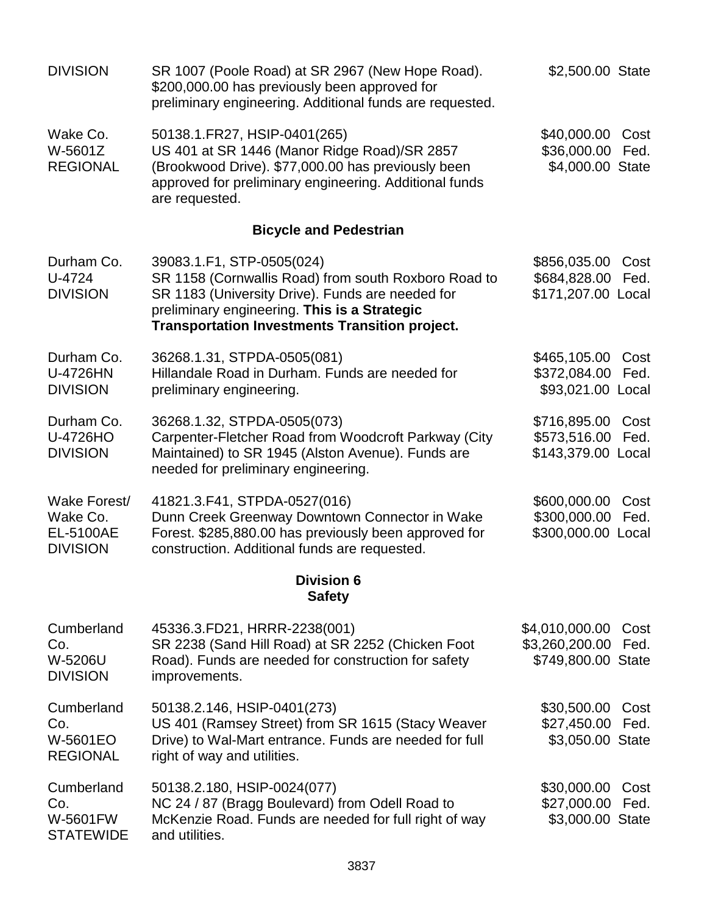| <b>DIVISION</b>                                                 | SR 1007 (Poole Road) at SR 2967 (New Hope Road).<br>\$200,000.00 has previously been approved for<br>preliminary engineering. Additional funds are requested.                                                                                  | \$2,500.00 State                                       |                       |
|-----------------------------------------------------------------|------------------------------------------------------------------------------------------------------------------------------------------------------------------------------------------------------------------------------------------------|--------------------------------------------------------|-----------------------|
| Wake Co.<br>W-5601Z<br><b>REGIONAL</b>                          | 50138.1.FR27, HSIP-0401(265)<br>US 401 at SR 1446 (Manor Ridge Road)/SR 2857<br>(Brookwood Drive). \$77,000.00 has previously been<br>approved for preliminary engineering. Additional funds<br>are requested.                                 | \$40,000.00<br>\$36,000.00<br>\$4,000.00 State         | Cost<br>Fed.          |
|                                                                 | <b>Bicycle and Pedestrian</b>                                                                                                                                                                                                                  |                                                        |                       |
| Durham Co.<br>U-4724<br><b>DIVISION</b>                         | 39083.1.F1, STP-0505(024)<br>SR 1158 (Cornwallis Road) from south Roxboro Road to<br>SR 1183 (University Drive). Funds are needed for<br>preliminary engineering. This is a Strategic<br><b>Transportation Investments Transition project.</b> | \$856,035.00<br>\$684,828.00<br>\$171,207.00           | Cost<br>Fed.<br>Local |
| Durham Co.<br>U-4726HN<br><b>DIVISION</b>                       | 36268.1.31, STPDA-0505(081)<br>Hillandale Road in Durham. Funds are needed for<br>preliminary engineering.                                                                                                                                     | \$465,105.00<br>\$372,084.00<br>\$93,021.00            | Cost<br>Fed.<br>Local |
| Durham Co.<br>U-4726HO<br><b>DIVISION</b>                       | 36268.1.32, STPDA-0505(073)<br>Carpenter-Fletcher Road from Woodcroft Parkway (City<br>Maintained) to SR 1945 (Alston Avenue). Funds are<br>needed for preliminary engineering.                                                                | \$716,895.00<br>\$573,516.00<br>\$143,379.00 Local     | Cost<br>Fed.          |
| Wake Forest/<br>Wake Co.<br><b>EL-5100AE</b><br><b>DIVISION</b> | 41821.3.F41, STPDA-0527(016)<br>Dunn Creek Greenway Downtown Connector in Wake<br>Forest. \$285,880.00 has previously been approved for<br>construction. Additional funds are requested.                                                       | \$600,000.00<br>\$300,000.00<br>\$300,000.00 Local     | Cost<br>Fed.          |
|                                                                 | <b>Division 6</b><br><b>Safety</b>                                                                                                                                                                                                             |                                                        |                       |
| Cumberland<br>Co.<br>W-5206U<br><b>DIVISION</b>                 | 45336.3.FD21, HRRR-2238(001)<br>SR 2238 (Sand Hill Road) at SR 2252 (Chicken Foot<br>Road). Funds are needed for construction for safety<br>improvements.                                                                                      | \$4,010,000.00<br>\$3,260,200.00<br>\$749,800.00 State | Cost<br>Fed.          |
| Cumberland<br>Co.<br>W-5601EO<br><b>REGIONAL</b>                | 50138.2.146, HSIP-0401(273)<br>US 401 (Ramsey Street) from SR 1615 (Stacy Weaver<br>Drive) to Wal-Mart entrance. Funds are needed for full<br>right of way and utilities.                                                                      | \$30,500.00<br>\$27,450.00<br>\$3,050.00 State         | Cost<br>Fed.          |
| Cumberland<br>Co.<br><b>W-5601FW</b><br><b>STATEWIDE</b>        | 50138.2.180, HSIP-0024(077)<br>NC 24 / 87 (Bragg Boulevard) from Odell Road to<br>McKenzie Road. Funds are needed for full right of way<br>and utilities.                                                                                      | \$30,000.00<br>\$27,000.00<br>\$3,000.00 State         | Cost<br>Fed.          |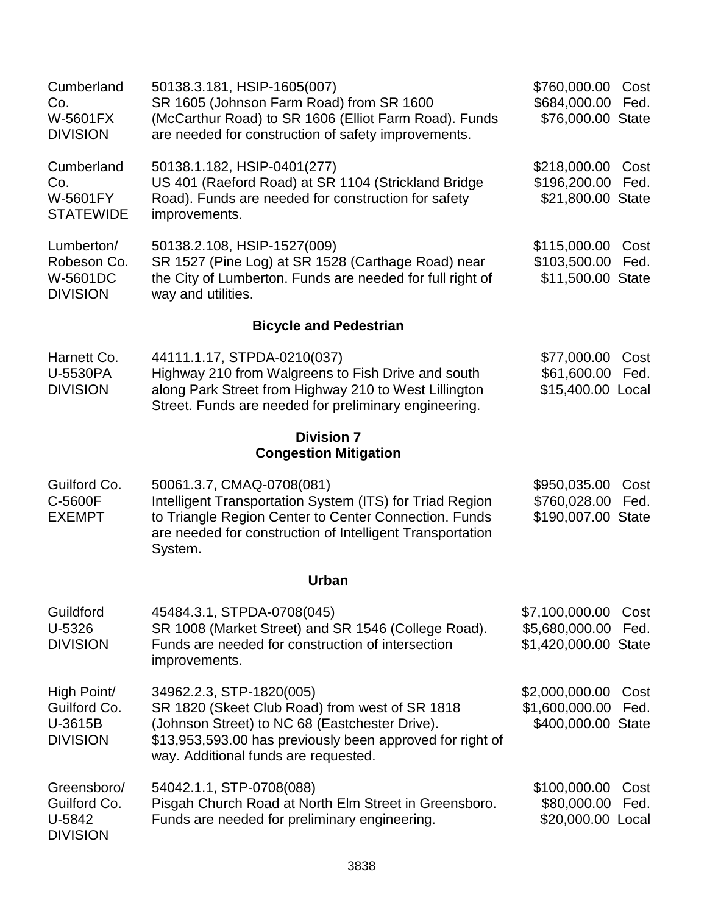| Cumberland<br>Co.<br><b>W-5601FX</b><br><b>DIVISION</b>   | 50138.3.181, HSIP-1605(007)<br>SR 1605 (Johnson Farm Road) from SR 1600<br>(McCarthur Road) to SR 1606 (Elliot Farm Road). Funds<br>are needed for construction of safety improvements.                                           | \$760,000.00<br>\$684,000.00<br>\$76,000.00 State        | Cost<br>Fed. |
|-----------------------------------------------------------|-----------------------------------------------------------------------------------------------------------------------------------------------------------------------------------------------------------------------------------|----------------------------------------------------------|--------------|
| Cumberland<br>Co.<br>W-5601FY<br><b>STATEWIDE</b>         | 50138.1.182, HSIP-0401(277)<br>US 401 (Raeford Road) at SR 1104 (Strickland Bridge<br>Road). Funds are needed for construction for safety<br>improvements.                                                                        | \$218,000.00<br>\$196,200.00<br>\$21,800.00 State        | Cost<br>Fed. |
| Lumberton/<br>Robeson Co.<br>W-5601DC<br><b>DIVISION</b>  | 50138.2.108, HSIP-1527(009)<br>SR 1527 (Pine Log) at SR 1528 (Carthage Road) near<br>the City of Lumberton. Funds are needed for full right of<br>way and utilities.                                                              | \$115,000.00<br>\$103,500.00<br>\$11,500.00 State        | Cost<br>Fed. |
|                                                           | <b>Bicycle and Pedestrian</b>                                                                                                                                                                                                     |                                                          |              |
| Harnett Co.<br>U-5530PA<br><b>DIVISION</b>                | 44111.1.17, STPDA-0210(037)<br>Highway 210 from Walgreens to Fish Drive and south<br>along Park Street from Highway 210 to West Lillington<br>Street. Funds are needed for preliminary engineering.                               | \$77,000.00<br>\$61,600.00<br>\$15,400.00 Local          | Cost<br>Fed. |
|                                                           | <b>Division 7</b><br><b>Congestion Mitigation</b>                                                                                                                                                                                 |                                                          |              |
| Guilford Co.<br>C-5600F<br><b>EXEMPT</b>                  | 50061.3.7, CMAQ-0708(081)<br>Intelligent Transportation System (ITS) for Triad Region<br>to Triangle Region Center to Center Connection. Funds<br>are needed for construction of Intelligent Transportation<br>System.            | \$950,035.00<br>\$760,028.00<br>\$190,007.00 State       | Cost<br>Fed. |
|                                                           | <b>Urban</b>                                                                                                                                                                                                                      |                                                          |              |
| Guildford<br>U-5326<br><b>DIVISION</b>                    | 45484.3.1, STPDA-0708(045)<br>SR 1008 (Market Street) and SR 1546 (College Road).<br>Funds are needed for construction of intersection<br>improvements.                                                                           | \$7,100,000.00<br>\$5,680,000.00<br>\$1,420,000.00 State | Cost<br>Fed. |
| High Point/<br>Guilford Co.<br>U-3615B<br><b>DIVISION</b> | 34962.2.3, STP-1820(005)<br>SR 1820 (Skeet Club Road) from west of SR 1818<br>(Johnson Street) to NC 68 (Eastchester Drive).<br>\$13,953,593.00 has previously been approved for right of<br>way. Additional funds are requested. | \$2,000,000.00<br>\$1,600,000.00<br>\$400,000.00 State   | Cost<br>Fed. |
| Greensboro/<br>Guilford Co.<br>U-5842<br><b>DIVISION</b>  | 54042.1.1, STP-0708(088)<br>Pisgah Church Road at North Elm Street in Greensboro.<br>Funds are needed for preliminary engineering.                                                                                                | \$100,000.00<br>\$80,000.00<br>\$20,000.00 Local         | Cost<br>Fed. |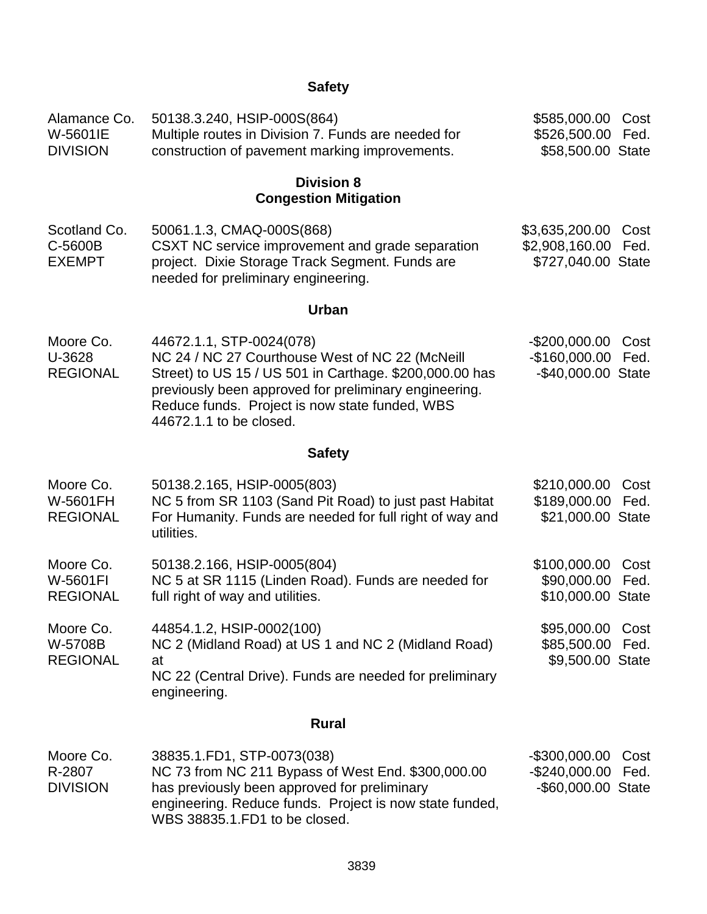# **Safety**

| Alamance Co.<br>W-5601IE<br><b>DIVISION</b> | 50138.3.240, HSIP-000S(864)<br>Multiple routes in Division 7. Funds are needed for<br>construction of pavement marking improvements.                                                                                                                                         | \$585,000.00<br>\$526,500.00<br>\$58,500.00 State      | Cost<br>Fed. |
|---------------------------------------------|------------------------------------------------------------------------------------------------------------------------------------------------------------------------------------------------------------------------------------------------------------------------------|--------------------------------------------------------|--------------|
|                                             | <b>Division 8</b><br><b>Congestion Mitigation</b>                                                                                                                                                                                                                            |                                                        |              |
| Scotland Co.<br>C-5600B<br><b>EXEMPT</b>    | 50061.1.3, CMAQ-000S(868)<br>CSXT NC service improvement and grade separation<br>project. Dixie Storage Track Segment. Funds are<br>needed for preliminary engineering.                                                                                                      | \$3,635,200.00<br>\$2,908,160.00<br>\$727,040.00 State | Cost<br>Fed. |
|                                             | <b>Urban</b>                                                                                                                                                                                                                                                                 |                                                        |              |
| Moore Co.<br>U-3628<br><b>REGIONAL</b>      | 44672.1.1, STP-0024(078)<br>NC 24 / NC 27 Courthouse West of NC 22 (McNeill<br>Street) to US 15 / US 501 in Carthage. \$200,000.00 has<br>previously been approved for preliminary engineering.<br>Reduce funds. Project is now state funded, WBS<br>44672.1.1 to be closed. | $-$200,000.00$<br>$-$160,000.00$<br>-\$40,000.00 State | Cost<br>Fed. |
|                                             | <b>Safety</b>                                                                                                                                                                                                                                                                |                                                        |              |
| Moore Co.<br>W-5601FH<br><b>REGIONAL</b>    | 50138.2.165, HSIP-0005(803)<br>NC 5 from SR 1103 (Sand Pit Road) to just past Habitat<br>For Humanity. Funds are needed for full right of way and<br>utilities.                                                                                                              | \$210,000.00<br>\$189,000.00<br>\$21,000.00 State      | Cost<br>Fed. |
| Moore Co.<br>W-5601FI<br><b>REGIONAL</b>    | 50138.2.166, HSIP-0005(804)<br>NC 5 at SR 1115 (Linden Road). Funds are needed for<br>full right of way and utilities.                                                                                                                                                       | \$100,000.00<br>\$90,000.00<br>\$10,000.00 State       | Cost<br>Fed. |
| Moore Co.<br>W-5708B<br><b>REGIONAL</b>     | 44854.1.2, HSIP-0002(100)<br>NC 2 (Midland Road) at US 1 and NC 2 (Midland Road)<br>at<br>NC 22 (Central Drive). Funds are needed for preliminary<br>engineering.                                                                                                            | \$95,000.00<br>\$85,500.00<br>\$9,500.00 State         | Cost<br>Fed. |
|                                             | <b>Rural</b>                                                                                                                                                                                                                                                                 |                                                        |              |
| Moore Co.                                   | 38835.1.FD1, STP-0073(038)                                                                                                                                                                                                                                                   | -\$300,000.00                                          | Cost         |
| R-2807<br><b>DIVISION</b>                   | NC 73 from NC 211 Bypass of West End. \$300,000.00<br>has previously been approved for preliminary<br>engineering. Reduce funds. Project is now state funded,                                                                                                                | $-$240,000.00$<br>-\$60,000.00 State                   | Fed.         |

WBS 38835.1.FD1 to be closed.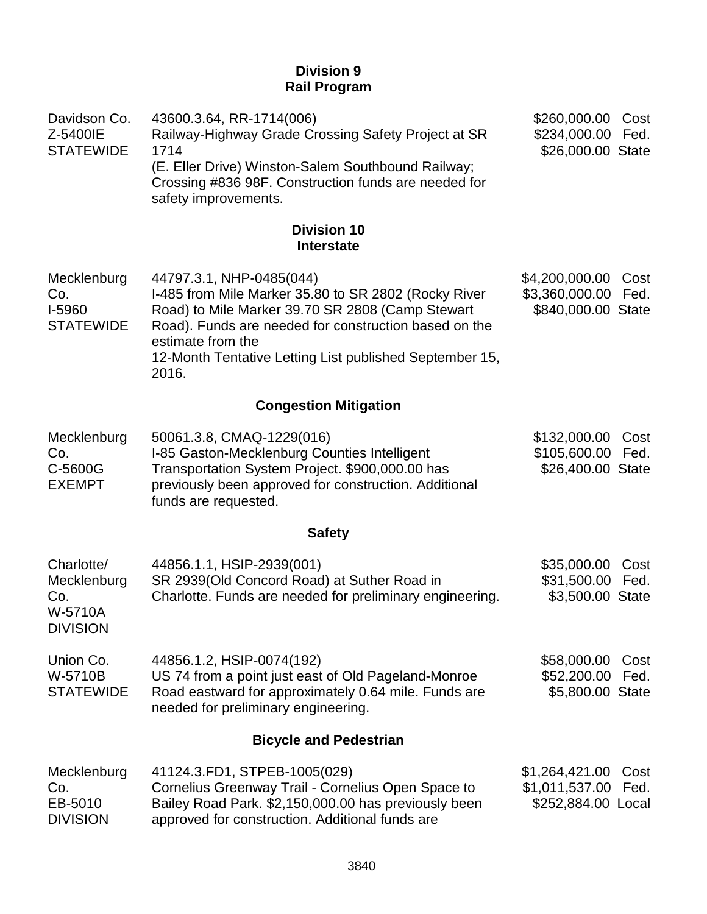# **Division 9 Rail Program**

| Davidson Co.<br>Z-5400IE<br><b>STATEWIDE</b>                   | 43600.3.64, RR-1714(006)<br>Railway-Highway Grade Crossing Safety Project at SR<br>1714<br>(E. Eller Drive) Winston-Salem Southbound Railway;<br>Crossing #836 98F. Construction funds are needed for<br>safety improvements.                                                          | \$260,000.00<br>\$234,000.00<br>\$26,000.00 State      | Cost<br>Fed. |
|----------------------------------------------------------------|----------------------------------------------------------------------------------------------------------------------------------------------------------------------------------------------------------------------------------------------------------------------------------------|--------------------------------------------------------|--------------|
|                                                                | <b>Division 10</b><br><b>Interstate</b>                                                                                                                                                                                                                                                |                                                        |              |
| Mecklenburg<br>Co.<br>I-5960<br><b>STATEWIDE</b>               | 44797.3.1, NHP-0485(044)<br>I-485 from Mile Marker 35.80 to SR 2802 (Rocky River<br>Road) to Mile Marker 39.70 SR 2808 (Camp Stewart<br>Road). Funds are needed for construction based on the<br>estimate from the<br>12-Month Tentative Letting List published September 15,<br>2016. | \$4,200,000.00<br>\$3,360,000.00<br>\$840,000.00 State | Cost<br>Fed. |
|                                                                | <b>Congestion Mitigation</b>                                                                                                                                                                                                                                                           |                                                        |              |
| Mecklenburg<br>Co.<br>C-5600G<br><b>EXEMPT</b>                 | 50061.3.8, CMAQ-1229(016)<br>I-85 Gaston-Mecklenburg Counties Intelligent<br>Transportation System Project. \$900,000.00 has<br>previously been approved for construction. Additional<br>funds are requested.                                                                          | \$132,000.00<br>\$105,600.00<br>\$26,400.00 State      | Cost<br>Fed. |
|                                                                | <b>Safety</b>                                                                                                                                                                                                                                                                          |                                                        |              |
| Charlotte/<br>Mecklenburg<br>Co.<br>W-5710A<br><b>DIVISION</b> | 44856.1.1, HSIP-2939(001)<br>SR 2939(Old Concord Road) at Suther Road in<br>Charlotte. Funds are needed for preliminary engineering.                                                                                                                                                   | \$35,000.00<br>\$31,500.00<br>\$3,500.00 State         | Cost<br>Fed. |
| Union Co.<br>W-5710B<br><b>STATEWIDE</b>                       | 44856.1.2, HSIP-0074(192)<br>US 74 from a point just east of Old Pageland-Monroe<br>Road eastward for approximately 0.64 mile. Funds are<br>needed for preliminary engineering.                                                                                                        | \$58,000.00<br>\$52,200.00<br>\$5,800.00 State         | Cost<br>Fed. |
|                                                                | <b>Bicycle and Pedestrian</b>                                                                                                                                                                                                                                                          |                                                        |              |
| Mecklenburg<br>Co.<br>EB-5010<br><b>DIVISION</b>               | 41124.3.FD1, STPEB-1005(029)<br>Cornelius Greenway Trail - Cornelius Open Space to<br>Bailey Road Park. \$2,150,000.00 has previously been<br>approved for construction. Additional funds are                                                                                          | \$1,264,421.00<br>\$1,011,537.00<br>\$252,884.00 Local | Cost<br>Fed. |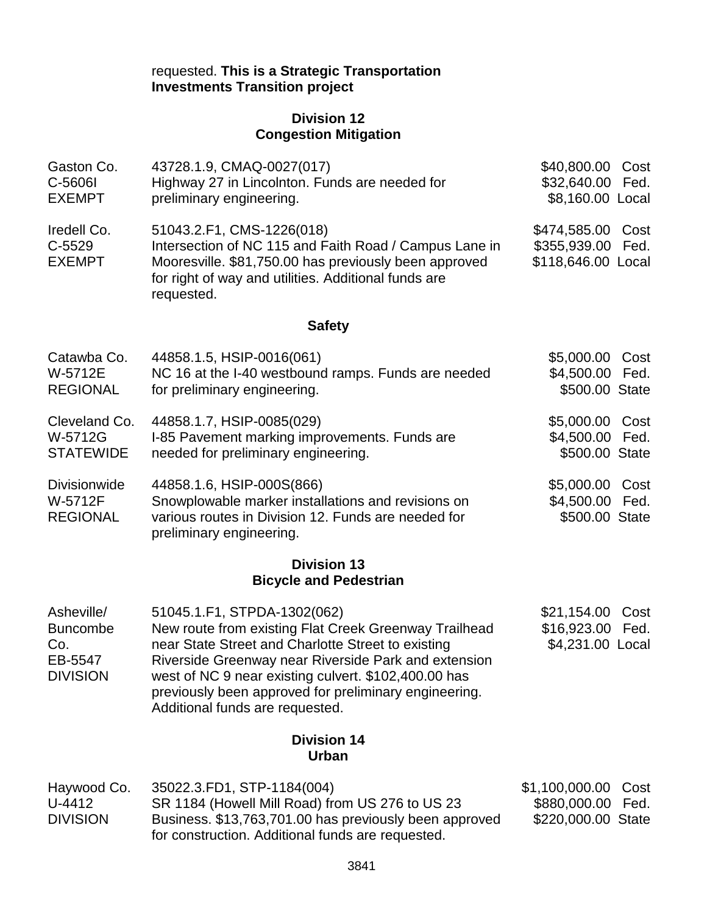# requested. **This is a Strategic Transportation Investments Transition project**

# **Division 12 Congestion Mitigation**

| Gaston Co.<br>C-5606I<br><b>EXEMPT</b>                             | 43728.1.9, CMAQ-0027(017)<br>Highway 27 in Lincolnton. Funds are needed for<br>preliminary engineering.                                                                                                                                                                                                                                                | \$40,800.00<br>\$32,640.00<br>\$8,160.00 Local       | Cost<br>Fed. |  |  |  |  |
|--------------------------------------------------------------------|--------------------------------------------------------------------------------------------------------------------------------------------------------------------------------------------------------------------------------------------------------------------------------------------------------------------------------------------------------|------------------------------------------------------|--------------|--|--|--|--|
| Iredell Co.<br>$C-5529$<br><b>EXEMPT</b>                           | 51043.2.F1, CMS-1226(018)<br>Intersection of NC 115 and Faith Road / Campus Lane in<br>Mooresville. \$81,750.00 has previously been approved<br>for right of way and utilities. Additional funds are<br>requested.                                                                                                                                     | \$474,585.00<br>\$355,939.00<br>\$118,646.00 Local   | Cost<br>Fed. |  |  |  |  |
|                                                                    | <b>Safety</b>                                                                                                                                                                                                                                                                                                                                          |                                                      |              |  |  |  |  |
| Catawba Co.<br>W-5712E<br><b>REGIONAL</b>                          | 44858.1.5, HSIP-0016(061)<br>NC 16 at the I-40 westbound ramps. Funds are needed<br>for preliminary engineering.                                                                                                                                                                                                                                       | \$5,000.00<br>\$4,500.00<br>\$500.00 State           | Cost<br>Fed. |  |  |  |  |
| Cleveland Co.<br>W-5712G<br><b>STATEWIDE</b>                       | 44858.1.7, HSIP-0085(029)<br>I-85 Pavement marking improvements. Funds are<br>needed for preliminary engineering.                                                                                                                                                                                                                                      | \$5,000.00<br>\$4,500.00<br>\$500.00 State           | Cost<br>Fed. |  |  |  |  |
| <b>Divisionwide</b><br>W-5712F<br><b>REGIONAL</b>                  | 44858.1.6, HSIP-000S(866)<br>Snowplowable marker installations and revisions on<br>various routes in Division 12. Funds are needed for<br>preliminary engineering.                                                                                                                                                                                     | \$5,000.00<br>\$4,500.00<br>\$500.00 State           | Cost<br>Fed. |  |  |  |  |
|                                                                    | <b>Division 13</b><br><b>Bicycle and Pedestrian</b>                                                                                                                                                                                                                                                                                                    |                                                      |              |  |  |  |  |
| Asheville/<br><b>Buncombe</b><br>Co.<br>EB-5547<br><b>DIVISION</b> | 51045.1.F1, STPDA-1302(062)<br>New route from existing Flat Creek Greenway Trailhead<br>near State Street and Charlotte Street to existing<br>Riverside Greenway near Riverside Park and extension<br>west of NC 9 near existing culvert. \$102,400.00 has<br>previously been approved for preliminary engineering.<br>Additional funds are requested. | \$21,154.00<br>\$16,923.00<br>\$4,231.00 Local       | Cost<br>Fed. |  |  |  |  |
|                                                                    | <b>Division 14</b><br>Urban                                                                                                                                                                                                                                                                                                                            |                                                      |              |  |  |  |  |
| Haywood Co.<br>U-4412<br><b>DIVISION</b>                           | 35022.3.FD1, STP-1184(004)<br>SR 1184 (Howell Mill Road) from US 276 to US 23<br>Business. \$13,763,701.00 has previously been approved<br>for construction. Additional funds are requested.                                                                                                                                                           | \$1,100,000.00<br>\$880,000.00<br>\$220,000.00 State | Cost<br>Fed. |  |  |  |  |
|                                                                    | 3841                                                                                                                                                                                                                                                                                                                                                   |                                                      |              |  |  |  |  |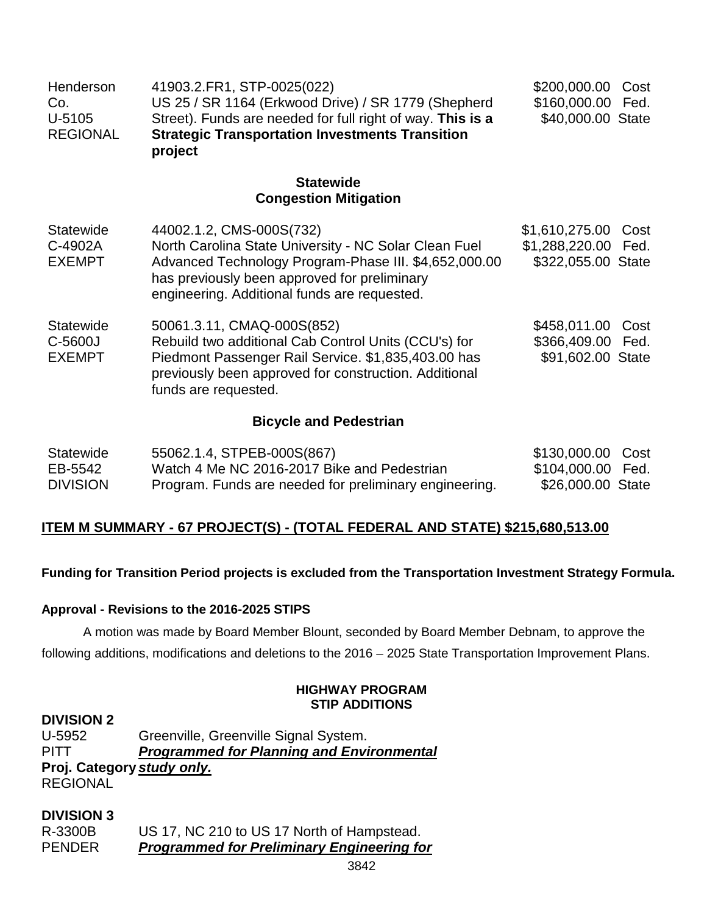| Henderson<br>Co.<br>U-5105<br><b>REGIONAL</b> | 41903.2.FR1, STP-0025(022)<br>US 25 / SR 1164 (Erkwood Drive) / SR 1779 (Shepherd<br>Street). Funds are needed for full right of way. This is a<br><b>Strategic Transportation Investments Transition</b><br>project                       | \$200,000.00<br>\$160,000.00<br>\$40,000.00 State                | Cost<br>Fed. |  |  |  |
|-----------------------------------------------|--------------------------------------------------------------------------------------------------------------------------------------------------------------------------------------------------------------------------------------------|------------------------------------------------------------------|--------------|--|--|--|
|                                               | <b>Statewide</b><br><b>Congestion Mitigation</b>                                                                                                                                                                                           |                                                                  |              |  |  |  |
| <b>Statewide</b><br>C-4902A<br><b>EXEMPT</b>  | 44002.1.2, CMS-000S(732)<br>North Carolina State University - NC Solar Clean Fuel<br>Advanced Technology Program-Phase III. \$4,652,000.00<br>has previously been approved for preliminary<br>engineering. Additional funds are requested. | \$1,610,275.00 Cost<br>\$1,288,220.00 Fed.<br>\$322,055.00 State |              |  |  |  |
| <b>Statewide</b><br>C-5600J<br><b>EXEMPT</b>  | 50061.3.11, CMAQ-000S(852)<br>Rebuild two additional Cab Control Units (CCU's) for<br>Piedmont Passenger Rail Service. \$1,835,403.00 has<br>previously been approved for construction. Additional<br>funds are requested.                 | \$458,011.00<br>\$366,409.00 Fed.<br>\$91,602.00 State           | Cost         |  |  |  |
|                                               | <b>Bicycle and Pedestrian</b>                                                                                                                                                                                                              |                                                                  |              |  |  |  |

| Statewide       | 55062.1.4, STPEB-000S(867)                             | \$130,000.00 Cost |  |
|-----------------|--------------------------------------------------------|-------------------|--|
| EB-5542         | Watch 4 Me NC 2016-2017 Bike and Pedestrian            | \$104,000.00 Fed. |  |
| <b>DIVISION</b> | Program. Funds are needed for preliminary engineering. | \$26,000.00 State |  |

# **ITEM M SUMMARY - 67 PROJECT(S) - (TOTAL FEDERAL AND STATE) \$215,680,513.00**

**Funding for Transition Period projects is excluded from the Transportation Investment Strategy Formula.**

# **Approval - Revisions to the 2016-2025 STIPS**

A motion was made by Board Member Blount, seconded by Board Member Debnam, to approve the following additions, modifications and deletions to the 2016 – 2025 State Transportation Improvement Plans.

# **HIGHWAY PROGRAM STIP ADDITIONS**

# **DIVISION 2**

U-5952 Greenville, Greenville Signal System. PITT *Programmed for Planning and Environmental* **Proj. Category** *study only.* REGIONAL

# **DIVISION 3**

R-3300B US 17, NC 210 to US 17 North of Hampstead. PENDER *Programmed for Preliminary Engineering for*

3842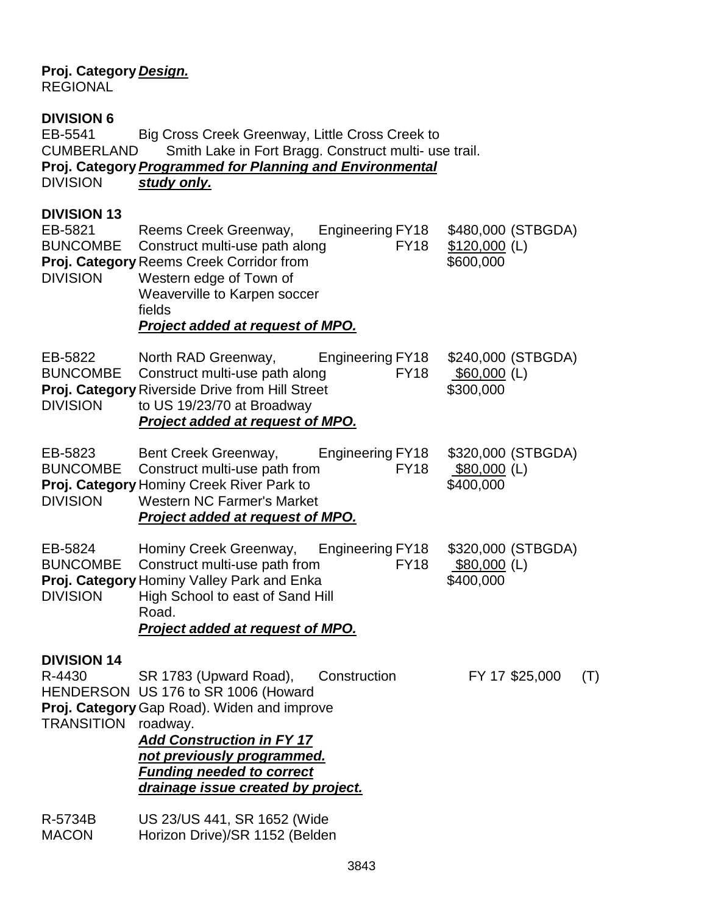# **Proj. Category** *Design.*

REGIONAL

# **DIVISION 6**

EB-5541 Big Cross Creek Greenway, Little Cross Creek to CUMBERLAND Smith Lake in Fort Bragg. Construct multi- use trail. **Proj. Category***Programmed for Planning and Environmental* study only.

# **DIVISION 13**

EB-5821 Reems Creek Greenway, Engineering FY18 \$480,000 (STBGDA) BUNCOMBE Construct multi-use path along FY18 \$120,000 (L) **Proj. Category** Reems Creek Corridor from  $$600,000$ DIVISION Western edge of Town of Weaverville to Karpen soccer fields *Project added at request of MPO.* EB-5822 North RAD Greenway, Engineering FY18 \$240,000 (STBGDA)

BUNCOMBE Construct multi-use path along FY18 \$60,000 (L) **Proj. Category** Riverside Drive from Hill Street \$300,000 DIVISION to US 19/23/70 at Broadway *Project added at request of MPO.*

| EB-5823         | Bent Creek Greenway,                             | Engineering FY18 | \$320,000 (STBGDA) |
|-----------------|--------------------------------------------------|------------------|--------------------|
|                 | BUNCOMBE Construct multi-use path from           | FY <sub>18</sub> | \$80,000 (L)       |
|                 | <b>Proj. Category Hominy Creek River Park to</b> |                  | \$400,000          |
| <b>DIVISION</b> | <b>Western NC Farmer's Market</b>                |                  |                    |
|                 | Project added at request of MPO.                 |                  |                    |

| EB-5824         | Hominy Creek Greenway,                            | Engineering FY18 | \$320,000 (STBGDA) |
|-----------------|---------------------------------------------------|------------------|--------------------|
|                 | BUNCOMBE Construct multi-use path from            | FY <sub>18</sub> | $$80,000$ (L)      |
|                 | <b>Proj. Category Hominy Valley Park and Enka</b> |                  | \$400,000          |
| <b>DIVISION</b> | High School to east of Sand Hill                  |                  |                    |
|                 | Road.                                             |                  |                    |

# *Project added at request of MPO.*

# **DIVISION 14**

R-4430 SR 1783 (Upward Road), Construction FY 17 \$25,000 (T) HENDERSON US 176 to SR 1006 (Howard

**Proj. Category**Gap Road). Widen and improve TRANSITION roadway.

> *Add Construction in FY 17 not previously programmed. Funding needed to correct drainage issue created by project.*

R-5734B US 23/US 441, SR 1652 (Wide MACON Horizon Drive)/SR 1152 (Belden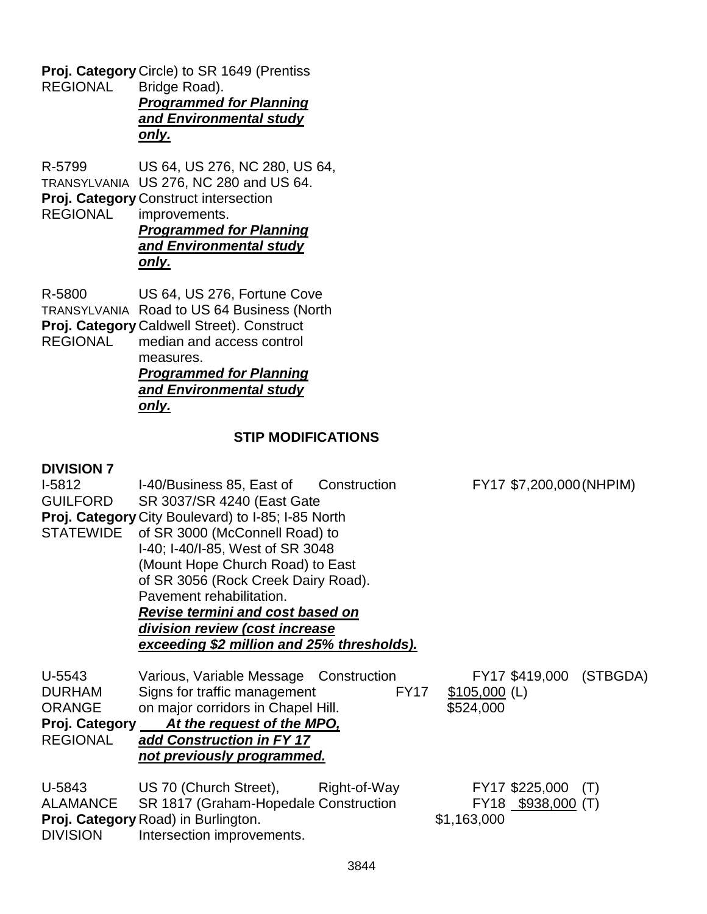**Proj. Category** Circle) to SR 1649 (Prentiss<br>REGIONAL Bridge Road). Bridge Road).

*Programmed for Planning and Environmental study only.*

R-5799 US 64, US 276, NC 280, US 64,

TRANSYLVANIA US 276, NC 280 and US 64.

**Proj. Category** Construct intersection<br>REGIONAL improvements.

improvements. *Programmed for Planning and Environmental study only.*

R-5800 US 64, US 276, Fortune Cove TRANSYLVANIA Road to US 64 Business (North **Proj. Category** Caldwell Street). Construct<br>REGIONAL median and access control median and access control measures. *Programmed for Planning*

*and Environmental study*

# *only.*

# **STIP MODIFICATIONS**

# **DIVISION 7**

| $I-5812$         | I-40/Business 85, East of Construction             |             |                | FY17 \$7,200,000 (NHPIM) |                         |  |  |  |
|------------------|----------------------------------------------------|-------------|----------------|--------------------------|-------------------------|--|--|--|
| <b>GUILFORD</b>  | SR 3037/SR 4240 (East Gate                         |             |                |                          |                         |  |  |  |
|                  | Proj. Category City Boulevard) to I-85; I-85 North |             |                |                          |                         |  |  |  |
| <b>STATEWIDE</b> | of SR 3000 (McConnell Road) to                     |             |                |                          |                         |  |  |  |
|                  | I-40; I-40/I-85, West of SR 3048                   |             |                |                          |                         |  |  |  |
|                  | (Mount Hope Church Road) to East                   |             |                |                          |                         |  |  |  |
|                  | of SR 3056 (Rock Creek Dairy Road).                |             |                |                          |                         |  |  |  |
|                  | Pavement rehabilitation.                           |             |                |                          |                         |  |  |  |
|                  | <b>Revise termini and cost based on</b>            |             |                |                          |                         |  |  |  |
|                  | division review (cost increase                     |             |                |                          |                         |  |  |  |
|                  | exceeding \$2 million and 25% thresholds).         |             |                |                          |                         |  |  |  |
|                  |                                                    |             |                |                          |                         |  |  |  |
| U-5543           | Various, Variable Message Construction             |             |                |                          | FY17 \$419,000 (STBGDA) |  |  |  |
| <b>DURHAM</b>    | Signs for traffic management                       | <b>FY17</b> | $$105,000$ (L) |                          |                         |  |  |  |
| <b>ORANGE</b>    | on major corridors in Chapel Hill.                 |             | \$524,000      |                          |                         |  |  |  |
|                  | Proj. Category At the request of the MPO,          |             |                |                          |                         |  |  |  |
| <b>REGIONAL</b>  | add Construction in FY 17                          |             |                |                          |                         |  |  |  |
|                  |                                                    |             |                |                          |                         |  |  |  |
|                  | not previously programmed.                         |             |                |                          |                         |  |  |  |
| U-5843           | US 70 (Church Street), Right-of-Way                |             |                | FY17 \$225,000           | (T)                     |  |  |  |
| ALAMANCE         | SR 1817 (Graham-Hopedale Construction              |             |                |                          |                         |  |  |  |
|                  |                                                    |             |                | $FY18$ \$938,000 (T)     |                         |  |  |  |
|                  | Proj. Category Road) in Burlington.                |             | \$1,163,000    |                          |                         |  |  |  |
| <b>DIVISION</b>  | Intersection improvements.                         |             |                |                          |                         |  |  |  |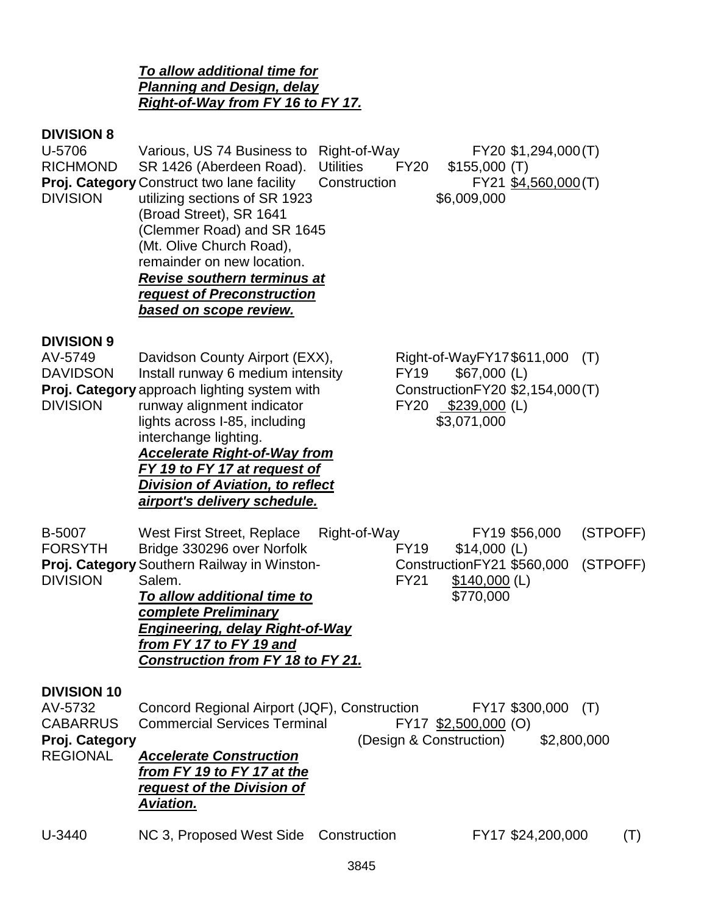*To allow additional time for Planning and Design, delay Right-of-Way from FY 16 to FY 17.*

# **DIVISION 8**

| U-5706<br><b>RICHMOND</b><br><b>DIVISION</b>                                          | Various, US 74 Business to<br>SR 1426 (Aberdeen Road).<br>Proj. Category Construct two lane facility<br>utilizing sections of SR 1923<br>(Broad Street), SR 1641<br>(Clemmer Road) and SR 1645<br>(Mt. Olive Church Road),<br>remainder on new location.<br>Revise southern terminus at<br>request of Preconstruction<br>based on scope review.               | Right-of-Way<br><b>Utilities</b><br>Construction | <b>FY20</b>                | \$155,000(T)<br>\$6,009,000                                                                                     | FY20 \$1,294,000(T)<br>FY21 \$4,560,000(T) |                      |
|---------------------------------------------------------------------------------------|---------------------------------------------------------------------------------------------------------------------------------------------------------------------------------------------------------------------------------------------------------------------------------------------------------------------------------------------------------------|--------------------------------------------------|----------------------------|-----------------------------------------------------------------------------------------------------------------|--------------------------------------------|----------------------|
| <b>DIVISION 9</b><br>AV-5749<br><b>DAVIDSON</b><br><b>DIVISION</b>                    | Davidson County Airport (EXX),<br>Install runway 6 medium intensity<br>Proj. Category approach lighting system with<br>runway alignment indicator<br>lights across I-85, including<br>interchange lighting.<br><b>Accelerate Right-of-Way from</b><br>FY 19 to FY 17 at request of<br><b>Division of Aviation, to reflect</b><br>airport's delivery schedule. |                                                  | <b>FY19</b><br><b>FY20</b> | Right-of-WayFY17\$611,000<br>$$67,000$ (L)<br>Construction FY20 \$2,154,000 (T)<br>\$239,000 (L)<br>\$3,071,000 |                                            | (T)                  |
| <b>B-5007</b><br><b>FORSYTH</b><br><b>DIVISION</b>                                    | West First Street, Replace<br>Bridge 330296 over Norfolk<br>Proj. Category Southern Railway in Winston-<br>Salem.<br>To allow additional time to<br>complete Preliminary<br><b>Engineering, delay Right-of-Way</b><br>from FY 17 to FY 19 and<br><u>Construction from FY 18 to FY 21.</u>                                                                     | Right-of-Way                                     | <b>FY19</b><br><b>FY21</b> | $$14,000$ (L)<br>ConstructionFY21 \$560,000<br>$$140,000$ (L)<br>\$770,000                                      | FY19 \$56,000                              | (STPOFF)<br>(STPOFF) |
| <b>DIVISION 10</b><br>AV-5732<br><b>CABARRUS</b><br>Proj. Category<br><b>REGIONAL</b> | Concord Regional Airport (JQF), Construction<br><b>Commercial Services Terminal</b><br><b>Accelerate Construction</b><br>from FY 19 to FY 17 at the<br>request of the Division of<br><b>Aviation.</b>                                                                                                                                                         |                                                  |                            | FY17 \$2,500,000 (O)<br>(Design & Construction)                                                                 | FY17 \$300,000<br>\$2,800,000              | (T)                  |
| U-3440                                                                                | NC 3, Proposed West Side Construction                                                                                                                                                                                                                                                                                                                         |                                                  |                            |                                                                                                                 | FY17 \$24,200,000                          | (T)                  |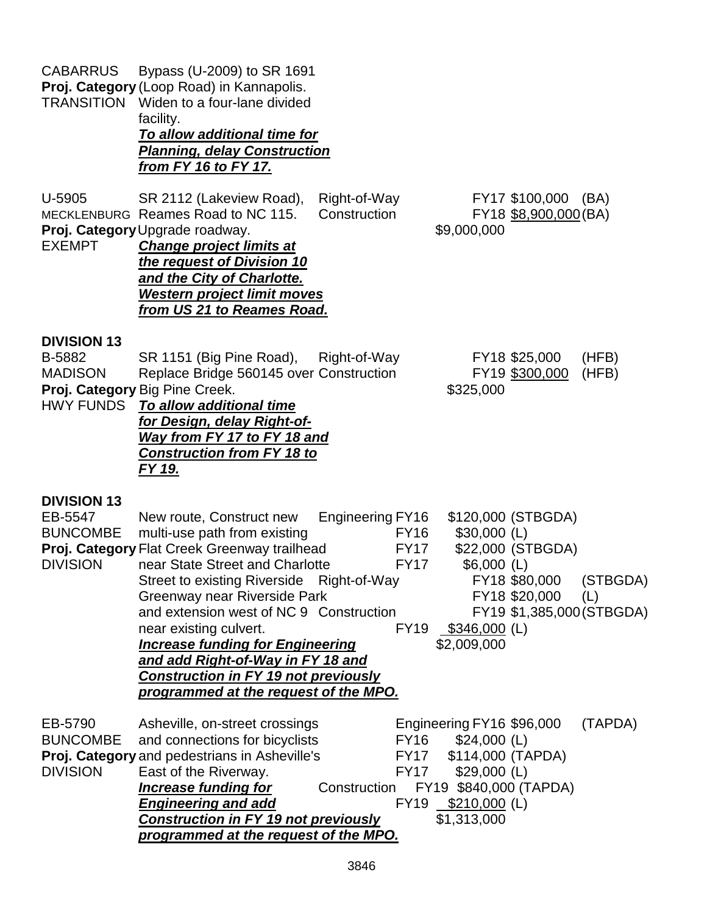| <b>CABARRUS</b>                                                     | Bypass (U-2009) to SR 1691<br>Proj. Category (Loop Road) in Kannapolis.<br><b>TRANSITION</b> Widen to a four-lane divided<br>facility.<br>To allow additional time for<br><b>Planning, delay Construction</b><br><u>from FY 16 to FY 17.</u>                                                                                                                                                                                                                          |                              |                                                          |                                                                                                                   |                                                                                                                 |                |
|---------------------------------------------------------------------|-----------------------------------------------------------------------------------------------------------------------------------------------------------------------------------------------------------------------------------------------------------------------------------------------------------------------------------------------------------------------------------------------------------------------------------------------------------------------|------------------------------|----------------------------------------------------------|-------------------------------------------------------------------------------------------------------------------|-----------------------------------------------------------------------------------------------------------------|----------------|
| U-5905<br><b>EXEMPT</b>                                             | SR 2112 (Lakeview Road),<br>MECKLENBURG Reames Road to NC 115.<br>Proj. Category Upgrade roadway.<br><b>Change project limits at</b><br>the request of Division 10<br>and the City of Charlotte.<br><b>Western project limit moves</b><br>from US 21 to Reames Road.                                                                                                                                                                                                  | Right-of-Way<br>Construction |                                                          | \$9,000,000                                                                                                       | FY17 \$100,000 (BA)<br>FY18 \$8,900,000 (BA)                                                                    |                |
| <b>DIVISION 13</b><br>B-5882<br><b>MADISON</b>                      | SR 1151 (Big Pine Road),<br>Replace Bridge 560145 over Construction<br>Proj. Category Big Pine Creek.<br>HWY FUNDS To allow additional time<br>for Design, delay Right-of-<br>Way from FY 17 to FY 18 and<br><b>Construction from FY 18 to</b><br>FY 19.                                                                                                                                                                                                              | Right-of-Way                 |                                                          | \$325,000                                                                                                         | FY18 \$25,000<br>FY19 \$300,000                                                                                 | (HFB)<br>(HFB) |
| <b>DIVISION 13</b><br>EB-5547<br><b>BUNCOMBE</b><br><b>DIVISION</b> | New route, Construct new<br>multi-use path from existing<br>Proj. Category Flat Creek Greenway trailhead<br>near State Street and Charlotte<br>Street to existing Riverside Right-of-Way<br>Greenway near Riverside Park<br>and extension west of NC 9 Construction<br>near existing culvert.<br><b>Increase funding for Engineering</b><br>and add Right-of-Way in FY 18 and<br><b>Construction in FY 19 not previously</b><br>programmed at the request of the MPO. | <b>Engineering FY16</b>      | <b>FY16</b><br><b>FY17</b><br><b>FY17</b><br><b>FY19</b> | $$30,000$ (L)<br>$$6,000$ (L)<br>$$346,000$ (L)<br>\$2,009,000                                                    | \$120,000 (STBGDA)<br>\$22,000 (STBGDA)<br>FY18 \$80,000 (STBGDA)<br>FY18 \$20,000<br>FY19 \$1,385,000 (STBGDA) | (L)            |
| EB-5790<br><b>BUNCOMBE</b><br><b>DIVISION</b>                       | Asheville, on-street crossings<br>and connections for bicyclists<br>Proj. Category and pedestrians in Asheville's<br>East of the Riverway.<br><b>Increase funding for</b><br><b>Engineering and add</b><br><b>Construction in FY 19 not previously</b><br>programmed at the request of the MPO.                                                                                                                                                                       | Construction                 | FY16<br>FY17<br>FY17<br>FY19                             | Engineering FY16 \$96,000<br>$$24,000$ (L)<br>\$114,000 (TAPDA)<br>$$29,000$ (L)<br>$$210,000$ (L)<br>\$1,313,000 | FY19 \$840,000 (TAPDA)                                                                                          | (TAPDA)        |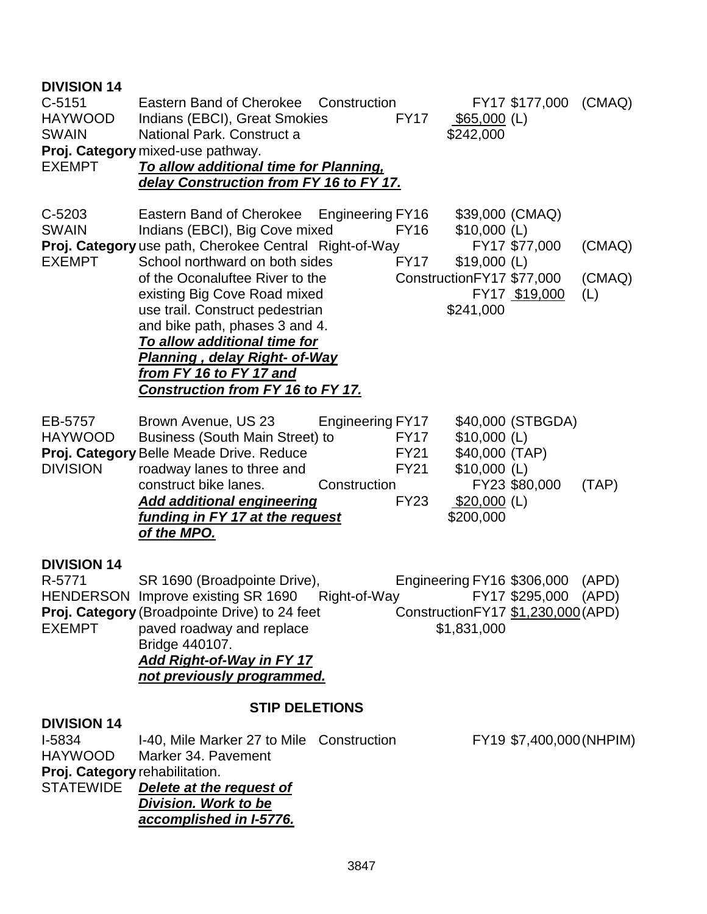| <b>DIVISION 14</b><br>$C-5151$<br><b>HAYWOOD</b><br><b>SWAIN</b><br><b>EXEMPT</b>                    | Eastern Band of Cherokee Construction<br>FY17 \$177,000<br>Indians (EBCI), Great Smokies<br><b>FY17</b><br>$$65,000$ (L)<br>National Park. Construct a<br>\$242,000<br>Proj. Category mixed-use pathway.<br>To allow additional time for Planning,<br>delay Construction from FY 16 to FY 17.                                                                                                                                                                                                                                                                                                                           | (CMAQ)                  |
|------------------------------------------------------------------------------------------------------|-------------------------------------------------------------------------------------------------------------------------------------------------------------------------------------------------------------------------------------------------------------------------------------------------------------------------------------------------------------------------------------------------------------------------------------------------------------------------------------------------------------------------------------------------------------------------------------------------------------------------|-------------------------|
| C-5203<br><b>SWAIN</b><br><b>EXEMPT</b>                                                              | Eastern Band of Cherokee Engineering FY16<br>\$39,000 (CMAQ)<br><b>FY16</b><br>Indians (EBCI), Big Cove mixed<br>$$10,000$ (L)<br>Proj. Category use path, Cherokee Central Right-of-Way<br>FY17 \$77,000<br>School northward on both sides<br><b>FY17</b><br>$$19,000$ (L)<br>ConstructionFY17 \$77,000<br>of the Oconaluftee River to the<br>existing Big Cove Road mixed<br>FY17 \$19,000<br>use trail. Construct pedestrian<br>\$241,000<br>and bike path, phases 3 and 4.<br>To allow additional time for<br>Planning , delay Right- of-Way<br>from FY 16 to FY 17 and<br><b>Construction from FY 16 to FY 17.</b> | (CMAQ)<br>(CMAQ)<br>(L) |
| EB-5757<br><b>HAYWOOD</b><br><b>DIVISION</b>                                                         | Engineering FY17<br>\$40,000 (STBGDA)<br>Brown Avenue, US 23<br><b>FY17</b><br>$$10,000$ (L)<br>Business (South Main Street) to<br>Proj. Category Belle Meade Drive. Reduce<br>\$40,000 (TAP)<br><b>FY21</b><br><b>FY21</b><br>$$10,000$ (L)<br>roadway lanes to three and<br>construct bike lanes.<br>FY23 \$80,000<br>Construction<br><b>FY23</b><br>$$20,000$ (L)<br><b>Add additional engineering</b><br>funding in FY 17 at the request<br>\$200,000<br>of the MPO.                                                                                                                                                | (TAP)                   |
| <b>DIVISION 14</b><br>R-5771<br><b>EXEMPT</b>                                                        | SR 1690 (Broadpointe Drive),<br>Engineering FY16 \$306,000<br>HENDERSON Improve existing SR 1690 Right-of-Way FY17 \$295,000 (APD)<br>Proj. Category (Broadpointe Drive) to 24 feet<br>Construction FY17 \$1,230,000 (APD)<br>\$1,831,000<br>paved roadway and replace<br>Bridge 440107.<br>Add Right-of-Way in FY 17<br>not previously programmed.                                                                                                                                                                                                                                                                     | (APD)                   |
| <b>DIVISION 14</b><br>I-5834<br><b>HAYWOOD</b><br>Proj. Category rehabilitation.<br><b>STATEWIDE</b> | <b>STIP DELETIONS</b><br>FY19 \$7,400,000 (NHPIM)<br>I-40, Mile Marker 27 to Mile Construction<br>Marker 34, Pavement<br>Delete at the request of<br>Division. Work to be<br>accomplished in I-5776.                                                                                                                                                                                                                                                                                                                                                                                                                    |                         |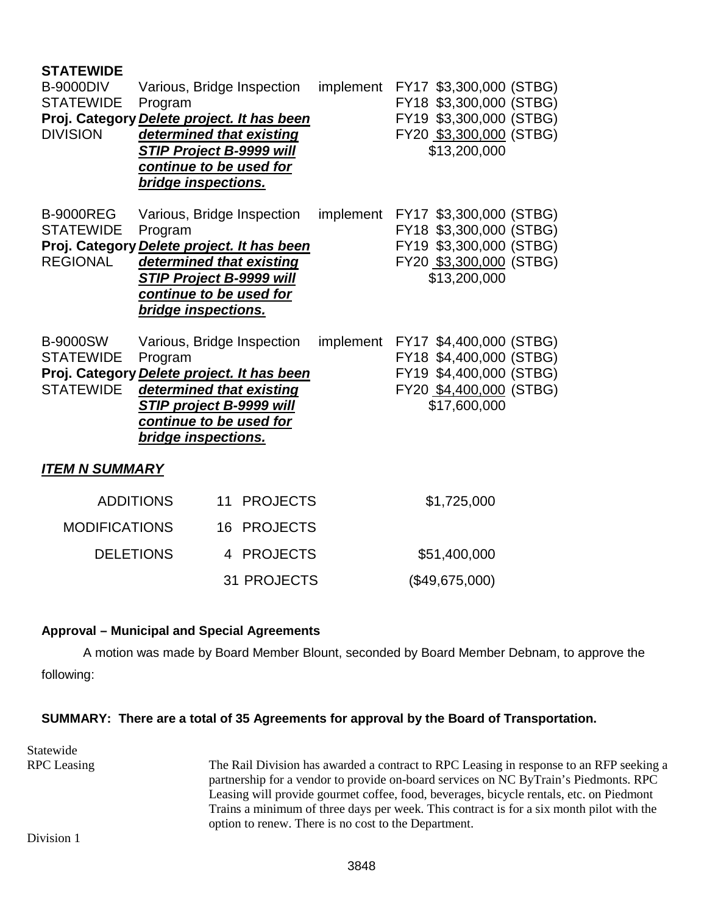| <b>STATEWIDE</b><br><b>B-9000DIV</b><br><b>STATEWIDE</b><br>Proj. Category Delete project. It has been<br><b>DIVISION</b> | Various, Bridge Inspection<br>Program<br>determined that existing<br><b>STIP Project B-9999 will</b><br>continue to be used for<br>bridge inspections. |                    | implement FY17 \$3,300,000 (STBG) | FY18 \$3,300,000 (STBG)<br>FY19 \$3,300,000 (STBG)<br>FY20 \$3,300,000 (STBG)<br>\$13,200,000 |  |
|---------------------------------------------------------------------------------------------------------------------------|--------------------------------------------------------------------------------------------------------------------------------------------------------|--------------------|-----------------------------------|-----------------------------------------------------------------------------------------------|--|
| <b>B-9000REG</b><br><b>STATEWIDE</b><br>Proj. Category Delete project. It has been<br><b>REGIONAL</b>                     | Various, Bridge Inspection<br>Program<br>determined that existing<br><b>STIP Project B-9999 will</b><br>continue to be used for<br>bridge inspections. |                    | implement FY17 \$3,300,000 (STBG) | FY18 \$3,300,000 (STBG)<br>FY19 \$3,300,000 (STBG)<br>FY20 \$3,300,000 (STBG)<br>\$13,200,000 |  |
| <b>B-9000SW</b><br><b>STATEWIDE</b><br>Proj. Category Delete project. It has been<br><b>STATEWIDE</b>                     | Various, Bridge Inspection<br>Program<br>determined that existing<br>STIP project B-9999 will<br>continue to be used for<br>bridge inspections.        |                    | implement FY17 \$4,400,000 (STBG) | FY18 \$4,400,000 (STBG)<br>FY19 \$4,400,000 (STBG)<br>FY20 \$4,400,000 (STBG)<br>\$17,600,000 |  |
| <b>ITEM N SUMMARY</b>                                                                                                     |                                                                                                                                                        |                    |                                   |                                                                                               |  |
|                                                                                                                           | <b>ADDITIONS</b>                                                                                                                                       | 11 PROJECTS        |                                   | \$1,725,000                                                                                   |  |
| <b>MODIFICATIONS</b>                                                                                                      |                                                                                                                                                        | 16 PROJECTS        |                                   |                                                                                               |  |
| <b>DELETIONS</b>                                                                                                          |                                                                                                                                                        | 4 PROJECTS         |                                   | \$51,400,000                                                                                  |  |
|                                                                                                                           |                                                                                                                                                        | <b>31 PROJECTS</b> |                                   | (\$49,675,000)                                                                                |  |

# **Approval – Municipal and Special Agreements**

A motion was made by Board Member Blount, seconded by Board Member Debnam, to approve the following:

# **SUMMARY: There are a total of 35 Agreements for approval by the Board of Transportation.**

Statewide

RPC Leasing The Rail Division has awarded a contract to RPC Leasing in response to an RFP seeking a partnership for a vendor to provide on-board services on NC ByTrain's Piedmonts. RPC Leasing will provide gourmet coffee, food, beverages, bicycle rentals, etc. on Piedmont Trains a minimum of three days per week. This contract is for a six month pilot with the option to renew. There is no cost to the Department.

Division 1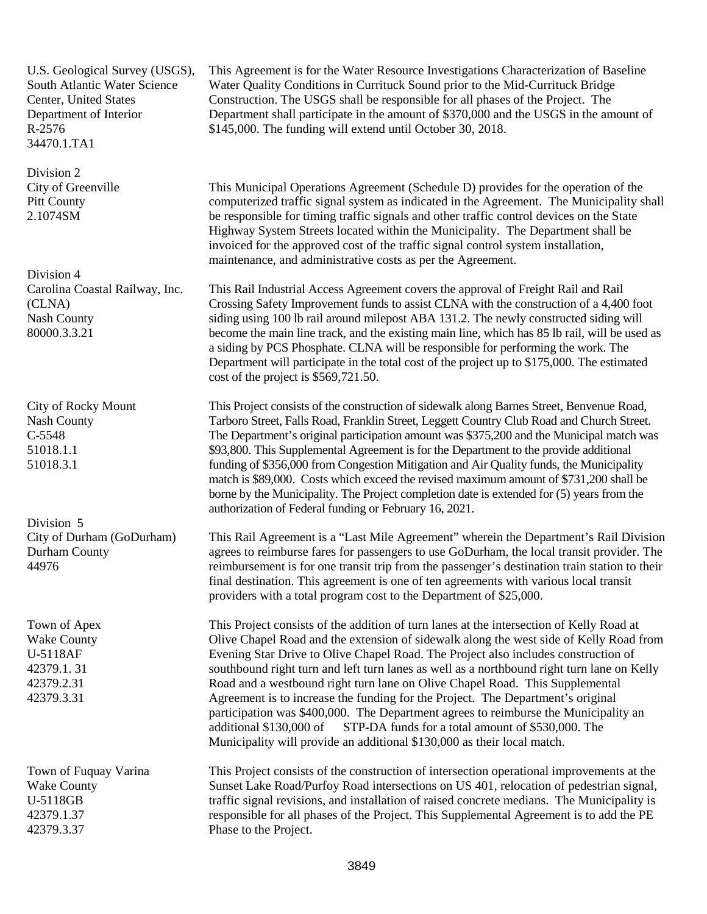U.S. Geological Survey (USGS), South Atlantic Water Science Center, United States Department of Interior R-2576 34470.1.TA1

Division 2 City of Greenville Pitt County 2.1074SM

Division 4 Carolina Coastal Railway, Inc. (CLNA) Nash County 80000.3.3.21

City of Rocky Mount Nash County C-5548 51018.1.1 51018.3.1

Division 5 City of Durham (GoDurham) Durham County 44976

Town of Apex Wake County U-5118AF 42379.1. 31 42379.2.31 42379.3.31

Town of Fuquay Varina Wake County U-5118GB 42379.1.37 42379.3.37

This Agreement is for the Water Resource Investigations Characterization of Baseline Water Quality Conditions in Currituck Sound prior to the Mid-Currituck Bridge Construction. The USGS shall be responsible for all phases of the Project. The Department shall participate in the amount of \$370,000 and the USGS in the amount of \$145,000. The funding will extend until October 30, 2018.

This Municipal Operations Agreement (Schedule D) provides for the operation of the computerized traffic signal system as indicated in the Agreement. The Municipality shall be responsible for timing traffic signals and other traffic control devices on the State Highway System Streets located within the Municipality. The Department shall be invoiced for the approved cost of the traffic signal control system installation, maintenance, and administrative costs as per the Agreement.

This Rail Industrial Access Agreement covers the approval of Freight Rail and Rail Crossing Safety Improvement funds to assist CLNA with the construction of a 4,400 foot siding using 100 lb rail around milepost ABA 131.2. The newly constructed siding will become the main line track, and the existing main line, which has 85 lb rail, will be used as a siding by PCS Phosphate. CLNA will be responsible for performing the work. The Department will participate in the total cost of the project up to \$175,000. The estimated cost of the project is \$569,721.50.

This Project consists of the construction of sidewalk along Barnes Street, Benvenue Road, Tarboro Street, Falls Road, Franklin Street, Leggett Country Club Road and Church Street. The Department's original participation amount was \$375,200 and the Municipal match was \$93,800. This Supplemental Agreement is for the Department to the provide additional funding of \$356,000 from Congestion Mitigation and Air Quality funds, the Municipality match is \$89,000. Costs which exceed the revised maximum amount of \$731,200 shall be borne by the Municipality. The Project completion date is extended for (5) years from the authorization of Federal funding or February 16, 2021.

This Rail Agreement is a "Last Mile Agreement" wherein the Department's Rail Division agrees to reimburse fares for passengers to use GoDurham, the local transit provider. The reimbursement is for one transit trip from the passenger's destination train station to their final destination. This agreement is one of ten agreements with various local transit providers with a total program cost to the Department of \$25,000.

This Project consists of the addition of turn lanes at the intersection of Kelly Road at Olive Chapel Road and the extension of sidewalk along the west side of Kelly Road from Evening Star Drive to Olive Chapel Road. The Project also includes construction of southbound right turn and left turn lanes as well as a northbound right turn lane on Kelly Road and a westbound right turn lane on Olive Chapel Road. This Supplemental Agreement is to increase the funding for the Project. The Department's original participation was \$400,000. The Department agrees to reimburse the Municipality an additional \$130,000 of STP-DA funds for a total amount of \$530,000. The Municipality will provide an additional \$130,000 as their local match.

This Project consists of the construction of intersection operational improvements at the Sunset Lake Road/Purfoy Road intersections on US 401, relocation of pedestrian signal, traffic signal revisions, and installation of raised concrete medians. The Municipality is responsible for all phases of the Project. This Supplemental Agreement is to add the PE Phase to the Project.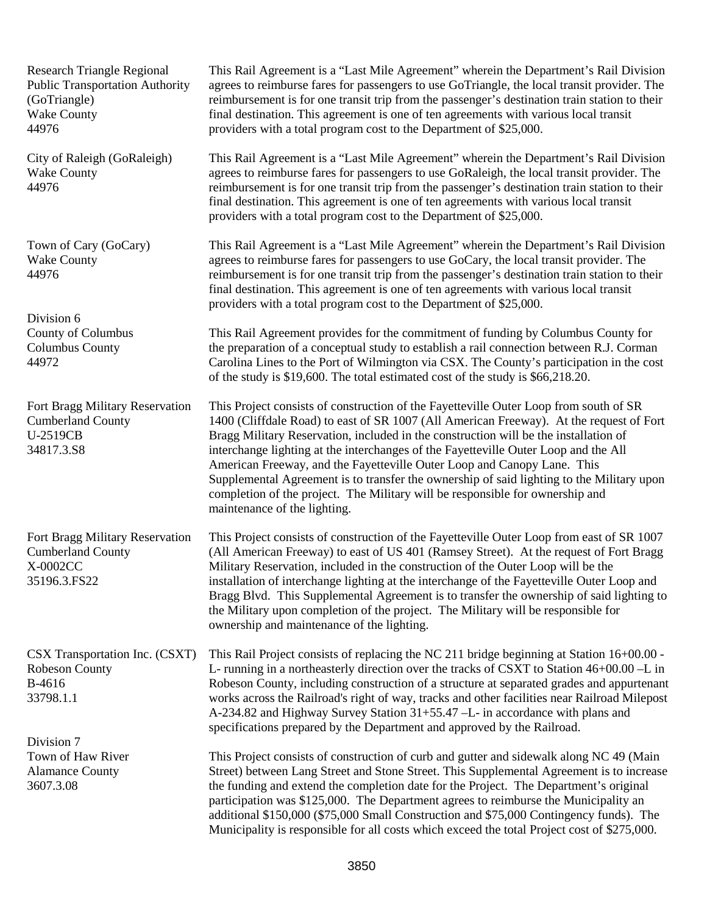Research Triangle Regional Public Transportation Authority (GoTriangle) Wake County 44976

City of Raleigh (GoRaleigh) Wake County 44976

Town of Cary (GoCary) Wake County 44976

Division 6 County of Columbus Columbus County 44972

Fort Bragg Military Reservation Cumberland County U-2519CB 34817.3.S8

Fort Bragg Military Reservation Cumberland County X-0002CC 35196.3.FS22

CSX Transportation Inc. (CSXT) Robeson County B-4616 33798.1.1

Division 7 Town of Haw River Alamance County 3607.3.08

This Rail Agreement is a "Last Mile Agreement" wherein the Department's Rail Division agrees to reimburse fares for passengers to use GoTriangle, the local transit provider. The reimbursement is for one transit trip from the passenger's destination train station to their final destination. This agreement is one of ten agreements with various local transit providers with a total program cost to the Department of \$25,000.

This Rail Agreement is a "Last Mile Agreement" wherein the Department's Rail Division agrees to reimburse fares for passengers to use GoRaleigh, the local transit provider. The reimbursement is for one transit trip from the passenger's destination train station to their final destination. This agreement is one of ten agreements with various local transit providers with a total program cost to the Department of \$25,000.

This Rail Agreement is a "Last Mile Agreement" wherein the Department's Rail Division agrees to reimburse fares for passengers to use GoCary, the local transit provider. The reimbursement is for one transit trip from the passenger's destination train station to their final destination. This agreement is one of ten agreements with various local transit providers with a total program cost to the Department of \$25,000.

This Rail Agreement provides for the commitment of funding by Columbus County for the preparation of a conceptual study to establish a rail connection between R.J. Corman Carolina Lines to the Port of Wilmington via CSX. The County's participation in the cost of the study is \$19,600. The total estimated cost of the study is \$66,218.20.

This Project consists of construction of the Fayetteville Outer Loop from south of SR 1400 (Cliffdale Road) to east of SR 1007 (All American Freeway). At the request of Fort Bragg Military Reservation, included in the construction will be the installation of interchange lighting at the interchanges of the Fayetteville Outer Loop and the All American Freeway, and the Fayetteville Outer Loop and Canopy Lane. This Supplemental Agreement is to transfer the ownership of said lighting to the Military upon completion of the project. The Military will be responsible for ownership and maintenance of the lighting.

This Project consists of construction of the Fayetteville Outer Loop from east of SR 1007 (All American Freeway) to east of US 401 (Ramsey Street). At the request of Fort Bragg Military Reservation, included in the construction of the Outer Loop will be the installation of interchange lighting at the interchange of the Fayetteville Outer Loop and Bragg Blvd. This Supplemental Agreement is to transfer the ownership of said lighting to the Military upon completion of the project. The Military will be responsible for ownership and maintenance of the lighting.

This Rail Project consists of replacing the NC 211 bridge beginning at Station 16+00.00 - L- running in a northeasterly direction over the tracks of CSXT to Station 46+00.00 –L in Robeson County, including construction of a structure at separated grades and appurtenant works across the Railroad's right of way, tracks and other facilities near Railroad Milepost A-234.82 and Highway Survey Station 31+55.47 –L- in accordance with plans and specifications prepared by the Department and approved by the Railroad.

> This Project consists of construction of curb and gutter and sidewalk along NC 49 (Main Street) between Lang Street and Stone Street. This Supplemental Agreement is to increase the funding and extend the completion date for the Project. The Department's original participation was \$125,000. The Department agrees to reimburse the Municipality an additional \$150,000 (\$75,000 Small Construction and \$75,000 Contingency funds). The Municipality is responsible for all costs which exceed the total Project cost of \$275,000.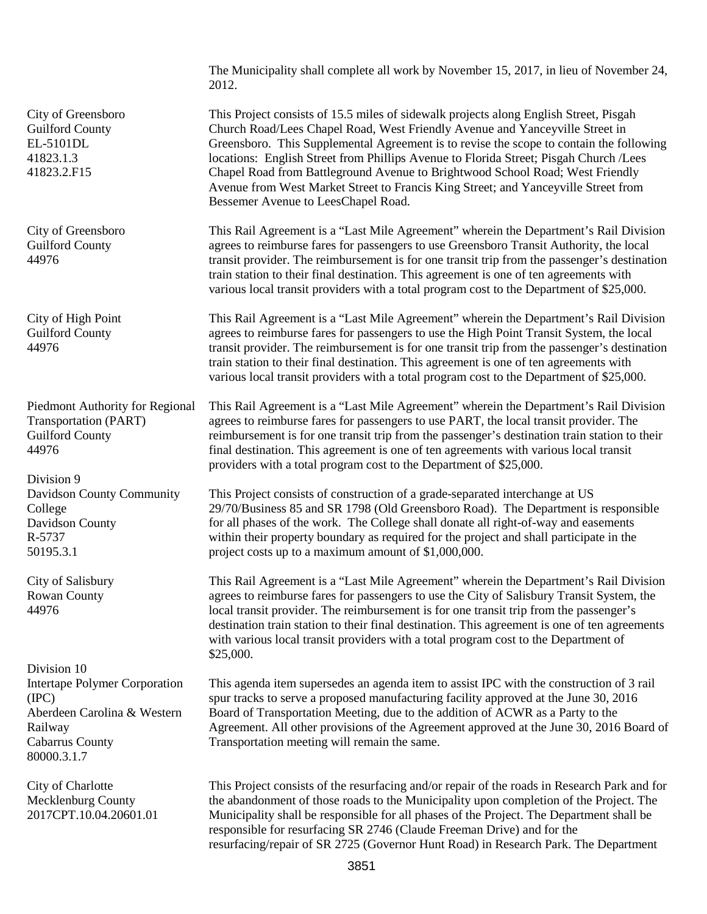The Municipality shall complete all work by November 15, 2017, in lieu of November 24, 2012.

This Project consists of 15.5 miles of sidewalk projects along English Street, Pisgah Church Road/Lees Chapel Road, West Friendly Avenue and Yanceyville Street in Greensboro. This Supplemental Agreement is to revise the scope to contain the following locations: English Street from Phillips Avenue to Florida Street; Pisgah Church /Lees Chapel Road from Battleground Avenue to Brightwood School Road; West Friendly Avenue from West Market Street to Francis King Street; and Yanceyville Street from Bessemer Avenue to LeesChapel Road.

This Rail Agreement is a "Last Mile Agreement" wherein the Department's Rail Division agrees to reimburse fares for passengers to use Greensboro Transit Authority, the local transit provider. The reimbursement is for one transit trip from the passenger's destination train station to their final destination. This agreement is one of ten agreements with various local transit providers with a total program cost to the Department of \$25,000.

This Rail Agreement is a "Last Mile Agreement" wherein the Department's Rail Division agrees to reimburse fares for passengers to use the High Point Transit System, the local transit provider. The reimbursement is for one transit trip from the passenger's destination train station to their final destination. This agreement is one of ten agreements with various local transit providers with a total program cost to the Department of \$25,000.

This Rail Agreement is a "Last Mile Agreement" wherein the Department's Rail Division agrees to reimburse fares for passengers to use PART, the local transit provider. The reimbursement is for one transit trip from the passenger's destination train station to their final destination. This agreement is one of ten agreements with various local transit providers with a total program cost to the Department of \$25,000.

This Project consists of construction of a grade-separated interchange at US 29/70/Business 85 and SR 1798 (Old Greensboro Road). The Department is responsible for all phases of the work. The College shall donate all right-of-way and easements within their property boundary as required for the project and shall participate in the project costs up to a maximum amount of \$1,000,000.

This Rail Agreement is a "Last Mile Agreement" wherein the Department's Rail Division agrees to reimburse fares for passengers to use the City of Salisbury Transit System, the local transit provider. The reimbursement is for one transit trip from the passenger's destination train station to their final destination. This agreement is one of ten agreements with various local transit providers with a total program cost to the Department of \$25,000.

This agenda item supersedes an agenda item to assist IPC with the construction of 3 rail spur tracks to serve a proposed manufacturing facility approved at the June 30, 2016 Board of Transportation Meeting, due to the addition of ACWR as a Party to the Agreement. All other provisions of the Agreement approved at the June 30, 2016 Board of Transportation meeting will remain the same.

This Project consists of the resurfacing and/or repair of the roads in Research Park and for the abandonment of those roads to the Municipality upon completion of the Project. The Municipality shall be responsible for all phases of the Project. The Department shall be responsible for resurfacing SR 2746 (Claude Freeman Drive) and for the resurfacing/repair of SR 2725 (Governor Hunt Road) in Research Park. The Department

City of Greensboro Guilford County EL-5101DL 41823.1.3 41823.2.F15

City of Greensboro Guilford County 44976

City of High Point Guilford County 44976

Piedmont Authority for Regional Transportation (PART) Guilford County 44976

Division 9 Davidson County Community College Davidson County R-5737 50195.3.1

City of Salisbury Rowan County 44976

Division 10 Intertape Polymer Corporation (IPC) Aberdeen Carolina & Western Railway Cabarrus County 80000.3.1.7

City of Charlotte Mecklenburg County 2017CPT.10.04.20601.01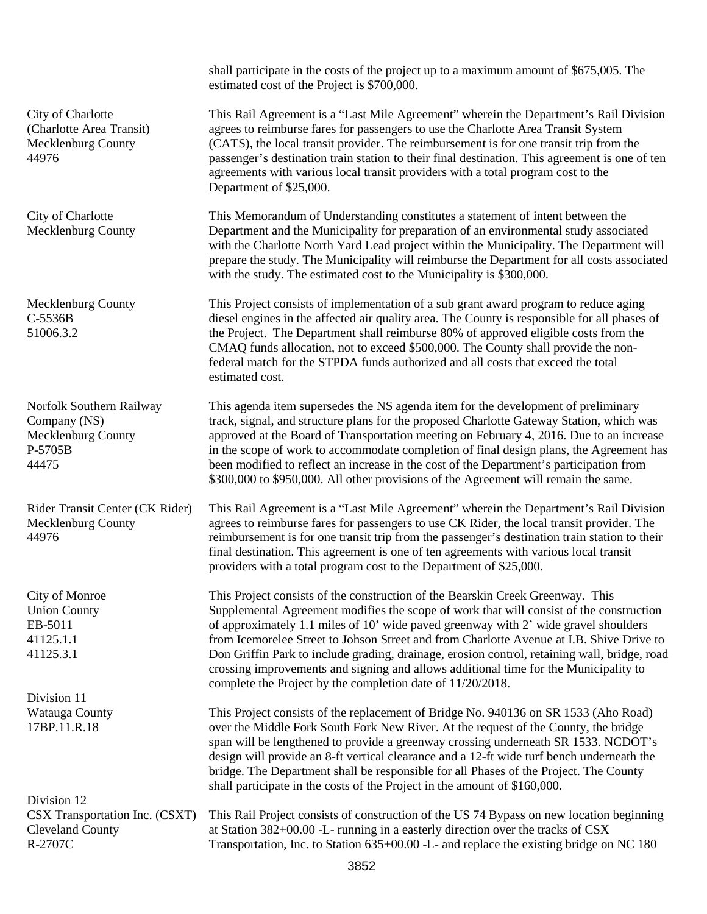shall participate in the costs of the project up to a maximum amount of \$675,005. The estimated cost of the Project is \$700,000. City of Charlotte (Charlotte Area Transit) Mecklenburg County 44976 This Rail Agreement is a "Last Mile Agreement" wherein the Department's Rail Division agrees to reimburse fares for passengers to use the Charlotte Area Transit System (CATS), the local transit provider. The reimbursement is for one transit trip from the passenger's destination train station to their final destination. This agreement is one of ten agreements with various local transit providers with a total program cost to the Department of \$25,000. City of Charlotte Mecklenburg County This Memorandum of Understanding constitutes a statement of intent between the Department and the Municipality for preparation of an environmental study associated with the Charlotte North Yard Lead project within the Municipality. The Department will prepare the study. The Municipality will reimburse the Department for all costs associated with the study. The estimated cost to the Municipality is \$300,000. Mecklenburg County C-5536B 51006.3.2 This Project consists of implementation of a sub grant award program to reduce aging diesel engines in the affected air quality area. The County is responsible for all phases of the Project. The Department shall reimburse 80% of approved eligible costs from the CMAQ funds allocation, not to exceed \$500,000. The County shall provide the nonfederal match for the STPDA funds authorized and all costs that exceed the total estimated cost. Norfolk Southern Railway Company (NS) Mecklenburg County P-5705B 44475 This agenda item supersedes the NS agenda item for the development of preliminary track, signal, and structure plans for the proposed Charlotte Gateway Station, which was approved at the Board of Transportation meeting on February 4, 2016. Due to an increase in the scope of work to accommodate completion of final design plans, the Agreement has been modified to reflect an increase in the cost of the Department's participation from \$300,000 to \$950,000. All other provisions of the Agreement will remain the same. Rider Transit Center (CK Rider) Mecklenburg County 44976 This Rail Agreement is a "Last Mile Agreement" wherein the Department's Rail Division agrees to reimburse fares for passengers to use CK Rider, the local transit provider. The reimbursement is for one transit trip from the passenger's destination train station to their final destination. This agreement is one of ten agreements with various local transit providers with a total program cost to the Department of \$25,000. City of Monroe Union County EB-5011 41125.1.1 41125.3.1 This Project consists of the construction of the Bearskin Creek Greenway. This Supplemental Agreement modifies the scope of work that will consist of the construction of approximately 1.1 miles of 10' wide paved greenway with 2' wide gravel shoulders from Icemorelee Street to Johson Street and from Charlotte Avenue at I.B. Shive Drive to Don Griffin Park to include grading, drainage, erosion control, retaining wall, bridge, road crossing improvements and signing and allows additional time for the Municipality to complete the Project by the completion date of 11/20/2018. Division 11 Watauga County 17BP.11.R.18 This Project consists of the replacement of Bridge No. 940136 on SR 1533 (Aho Road) over the Middle Fork South Fork New River. At the request of the County, the bridge span will be lengthened to provide a greenway crossing underneath SR 1533. NCDOT's design will provide an 8-ft vertical clearance and a 12-ft wide turf bench underneath the bridge. The Department shall be responsible for all Phases of the Project. The County shall participate in the costs of the Project in the amount of \$160,000. Division 12 CSX Transportation Inc. (CSXT) Cleveland County R-2707C This Rail Project consists of construction of the US 74 Bypass on new location beginning at Station 382+00.00 -L- running in a easterly direction over the tracks of CSX Transportation, Inc. to Station 635+00.00 -L- and replace the existing bridge on NC 180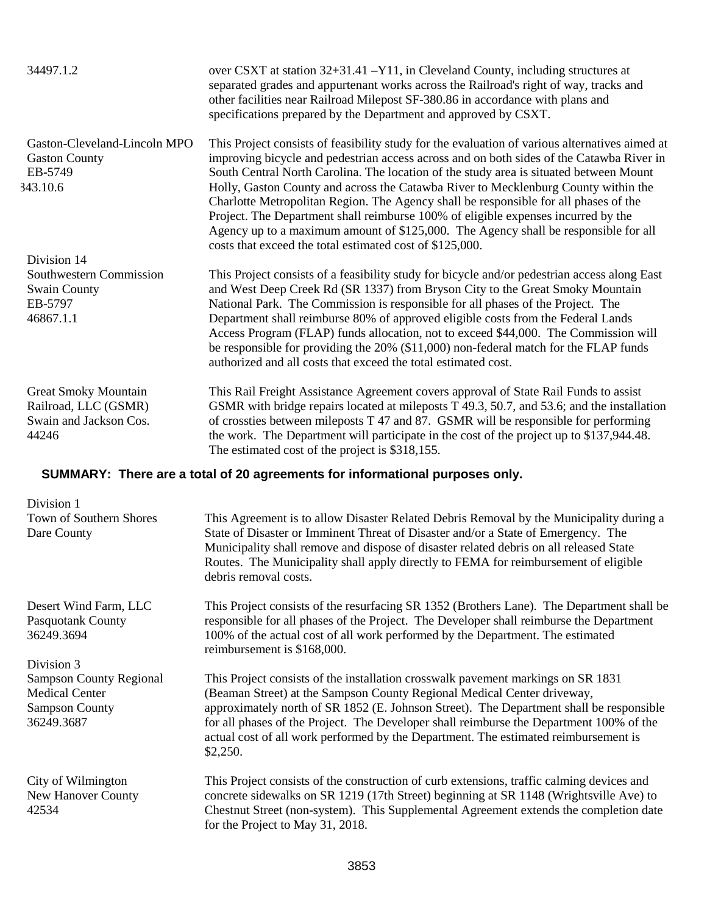| 34497.1.2                                                                              | over CSXT at station 32+31.41 -Y11, in Cleveland County, including structures at<br>separated grades and appurtenant works across the Railroad's right of way, tracks and<br>other facilities near Railroad Milepost SF-380.86 in accordance with plans and<br>specifications prepared by the Department and approved by CSXT.                                                                                                                                                                                                                                                                                                                                                                             |
|----------------------------------------------------------------------------------------|------------------------------------------------------------------------------------------------------------------------------------------------------------------------------------------------------------------------------------------------------------------------------------------------------------------------------------------------------------------------------------------------------------------------------------------------------------------------------------------------------------------------------------------------------------------------------------------------------------------------------------------------------------------------------------------------------------|
| Gaston-Cleveland-Lincoln MPO<br><b>Gaston County</b><br>EB-5749<br>343.10.6            | This Project consists of feasibility study for the evaluation of various alternatives aimed at<br>improving bicycle and pedestrian access across and on both sides of the Catawba River in<br>South Central North Carolina. The location of the study area is situated between Mount<br>Holly, Gaston County and across the Catawba River to Mecklenburg County within the<br>Charlotte Metropolitan Region. The Agency shall be responsible for all phases of the<br>Project. The Department shall reimburse 100% of eligible expenses incurred by the<br>Agency up to a maximum amount of \$125,000. The Agency shall be responsible for all<br>costs that exceed the total estimated cost of \$125,000. |
| Division 14<br>Southwestern Commission<br><b>Swain County</b><br>EB-5797<br>46867.1.1  | This Project consists of a feasibility study for bicycle and/or pedestrian access along East<br>and West Deep Creek Rd (SR 1337) from Bryson City to the Great Smoky Mountain<br>National Park. The Commission is responsible for all phases of the Project. The<br>Department shall reimburse 80% of approved eligible costs from the Federal Lands<br>Access Program (FLAP) funds allocation, not to exceed \$44,000. The Commission will<br>be responsible for providing the 20% (\$11,000) non-federal match for the FLAP funds<br>authorized and all costs that exceed the total estimated cost.                                                                                                      |
| <b>Great Smoky Mountain</b><br>Railroad, LLC (GSMR)<br>Swain and Jackson Cos.<br>44246 | This Rail Freight Assistance Agreement covers approval of State Rail Funds to assist<br>GSMR with bridge repairs located at mileposts T 49.3, 50.7, and 53.6; and the installation<br>of crossties between mileposts $T$ 47 and 87. GSMR will be responsible for performing<br>the work. The Department will participate in the cost of the project up to \$137,944.48.<br>The estimated cost of the project is \$318,155.                                                                                                                                                                                                                                                                                 |
|                                                                                        | SUMMARY: There are a total of 20 agreements for informational purposes only.                                                                                                                                                                                                                                                                                                                                                                                                                                                                                                                                                                                                                               |
| Division 1<br>Town of Southern Shores<br>Dare County                                   | This Agreement is to allow Disaster Related Debris Removal by the Municipality during a<br>State of Disaster or Imminent Threat of Disaster and/or a State of Emergency. The<br>Municipality shall remove and dispose of disaster related debris on all released State<br>Routes. The Municipality shall apply directly to FEMA for reimbursement of eligible<br>debris removal costs.                                                                                                                                                                                                                                                                                                                     |
| Desert Wind Farm, LLC<br>Pasquotank County<br>36249.3694                               | This Project consists of the resurfacing SR 1352 (Brothers Lane). The Department shall be<br>responsible for all phases of the Project. The Developer shall reimburse the Department<br>100% of the actual cost of all work performed by the Department. The estimated<br>reimbursement is \$168,000.                                                                                                                                                                                                                                                                                                                                                                                                      |
| Division 3<br><b>Sampson County Regional</b><br><b>Medical Center</b>                  | This Project consists of the installation crosswalk pavement markings on SR 1831                                                                                                                                                                                                                                                                                                                                                                                                                                                                                                                                                                                                                           |
| <b>Sampson County</b><br>36249.3687                                                    | (Beaman Street) at the Sampson County Regional Medical Center driveway,<br>approximately north of SR 1852 (E. Johnson Street). The Department shall be responsible<br>for all phases of the Project. The Developer shall reimburse the Department 100% of the<br>actual cost of all work performed by the Department. The estimated reimbursement is<br>\$2,250.                                                                                                                                                                                                                                                                                                                                           |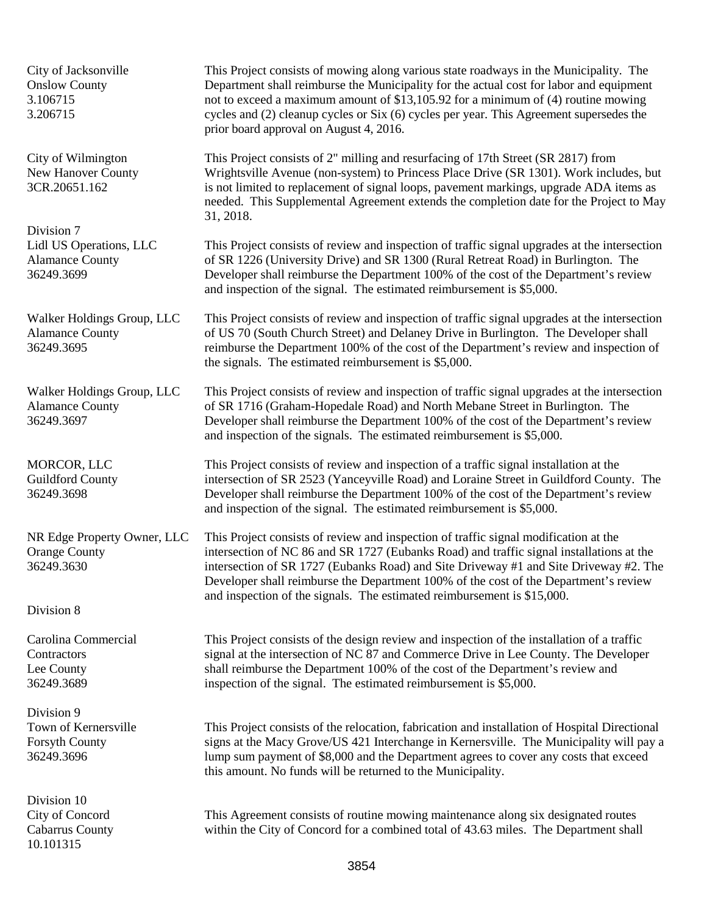City of Jacksonville Onslow County 3.106715 3.206715

City of Wilmington New Hanover County 3CR.20651.162

Division 7 Lidl US Operations, LLC Alamance County 36249.3699

Walker Holdings Group, LLC Alamance County 36249.3695

Walker Holdings Group, LLC Alamance County 36249.3697

MORCOR, LLC Guildford County 36249.3698

NR Edge Property Owner, LLC Orange County 36249.3630

Division 8

Carolina Commercial **Contractors** Lee County 36249.3689

Division 9 Town of Kernersville Forsyth County 36249.3696

Division 10 City of Concord Cabarrus County 10.101315

This Project consists of mowing along various state roadways in the Municipality. The Department shall reimburse the Municipality for the actual cost for labor and equipment not to exceed a maximum amount of \$13,105.92 for a minimum of (4) routine mowing cycles and (2) cleanup cycles or Six (6) cycles per year. This Agreement supersedes the prior board approval on August 4, 2016.

This Project consists of 2" milling and resurfacing of 17th Street (SR 2817) from Wrightsville Avenue (non-system) to Princess Place Drive (SR 1301). Work includes, but is not limited to replacement of signal loops, pavement markings, upgrade ADA items as needed. This Supplemental Agreement extends the completion date for the Project to May 31, 2018.

This Project consists of review and inspection of traffic signal upgrades at the intersection of SR 1226 (University Drive) and SR 1300 (Rural Retreat Road) in Burlington. The Developer shall reimburse the Department 100% of the cost of the Department's review and inspection of the signal. The estimated reimbursement is \$5,000.

This Project consists of review and inspection of traffic signal upgrades at the intersection of US 70 (South Church Street) and Delaney Drive in Burlington. The Developer shall reimburse the Department 100% of the cost of the Department's review and inspection of the signals. The estimated reimbursement is \$5,000.

This Project consists of review and inspection of traffic signal upgrades at the intersection of SR 1716 (Graham-Hopedale Road) and North Mebane Street in Burlington. The Developer shall reimburse the Department 100% of the cost of the Department's review and inspection of the signals. The estimated reimbursement is \$5,000.

This Project consists of review and inspection of a traffic signal installation at the intersection of SR 2523 (Yanceyville Road) and Loraine Street in Guildford County. The Developer shall reimburse the Department 100% of the cost of the Department's review and inspection of the signal. The estimated reimbursement is \$5,000.

This Project consists of review and inspection of traffic signal modification at the intersection of NC 86 and SR 1727 (Eubanks Road) and traffic signal installations at the intersection of SR 1727 (Eubanks Road) and Site Driveway #1 and Site Driveway #2. The Developer shall reimburse the Department 100% of the cost of the Department's review and inspection of the signals. The estimated reimbursement is \$15,000.

This Project consists of the design review and inspection of the installation of a traffic signal at the intersection of NC 87 and Commerce Drive in Lee County. The Developer shall reimburse the Department 100% of the cost of the Department's review and inspection of the signal. The estimated reimbursement is \$5,000.

This Project consists of the relocation, fabrication and installation of Hospital Directional signs at the Macy Grove/US 421 Interchange in Kernersville. The Municipality will pay a lump sum payment of \$8,000 and the Department agrees to cover any costs that exceed this amount. No funds will be returned to the Municipality.

This Agreement consists of routine mowing maintenance along six designated routes within the City of Concord for a combined total of 43.63 miles. The Department shall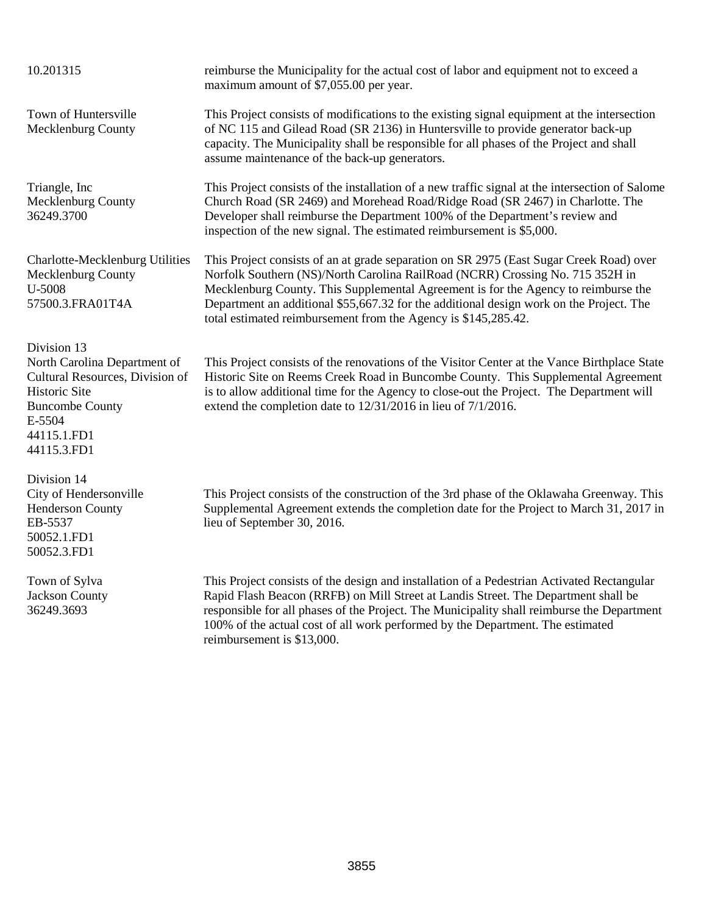10.201315 reimburse the Municipality for the actual cost of labor and equipment not to exceed a maximum amount of \$7,055.00 per year. Town of Huntersville Mecklenburg County This Project consists of modifications to the existing signal equipment at the intersection of NC 115 and Gilead Road (SR 2136) in Huntersville to provide generator back-up capacity. The Municipality shall be responsible for all phases of the Project and shall assume maintenance of the back-up generators. Triangle, Inc Mecklenburg County 36249.3700 This Project consists of the installation of a new traffic signal at the intersection of Salome Church Road (SR 2469) and Morehead Road/Ridge Road (SR 2467) in Charlotte. The Developer shall reimburse the Department 100% of the Department's review and inspection of the new signal. The estimated reimbursement is \$5,000. Charlotte-Mecklenburg Utilities Mecklenburg County U-5008 57500.3.FRA01T4A This Project consists of an at grade separation on SR 2975 (East Sugar Creek Road) over Norfolk Southern (NS)/North Carolina RailRoad (NCRR) Crossing No. 715 352H in Mecklenburg County. This Supplemental Agreement is for the Agency to reimburse the Department an additional \$55,667.32 for the additional design work on the Project. The total estimated reimbursement from the Agency is \$145,285.42. Division 13 North Carolina Department of Cultural Resources, Division of Historic Site Buncombe County E-5504 44115.1.FD1 44115.3.FD1 This Project consists of the renovations of the Visitor Center at the Vance Birthplace State Historic Site on Reems Creek Road in Buncombe County. This Supplemental Agreement is to allow additional time for the Agency to close-out the Project. The Department will extend the completion date to 12/31/2016 in lieu of 7/1/2016. Division 14 City of Hendersonville Henderson County EB-5537 50052.1.FD1 50052.3.FD1 This Project consists of the construction of the 3rd phase of the Oklawaha Greenway. This Supplemental Agreement extends the completion date for the Project to March 31, 2017 in lieu of September 30, 2016.

Town of Sylva Jackson County 36249.3693

This Project consists of the design and installation of a Pedestrian Activated Rectangular Rapid Flash Beacon (RRFB) on Mill Street at Landis Street. The Department shall be responsible for all phases of the Project. The Municipality shall reimburse the Department 100% of the actual cost of all work performed by the Department. The estimated reimbursement is \$13,000.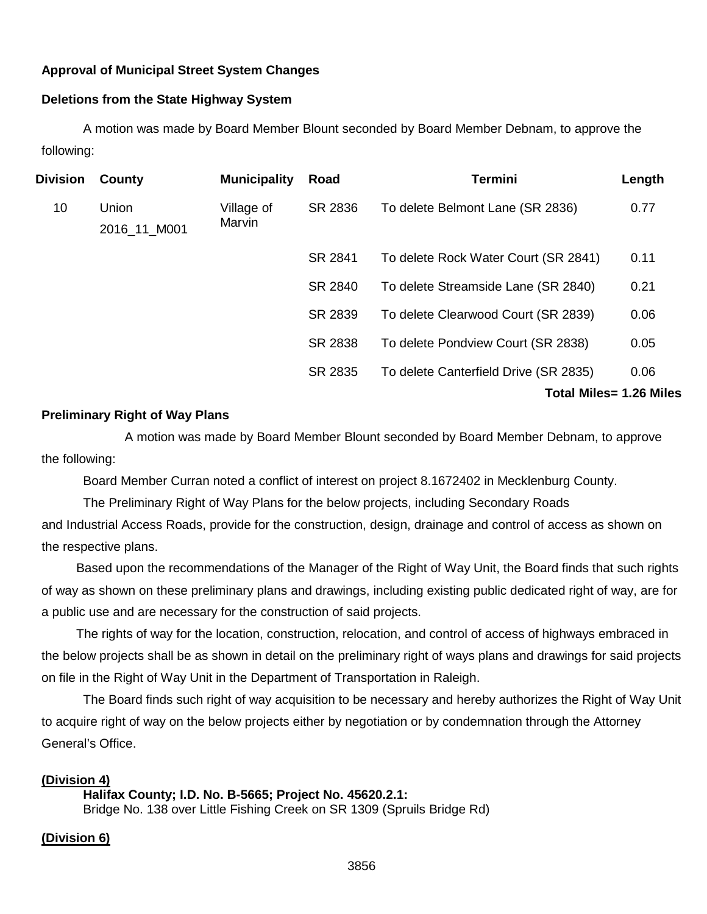# **Approval of Municipal Street System Changes**

# **Deletions from the State Highway System**

A motion was made by Board Member Blount seconded by Board Member Debnam, to approve the following:

| Division | County                | <b>Municipality</b>  | Road    | <b>Termini</b>                        | Length |
|----------|-----------------------|----------------------|---------|---------------------------------------|--------|
| 10       | Union<br>2016_11_M001 | Village of<br>Marvin | SR 2836 | To delete Belmont Lane (SR 2836)      | 0.77   |
|          |                       |                      | SR 2841 | To delete Rock Water Court (SR 2841)  | 0.11   |
|          |                       |                      | SR 2840 | To delete Streamside Lane (SR 2840)   | 0.21   |
|          |                       |                      | SR 2839 | To delete Clearwood Court (SR 2839)   | 0.06   |
|          |                       |                      | SR 2838 | To delete Pondview Court (SR 2838)    | 0.05   |
|          |                       |                      | SR 2835 | To delete Canterfield Drive (SR 2835) | 0.06   |
|          |                       |                      |         | <b>Total Miles= 1.26 Miles</b>        |        |

## **Preliminary Right of Way Plans**

A motion was made by Board Member Blount seconded by Board Member Debnam, to approve the following:

Board Member Curran noted a conflict of interest on project 8.1672402 in Mecklenburg County.

The Preliminary Right of Way Plans for the below projects, including Secondary Roads and Industrial Access Roads, provide for the construction, design, drainage and control of access as shown on the respective plans.

Based upon the recommendations of the Manager of the Right of Way Unit, the Board finds that such rights of way as shown on these preliminary plans and drawings, including existing public dedicated right of way, are for a public use and are necessary for the construction of said projects.

The rights of way for the location, construction, relocation, and control of access of highways embraced in the below projects shall be as shown in detail on the preliminary right of ways plans and drawings for said projects on file in the Right of Way Unit in the Department of Transportation in Raleigh.

The Board finds such right of way acquisition to be necessary and hereby authorizes the Right of Way Unit to acquire right of way on the below projects either by negotiation or by condemnation through the Attorney General's Office.

## **(Division 4)**

# **Halifax County; I.D. No. B-5665; Project No. 45620.2.1:**

Bridge No. 138 over Little Fishing Creek on SR 1309 (Spruils Bridge Rd)

## **(Division 6)**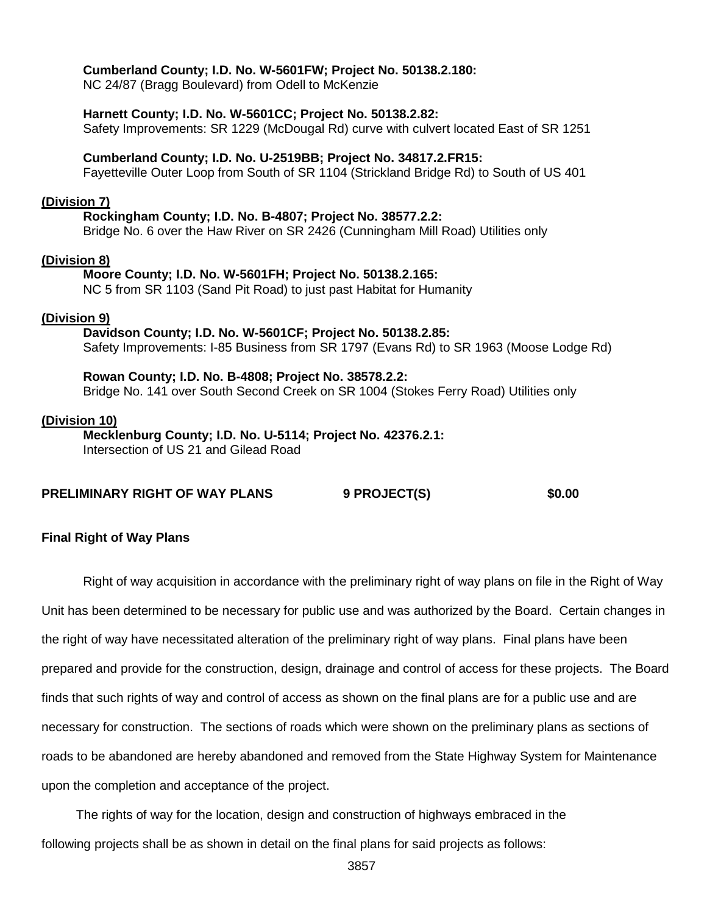## **Cumberland County; I.D. No. W-5601FW; Project No. 50138.2.180:**

NC 24/87 (Bragg Boulevard) from Odell to McKenzie

#### **Harnett County; I.D. No. W-5601CC; Project No. 50138.2.82:**

Safety Improvements: SR 1229 (McDougal Rd) curve with culvert located East of SR 1251

#### **Cumberland County; I.D. No. U-2519BB; Project No. 34817.2.FR15:**

Fayetteville Outer Loop from South of SR 1104 (Strickland Bridge Rd) to South of US 401

#### **(Division 7)**

## **Rockingham County; I.D. No. B-4807; Project No. 38577.2.2:**

Bridge No. 6 over the Haw River on SR 2426 (Cunningham Mill Road) Utilities only

## **(Division 8)**

#### **Moore County; I.D. No. W-5601FH; Project No. 50138.2.165:**

NC 5 from SR 1103 (Sand Pit Road) to just past Habitat for Humanity

## **(Division 9)**

**Davidson County; I.D. No. W-5601CF; Project No. 50138.2.85:** Safety Improvements: I-85 Business from SR 1797 (Evans Rd) to SR 1963 (Moose Lodge Rd)

**Rowan County; I.D. No. B-4808; Project No. 38578.2.2:** Bridge No. 141 over South Second Creek on SR 1004 (Stokes Ferry Road) Utilities only

#### **(Division 10)**

#### **Mecklenburg County; I.D. No. U-5114; Project No. 42376.2.1:** Intersection of US 21 and Gilead Road

## **PRELIMINARY RIGHT OF WAY PLANS 9 PROJECT(S) \$0.00**

## **Final Right of Way Plans**

Right of way acquisition in accordance with the preliminary right of way plans on file in the Right of Way Unit has been determined to be necessary for public use and was authorized by the Board. Certain changes in the right of way have necessitated alteration of the preliminary right of way plans. Final plans have been prepared and provide for the construction, design, drainage and control of access for these projects. The Board finds that such rights of way and control of access as shown on the final plans are for a public use and are necessary for construction. The sections of roads which were shown on the preliminary plans as sections of roads to be abandoned are hereby abandoned and removed from the State Highway System for Maintenance upon the completion and acceptance of the project.

The rights of way for the location, design and construction of highways embraced in the following projects shall be as shown in detail on the final plans for said projects as follows: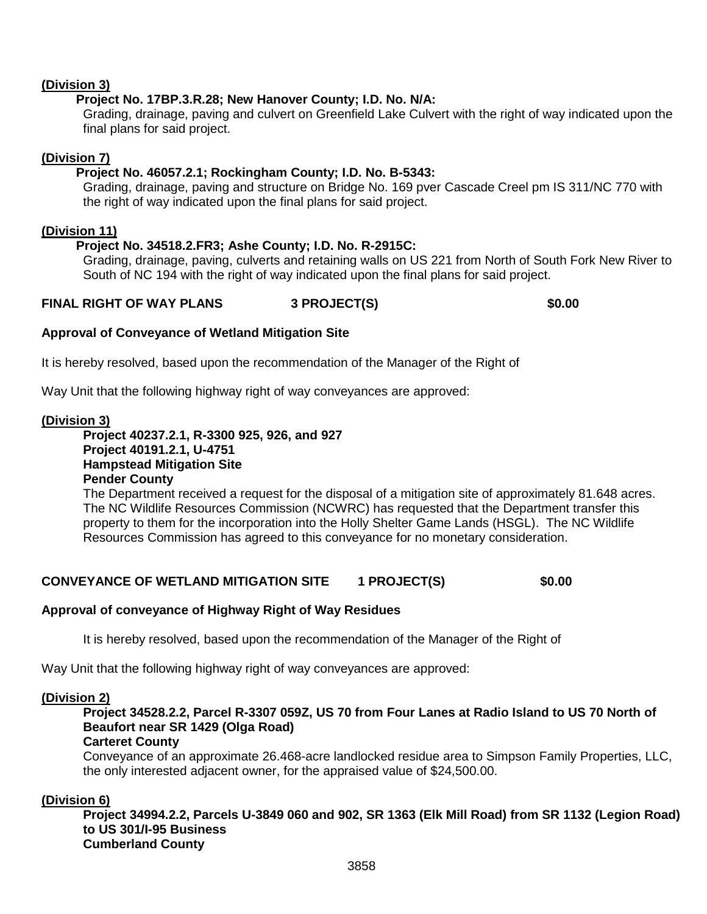# **(Division 3)**

# **Project No. 17BP.3.R.28; New Hanover County; I.D. No. N/A:**

Grading, drainage, paving and culvert on Greenfield Lake Culvert with the right of way indicated upon the final plans for said project.

# **(Division 7)**

# **Project No. 46057.2.1; Rockingham County; I.D. No. B-5343:**

Grading, drainage, paving and structure on Bridge No. 169 pver Cascade Creel pm IS 311/NC 770 with the right of way indicated upon the final plans for said project.

## **(Division 11)**

# **Project No. 34518.2.FR3; Ashe County; I.D. No. R-2915C:**

Grading, drainage, paving, culverts and retaining walls on US 221 from North of South Fork New River to South of NC 194 with the right of way indicated upon the final plans for said project.

# **FINAL RIGHT OF WAY PLANS 3 PROJECT(S) \$0.00**

# **Approval of Conveyance of Wetland Mitigation Site**

It is hereby resolved, based upon the recommendation of the Manager of the Right of

Way Unit that the following highway right of way conveyances are approved:

## **(Division 3)**

## **Project 40237.2.1, R-3300 925, 926, and 927 Project 40191.2.1, U-4751 Hampstead Mitigation Site Pender County**

The Department received a request for the disposal of a mitigation site of approximately 81.648 acres. The NC Wildlife Resources Commission (NCWRC) has requested that the Department transfer this property to them for the incorporation into the Holly Shelter Game Lands (HSGL). The NC Wildlife Resources Commission has agreed to this conveyance for no monetary consideration.

# **CONVEYANCE OF WETLAND MITIGATION SITE 1 PROJECT(S) \$0.00**

# **Approval of conveyance of Highway Right of Way Residues**

It is hereby resolved, based upon the recommendation of the Manager of the Right of

Way Unit that the following highway right of way conveyances are approved:

## **(Division 2)**

# **Project 34528.2.2, Parcel R-3307 059Z, US 70 from Four Lanes at Radio Island to US 70 North of Beaufort near SR 1429 (Olga Road)**

## **Carteret County**

Conveyance of an approximate 26.468-acre landlocked residue area to Simpson Family Properties, LLC, the only interested adjacent owner, for the appraised value of \$24,500.00.

## **(Division 6)**

**Project 34994.2.2, Parcels U-3849 060 and 902, SR 1363 (Elk Mill Road) from SR 1132 (Legion Road) to US 301/I-95 Business Cumberland County**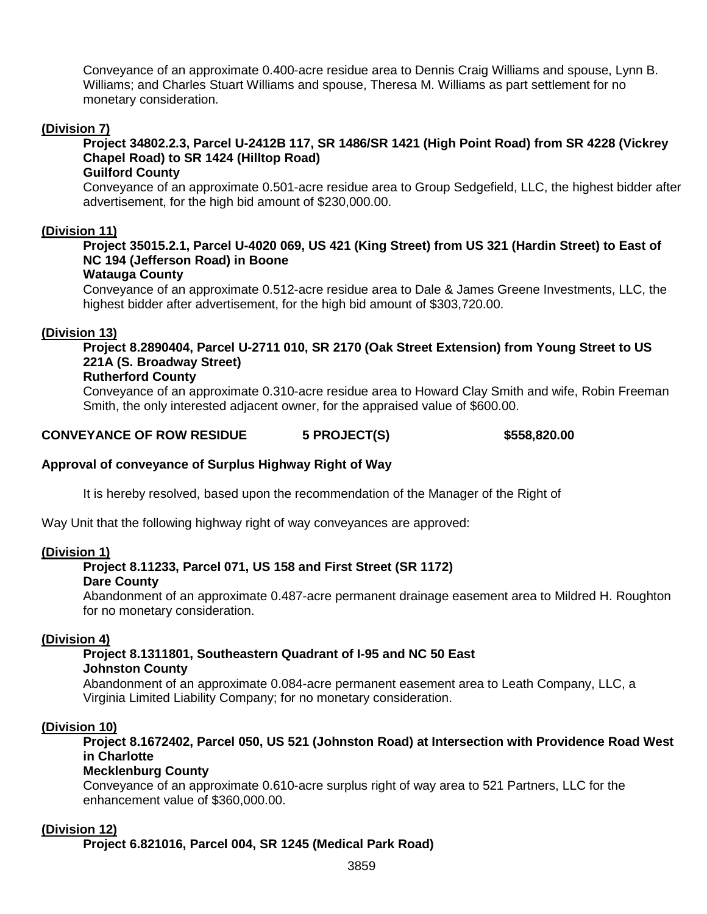Conveyance of an approximate 0.400-acre residue area to Dennis Craig Williams and spouse, Lynn B. Williams; and Charles Stuart Williams and spouse, Theresa M. Williams as part settlement for no monetary consideration.

## **(Division 7)**

# **Project 34802.2.3, Parcel U-2412B 117, SR 1486/SR 1421 (High Point Road) from SR 4228 (Vickrey Chapel Road) to SR 1424 (Hilltop Road)**

#### **Guilford County**

Conveyance of an approximate 0.501-acre residue area to Group Sedgefield, LLC, the highest bidder after advertisement, for the high bid amount of \$230,000.00.

## **(Division 11)**

# **Project 35015.2.1, Parcel U-4020 069, US 421 (King Street) from US 321 (Hardin Street) to East of NC 194 (Jefferson Road) in Boone**

#### **Watauga County**

Conveyance of an approximate 0.512-acre residue area to Dale & James Greene Investments, LLC, the highest bidder after advertisement, for the high bid amount of \$303,720.00.

## **(Division 13)**

**Project 8.2890404, Parcel U-2711 010, SR 2170 (Oak Street Extension) from Young Street to US 221A (S. Broadway Street)**

## **Rutherford County**

Conveyance of an approximate 0.310-acre residue area to Howard Clay Smith and wife, Robin Freeman Smith, the only interested adjacent owner, for the appraised value of \$600.00.

## **CONVEYANCE OF ROW RESIDUE 5 PROJECT(S) \$558,820.00**

## **Approval of conveyance of Surplus Highway Right of Way**

It is hereby resolved, based upon the recommendation of the Manager of the Right of

Way Unit that the following highway right of way conveyances are approved:

## **(Division 1)**

# **Project 8.11233, Parcel 071, US 158 and First Street (SR 1172)**

#### **Dare County**

Abandonment of an approximate 0.487-acre permanent drainage easement area to Mildred H. Roughton for no monetary consideration.

## **(Division 4)**

#### **Project 8.1311801, Southeastern Quadrant of I-95 and NC 50 East Johnston County**

Abandonment of an approximate 0.084-acre permanent easement area to Leath Company, LLC, a Virginia Limited Liability Company; for no monetary consideration.

## **(Division 10)**

# **Project 8.1672402, Parcel 050, US 521 (Johnston Road) at Intersection with Providence Road West in Charlotte**

## **Mecklenburg County**

Conveyance of an approximate 0.610-acre surplus right of way area to 521 Partners, LLC for the enhancement value of \$360,000.00.

## **(Division 12)**

**Project 6.821016, Parcel 004, SR 1245 (Medical Park Road)**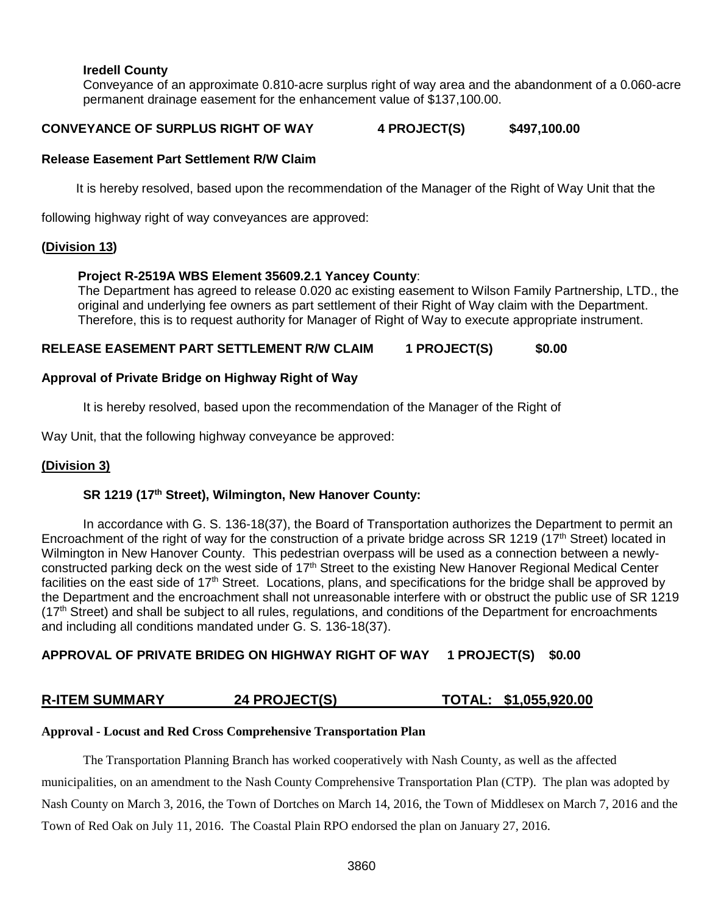## **Iredell County**

Conveyance of an approximate 0.810-acre surplus right of way area and the abandonment of a 0.060-acre permanent drainage easement for the enhancement value of \$137,100.00.

## **CONVEYANCE OF SURPLUS RIGHT OF WAY 4 PROJECT(S) \$497,100.00**

## **Release Easement Part Settlement R/W Claim**

It is hereby resolved, based upon the recommendation of the Manager of the Right of Way Unit that the

following highway right of way conveyances are approved:

## **(Division 13)**

## **Project R-2519A WBS Element 35609.2.1 Yancey County**:

The Department has agreed to release 0.020 ac existing easement to Wilson Family Partnership, LTD., the original and underlying fee owners as part settlement of their Right of Way claim with the Department. Therefore, this is to request authority for Manager of Right of Way to execute appropriate instrument.

## RELEASE EASEMENT PART SETTLEMENT R/W CLAIM 1 PROJECT(S) \$0.00

## **Approval of Private Bridge on Highway Right of Way**

It is hereby resolved, based upon the recommendation of the Manager of the Right of

Way Unit, that the following highway conveyance be approved:

## **(Division 3)**

## **SR 1219 (17th Street), Wilmington, New Hanover County:**

In accordance with G. S. 136-18(37), the Board of Transportation authorizes the Department to permit an Encroachment of the right of way for the construction of a private bridge across SR 1219 (17<sup>th</sup> Street) located in Wilmington in New Hanover County. This pedestrian overpass will be used as a connection between a newlyconstructed parking deck on the west side of  $17<sup>th</sup>$  Street to the existing New Hanover Regional Medical Center facilities on the east side of 17<sup>th</sup> Street. Locations, plans, and specifications for the bridge shall be approved by the Department and the encroachment shall not unreasonable interfere with or obstruct the public use of SR 1219  $(17<sup>th</sup> Street)$  and shall be subject to all rules, regulations, and conditions of the Department for encroachments and including all conditions mandated under G. S. 136-18(37).

## **APPROVAL OF PRIVATE BRIDEG ON HIGHWAY RIGHT OF WAY 1 PROJECT(S) \$0.00**

# **R-ITEM SUMMARY 24 PROJECT(S) TOTAL: \$1,055,920.00**

#### **Approval - Locust and Red Cross Comprehensive Transportation Plan**

The Transportation Planning Branch has worked cooperatively with Nash County, as well as the affected municipalities, on an amendment to the Nash County Comprehensive Transportation Plan (CTP). The plan was adopted by Nash County on March 3, 2016, the Town of Dortches on March 14, 2016, the Town of Middlesex on March 7, 2016 and the Town of Red Oak on July 11, 2016. The Coastal Plain RPO endorsed the plan on January 27, 2016.